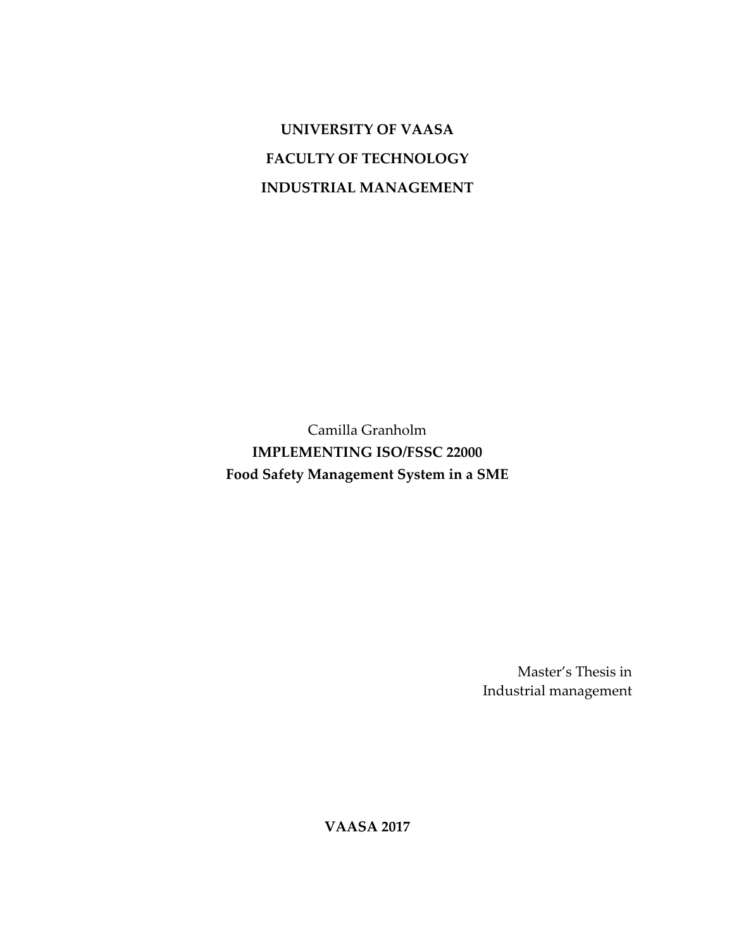**UNIVERSITY OF VAASA FACULTY OF TECHNOLOGY INDUSTRIAL MANAGEMENT**

Camilla Granholm **IMPLEMENTING ISO/FSSC 22000 Food Safety Management System in a SME**

> Master's Thesis in Industrial management

**VAASA 2017**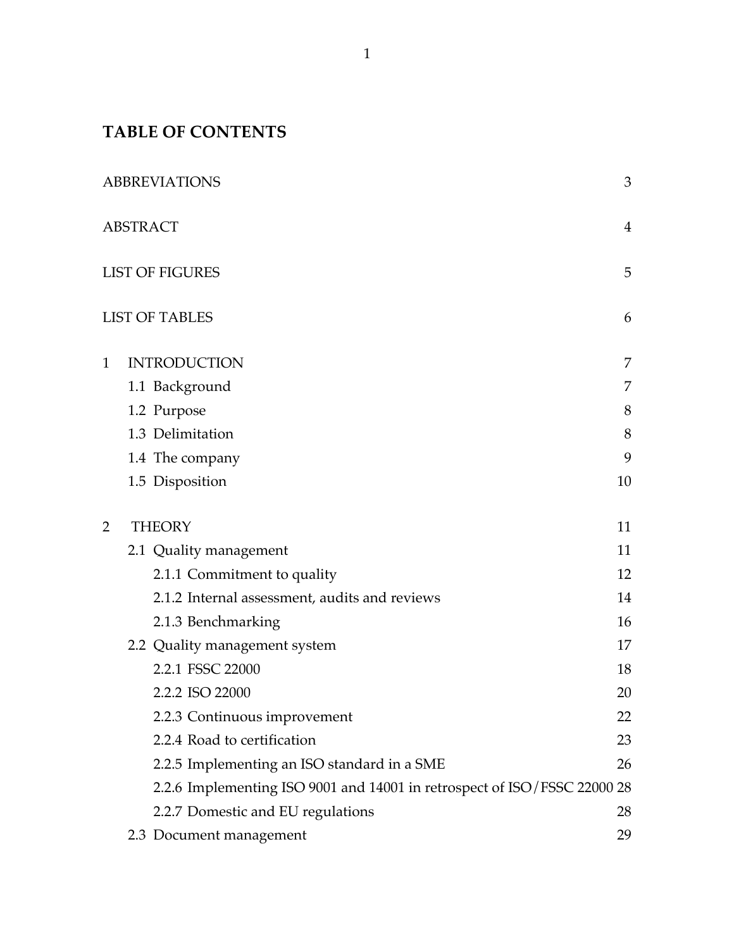# **TABLE OF CONTENTS**

|   | <b>ABBREVIATIONS</b>                                                  | 3              |
|---|-----------------------------------------------------------------------|----------------|
|   | <b>ABSTRACT</b>                                                       | $\overline{4}$ |
|   | <b>LIST OF FIGURES</b>                                                | 5              |
|   | <b>LIST OF TABLES</b>                                                 | 6              |
| 1 | <b>INTRODUCTION</b>                                                   | 7              |
|   | 1.1 Background                                                        | 7              |
|   | 1.2 Purpose                                                           | 8              |
|   | 1.3 Delimitation                                                      | 8              |
|   | 1.4 The company                                                       | 9              |
|   | 1.5 Disposition                                                       | 10             |
| 2 | <b>THEORY</b>                                                         | 11             |
|   | 2.1 Quality management                                                | 11             |
|   | 2.1.1 Commitment to quality                                           | 12             |
|   | 2.1.2 Internal assessment, audits and reviews                         | 14             |
|   | 2.1.3 Benchmarking                                                    | 16             |
|   | 2.2 Quality management system                                         | 17             |
|   | 2.2.1 FSSC 22000                                                      | 18             |
|   | 2.2.2 ISO 22000                                                       | 20             |
|   | 2.2.3 Continuous improvement                                          | 22             |
|   | 2.2.4 Road to certification                                           | 23             |
|   | 2.2.5 Implementing an ISO standard in a SME                           | 26             |
|   | 2.2.6 Implementing ISO 9001 and 14001 in retrospect of ISO/FSSC 22000 | 28             |
|   | 2.2.7 Domestic and EU regulations                                     | 28             |
|   | 2.3 Document management                                               | 29             |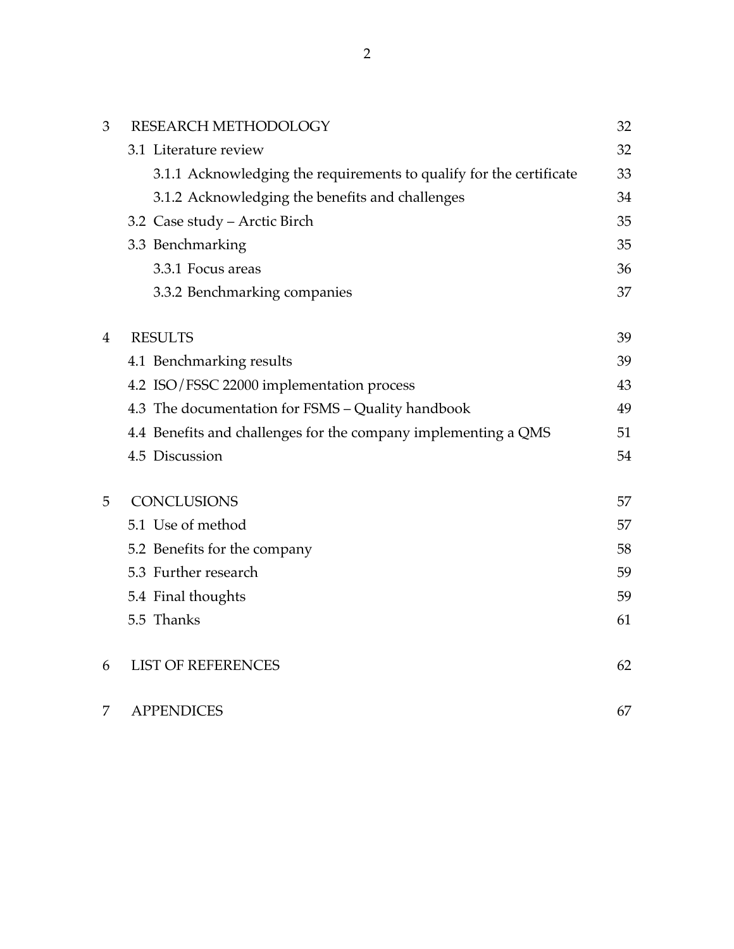| 3              | RESEARCH METHODOLOGY                                                | 32 |
|----------------|---------------------------------------------------------------------|----|
|                | 3.1 Literature review                                               | 32 |
|                | 3.1.1 Acknowledging the requirements to qualify for the certificate | 33 |
|                | 3.1.2 Acknowledging the benefits and challenges                     | 34 |
|                | 3.2 Case study - Arctic Birch                                       | 35 |
|                | 3.3 Benchmarking                                                    | 35 |
|                | 3.3.1 Focus areas                                                   | 36 |
|                | 3.3.2 Benchmarking companies                                        | 37 |
| $\overline{4}$ | <b>RESULTS</b>                                                      | 39 |
|                | 4.1 Benchmarking results                                            | 39 |
|                | 4.2 ISO/FSSC 22000 implementation process                           | 43 |
|                | 4.3 The documentation for FSMS - Quality handbook                   | 49 |
|                | 4.4 Benefits and challenges for the company implementing a QMS      | 51 |
|                | 4.5 Discussion                                                      | 54 |
| 5              | <b>CONCLUSIONS</b>                                                  | 57 |
|                | 5.1 Use of method                                                   | 57 |
|                | 5.2 Benefits for the company                                        | 58 |
|                | 5.3 Further research                                                | 59 |
|                | 5.4 Final thoughts                                                  | 59 |
|                | 5.5 Thanks                                                          | 61 |
| 6              | <b>LIST OF REFERENCES</b>                                           | 62 |
| 7              | <b>APPENDICES</b>                                                   | 67 |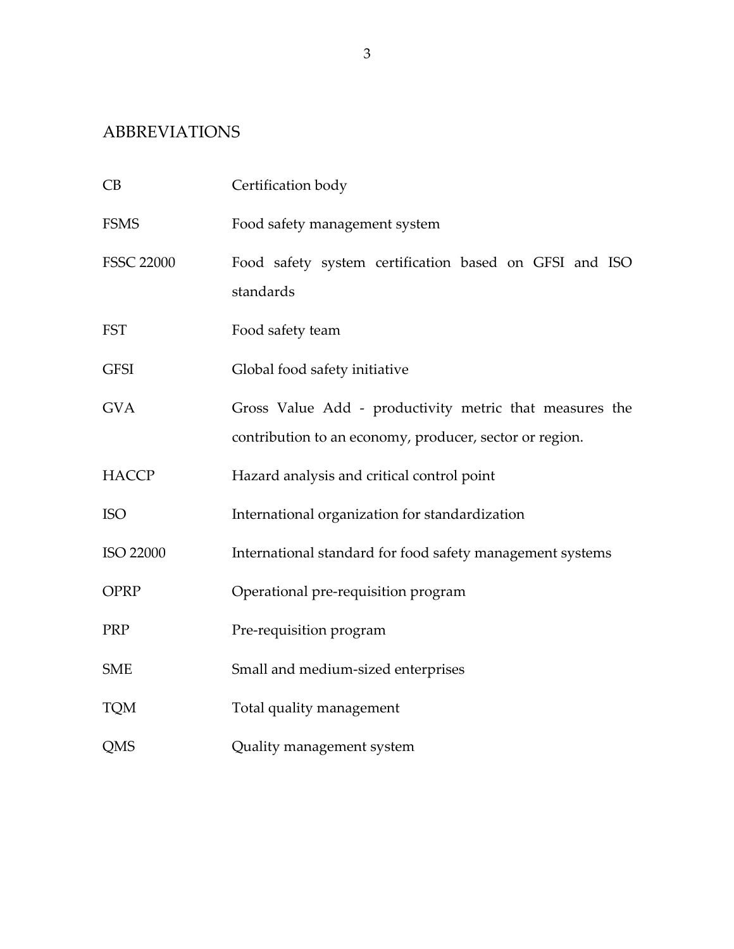# ABBREVIATIONS

| CB                | Certification body                                                                                                 |
|-------------------|--------------------------------------------------------------------------------------------------------------------|
| <b>FSMS</b>       | Food safety management system                                                                                      |
| <b>FSSC 22000</b> | Food safety system certification based on GFSI and ISO<br>standards                                                |
| <b>FST</b>        | Food safety team                                                                                                   |
| <b>GFSI</b>       | Global food safety initiative                                                                                      |
| <b>GVA</b>        | Gross Value Add - productivity metric that measures the<br>contribution to an economy, producer, sector or region. |
| <b>HACCP</b>      | Hazard analysis and critical control point                                                                         |
| <b>ISO</b>        | International organization for standardization                                                                     |
| ISO 22000         | International standard for food safety management systems                                                          |
| <b>OPRP</b>       | Operational pre-requisition program                                                                                |
| PRP               | Pre-requisition program                                                                                            |
| <b>SME</b>        | Small and medium-sized enterprises                                                                                 |
| <b>TQM</b>        | Total quality management                                                                                           |
| QMS               | Quality management system                                                                                          |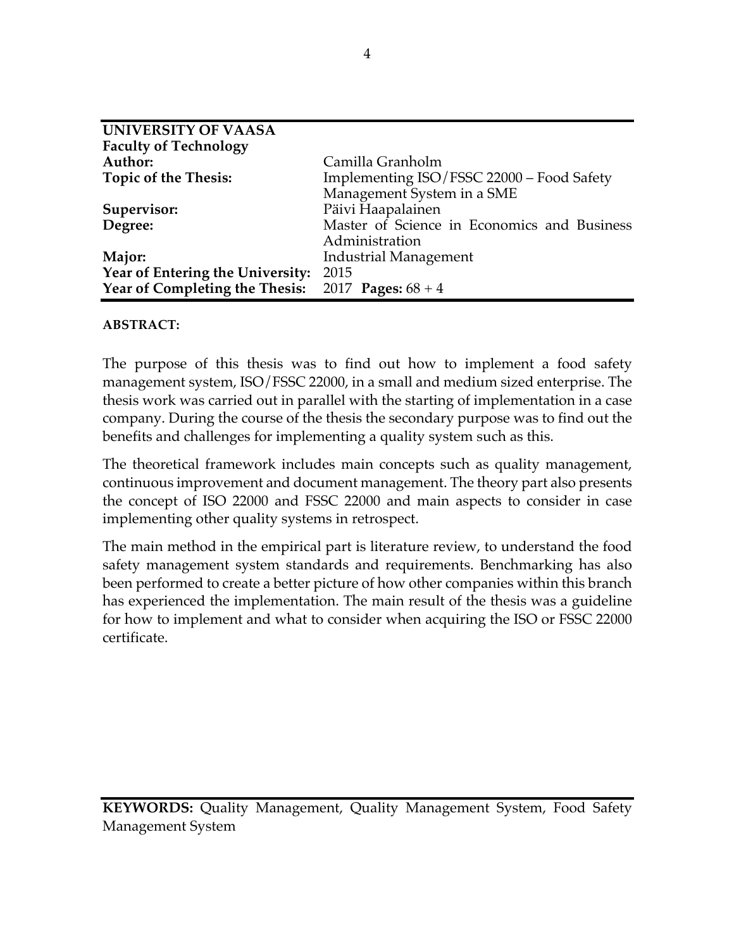| <b>UNIVERSITY OF VAASA</b>                            |                                             |
|-------------------------------------------------------|---------------------------------------------|
| <b>Faculty of Technology</b>                          |                                             |
| Author:                                               | Camilla Granholm                            |
| <b>Topic of the Thesis:</b>                           | Implementing ISO/FSSC 22000 - Food Safety   |
|                                                       | Management System in a SME                  |
| Supervisor:                                           | Päivi Haapalainen                           |
| Degree:                                               | Master of Science in Economics and Business |
|                                                       | Administration                              |
| Major:                                                | Industrial Management                       |
| Year of Entering the University: 2015                 |                                             |
| Year of Completing the Thesis: $2017$ Pages: $68 + 4$ |                                             |

## **ABSTRACT:**

The purpose of this thesis was to find out how to implement a food safety management system, ISO/FSSC 22000, in a small and medium sized enterprise. The thesis work was carried out in parallel with the starting of implementation in a case company. During the course of the thesis the secondary purpose was to find out the benefits and challenges for implementing a quality system such as this.

The theoretical framework includes main concepts such as quality management, continuous improvement and document management. The theory part also presents the concept of ISO 22000 and FSSC 22000 and main aspects to consider in case implementing other quality systems in retrospect.

The main method in the empirical part is literature review, to understand the food safety management system standards and requirements. Benchmarking has also been performed to create a better picture of how other companies within this branch has experienced the implementation. The main result of the thesis was a guideline for how to implement and what to consider when acquiring the ISO or FSSC 22000 certificate.

**KEYWORDS:** Quality Management, Quality Management System, Food Safety Management System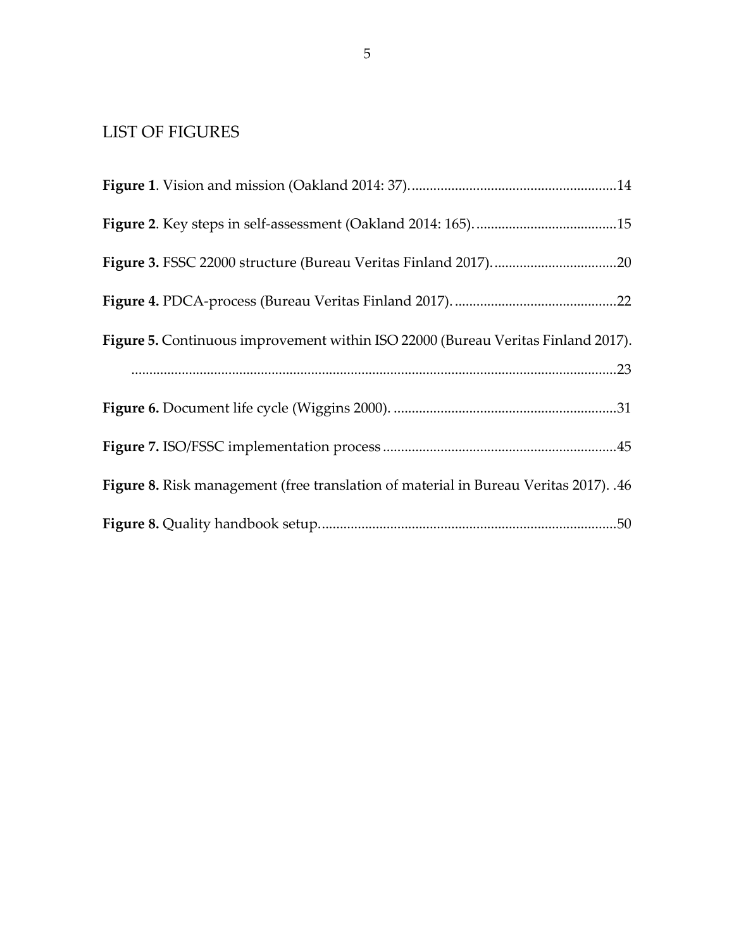# LIST OF FIGURES

| Figure 5. Continuous improvement within ISO 22000 (Bureau Veritas Finland 2017).     |
|--------------------------------------------------------------------------------------|
|                                                                                      |
|                                                                                      |
|                                                                                      |
| Figure 8. Risk management (free translation of material in Bureau Veritas 2017). .46 |
|                                                                                      |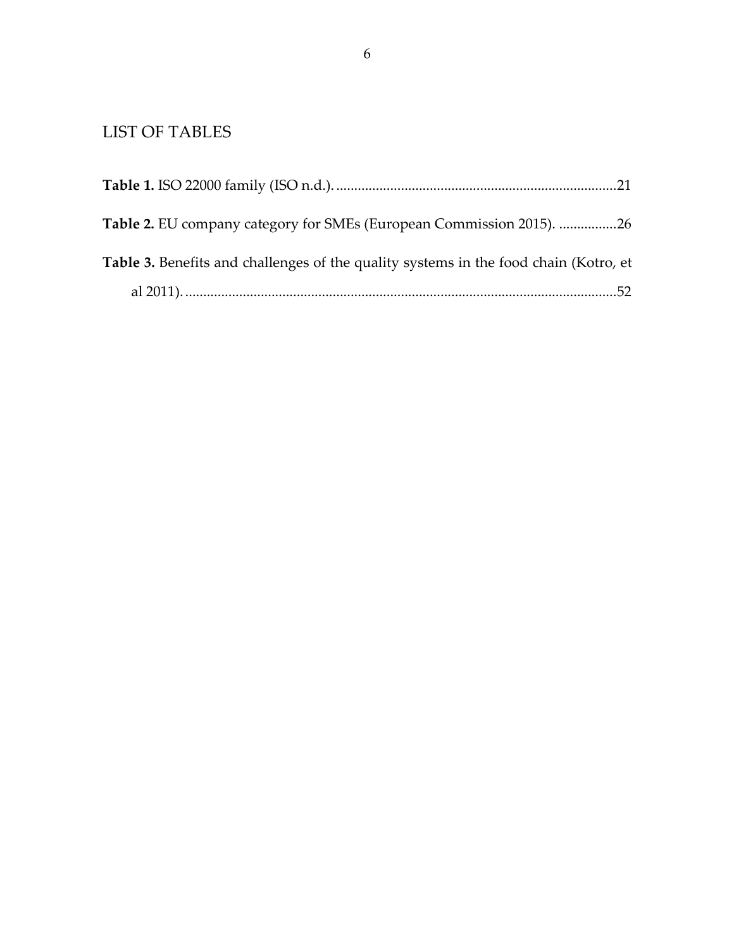# LIST OF TABLES

| Table 2. EU company category for SMEs (European Commission 2015). 26                 |  |
|--------------------------------------------------------------------------------------|--|
| Table 3. Benefits and challenges of the quality systems in the food chain (Kotro, et |  |
|                                                                                      |  |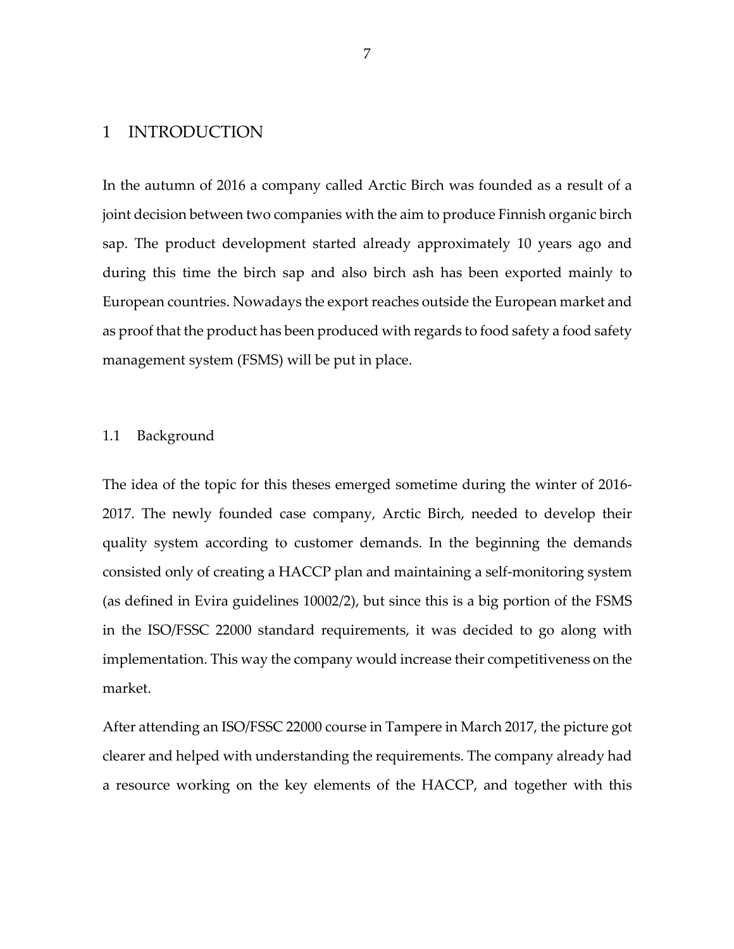## 1 INTRODUCTION

In the autumn of 2016 a company called Arctic Birch was founded as a result of a joint decision between two companies with the aim to produce Finnish organic birch sap. The product development started already approximately 10 years ago and during this time the birch sap and also birch ash has been exported mainly to European countries. Nowadays the export reaches outside the European market and as proof that the product has been produced with regards to food safety a food safety management system (FSMS) will be put in place.

#### 1.1 Background

The idea of the topic for this theses emerged sometime during the winter of 2016- 2017. The newly founded case company, Arctic Birch, needed to develop their quality system according to customer demands. In the beginning the demands consisted only of creating a HACCP plan and maintaining a self-monitoring system (as defined in Evira guidelines 10002/2), but since this is a big portion of the FSMS in the ISO/FSSC 22000 standard requirements, it was decided to go along with implementation. This way the company would increase their competitiveness on the market.

After attending an ISO/FSSC 22000 course in Tampere in March 2017, the picture got clearer and helped with understanding the requirements. The company already had a resource working on the key elements of the HACCP, and together with this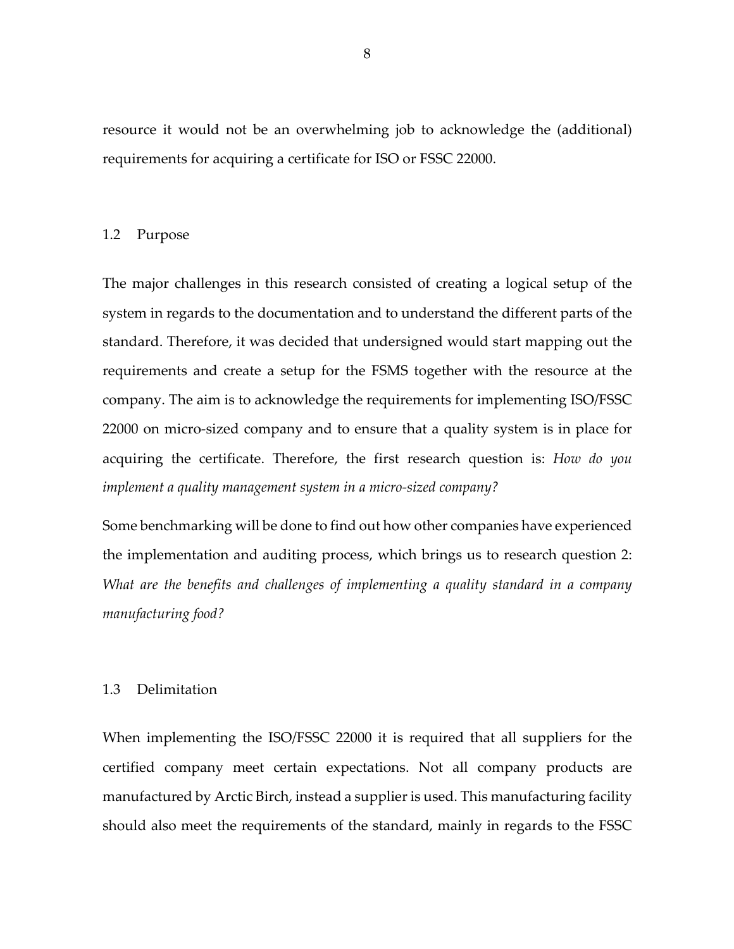resource it would not be an overwhelming job to acknowledge the (additional) requirements for acquiring a certificate for ISO or FSSC 22000.

#### 1.2 Purpose

The major challenges in this research consisted of creating a logical setup of the system in regards to the documentation and to understand the different parts of the standard. Therefore, it was decided that undersigned would start mapping out the requirements and create a setup for the FSMS together with the resource at the company. The aim is to acknowledge the requirements for implementing ISO/FSSC 22000 on micro-sized company and to ensure that a quality system is in place for acquiring the certificate. Therefore, the first research question is: *How do you implement a quality management system in a micro-sized company?*

Some benchmarking will be done to find out how other companies have experienced the implementation and auditing process, which brings us to research question 2: *What are the benefits and challenges of implementing a quality standard in a company manufacturing food?*

#### 1.3 Delimitation

When implementing the ISO/FSSC 22000 it is required that all suppliers for the certified company meet certain expectations. Not all company products are manufactured by Arctic Birch, instead a supplier is used. This manufacturing facility should also meet the requirements of the standard, mainly in regards to the FSSC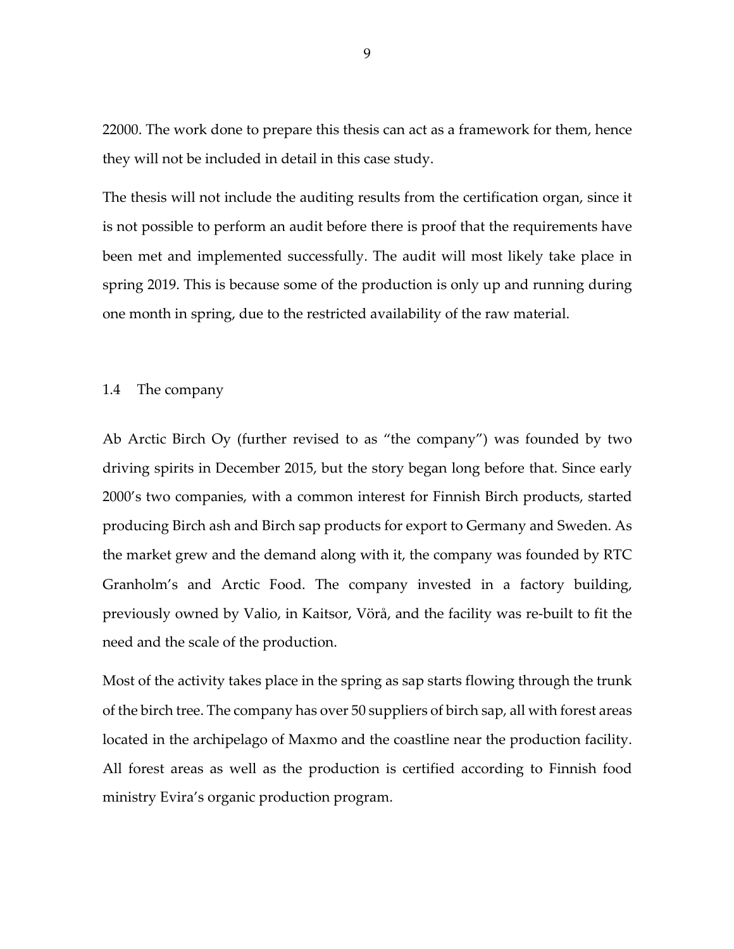22000. The work done to prepare this thesis can act as a framework for them, hence they will not be included in detail in this case study.

The thesis will not include the auditing results from the certification organ, since it is not possible to perform an audit before there is proof that the requirements have been met and implemented successfully. The audit will most likely take place in spring 2019. This is because some of the production is only up and running during one month in spring, due to the restricted availability of the raw material.

### 1.4 The company

Ab Arctic Birch Oy (further revised to as "the company") was founded by two driving spirits in December 2015, but the story began long before that. Since early 2000's two companies, with a common interest for Finnish Birch products, started producing Birch ash and Birch sap products for export to Germany and Sweden. As the market grew and the demand along with it, the company was founded by RTC Granholm's and Arctic Food. The company invested in a factory building, previously owned by Valio, in Kaitsor, Vörå, and the facility was re-built to fit the need and the scale of the production.

Most of the activity takes place in the spring as sap starts flowing through the trunk of the birch tree. The company has over 50 suppliers of birch sap, all with forest areas located in the archipelago of Maxmo and the coastline near the production facility. All forest areas as well as the production is certified according to Finnish food ministry Evira's organic production program.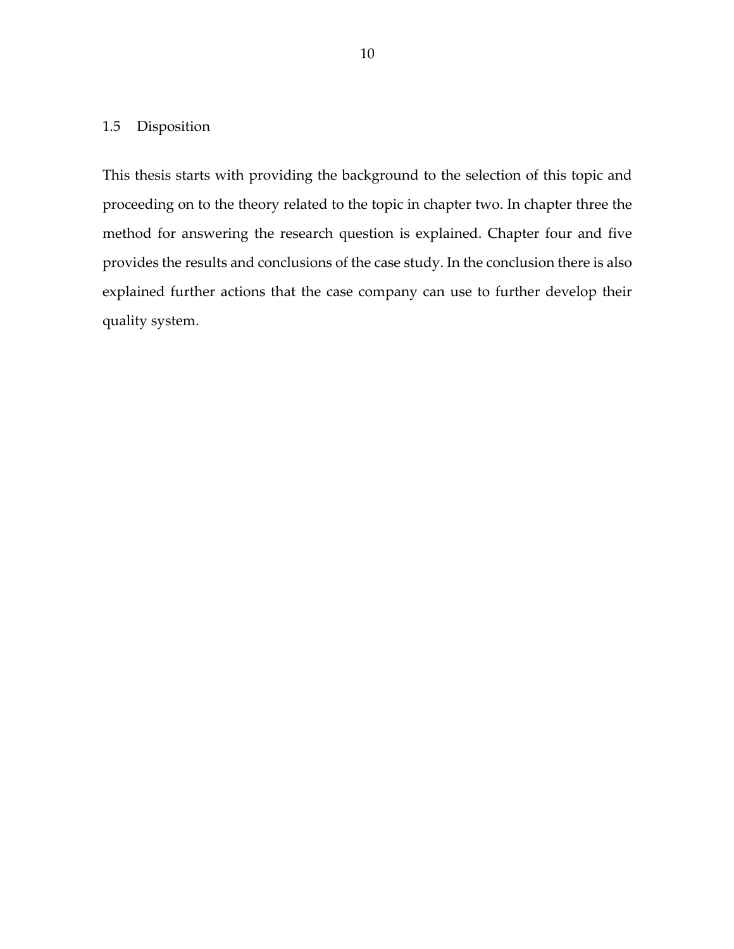# 1.5 Disposition

This thesis starts with providing the background to the selection of this topic and proceeding on to the theory related to the topic in chapter two. In chapter three the method for answering the research question is explained. Chapter four and five provides the results and conclusions of the case study. In the conclusion there is also explained further actions that the case company can use to further develop their quality system.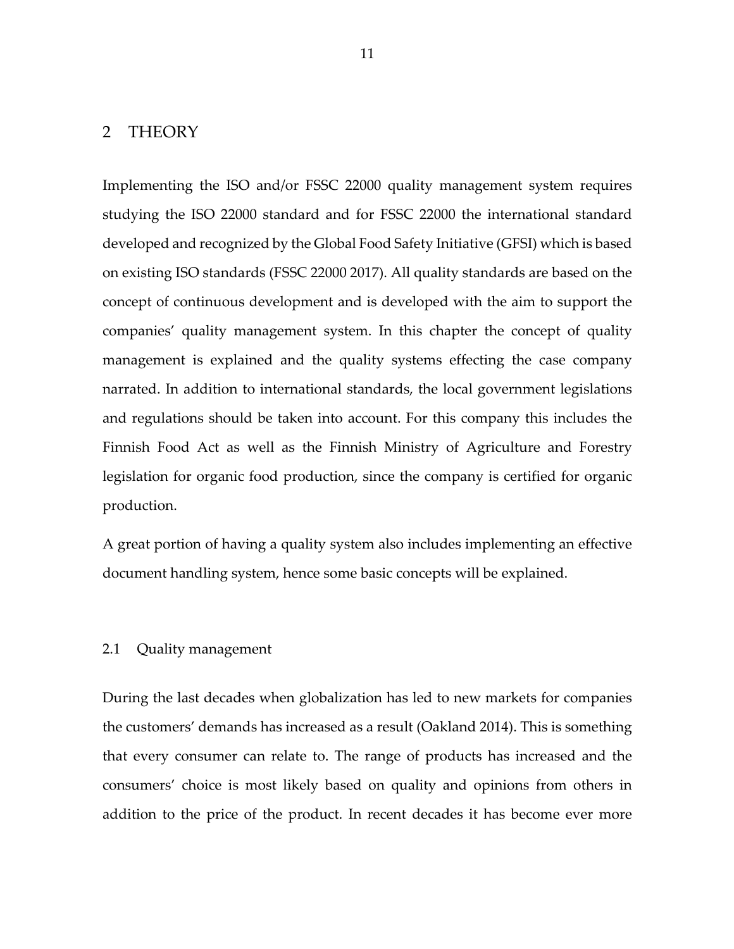# 2 THEORY

Implementing the ISO and/or FSSC 22000 quality management system requires studying the ISO 22000 standard and for FSSC 22000 the international standard developed and recognized by the Global Food Safety Initiative (GFSI) which is based on existing ISO standards (FSSC 22000 2017). All quality standards are based on the concept of continuous development and is developed with the aim to support the companies' quality management system. In this chapter the concept of quality management is explained and the quality systems effecting the case company narrated. In addition to international standards, the local government legislations and regulations should be taken into account. For this company this includes the Finnish Food Act as well as the Finnish Ministry of Agriculture and Forestry legislation for organic food production, since the company is certified for organic production.

A great portion of having a quality system also includes implementing an effective document handling system, hence some basic concepts will be explained.

#### 2.1 Quality management

During the last decades when globalization has led to new markets for companies the customers' demands has increased as a result (Oakland 2014). This is something that every consumer can relate to. The range of products has increased and the consumers' choice is most likely based on quality and opinions from others in addition to the price of the product. In recent decades it has become ever more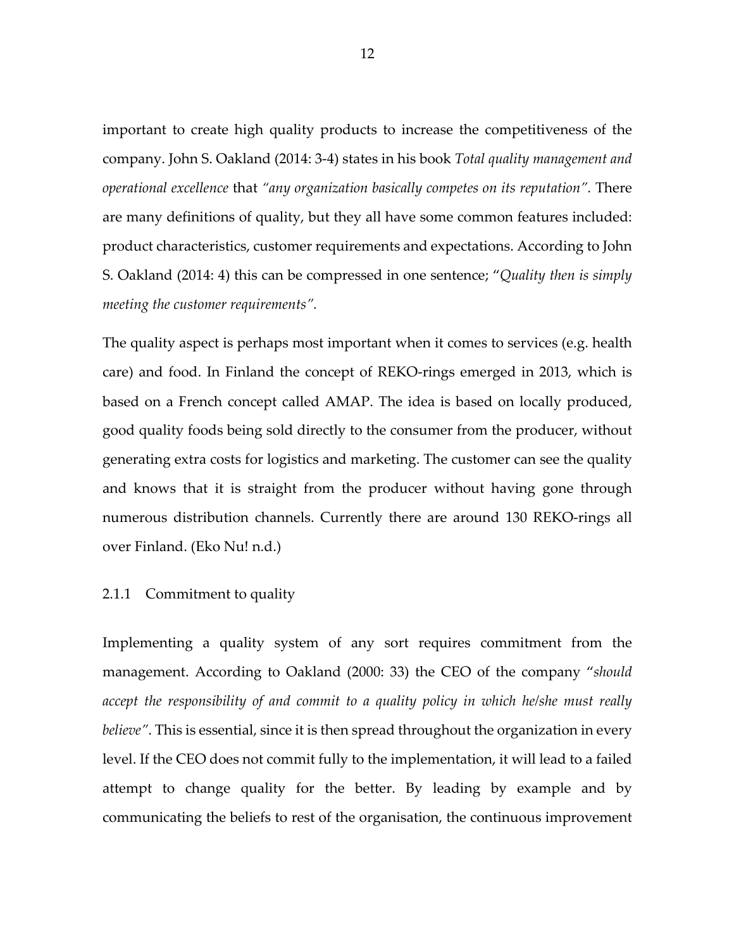important to create high quality products to increase the competitiveness of the company. John S. Oakland (2014: 3-4) states in his book *Total quality management and operational excellence* that *"any organization basically competes on its reputation".* There are many definitions of quality, but they all have some common features included: product characteristics, customer requirements and expectations. According to John S. Oakland (2014: 4) this can be compressed in one sentence; "*Quality then is simply meeting the customer requirements".*

The quality aspect is perhaps most important when it comes to services (e.g. health care) and food. In Finland the concept of REKO-rings emerged in 2013, which is based on a French concept called AMAP. The idea is based on locally produced, good quality foods being sold directly to the consumer from the producer, without generating extra costs for logistics and marketing. The customer can see the quality and knows that it is straight from the producer without having gone through numerous distribution channels. Currently there are around 130 REKO-rings all over Finland. (Eko Nu! n.d.)

### 2.1.1 Commitment to quality

Implementing a quality system of any sort requires commitment from the management. According to Oakland (2000: 33) the CEO of the company "*should accept the responsibility of and commit to a quality policy in which he/she must really believe"*. This is essential, since it is then spread throughout the organization in every level. If the CEO does not commit fully to the implementation, it will lead to a failed attempt to change quality for the better. By leading by example and by communicating the beliefs to rest of the organisation, the continuous improvement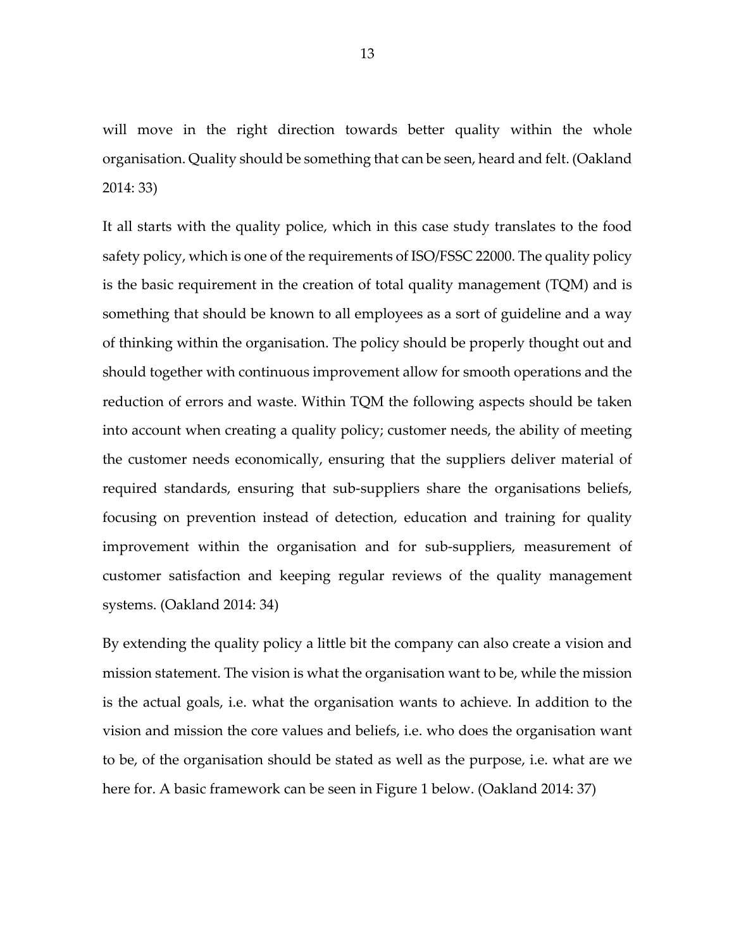will move in the right direction towards better quality within the whole organisation. Quality should be something that can be seen, heard and felt. (Oakland 2014: 33)

It all starts with the quality police, which in this case study translates to the food safety policy, which is one of the requirements of ISO/FSSC 22000. The quality policy is the basic requirement in the creation of total quality management (TQM) and is something that should be known to all employees as a sort of guideline and a way of thinking within the organisation. The policy should be properly thought out and should together with continuous improvement allow for smooth operations and the reduction of errors and waste. Within TQM the following aspects should be taken into account when creating a quality policy; customer needs, the ability of meeting the customer needs economically, ensuring that the suppliers deliver material of required standards, ensuring that sub-suppliers share the organisations beliefs, focusing on prevention instead of detection, education and training for quality improvement within the organisation and for sub-suppliers, measurement of customer satisfaction and keeping regular reviews of the quality management systems. (Oakland 2014: 34)

By extending the quality policy a little bit the company can also create a vision and mission statement. The vision is what the organisation want to be, while the mission is the actual goals, i.e. what the organisation wants to achieve. In addition to the vision and mission the core values and beliefs, i.e. who does the organisation want to be, of the organisation should be stated as well as the purpose, i.e. what are we here for. A basic framework can be seen in Figure 1 below. (Oakland 2014: 37)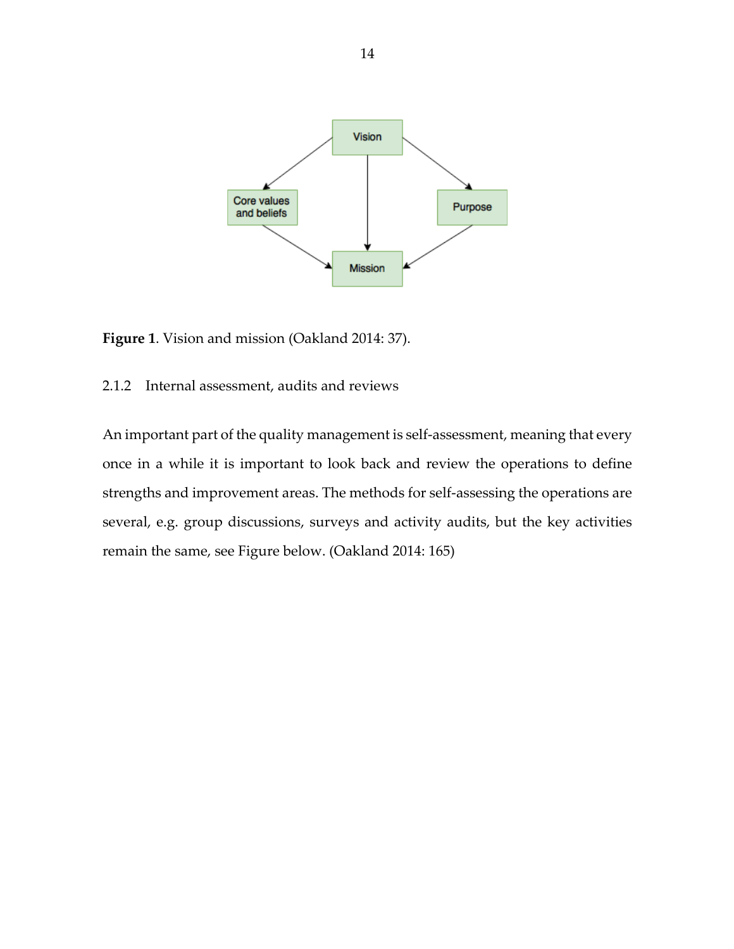

**Figure 1**. Vision and mission (Oakland 2014: 37).

### 2.1.2 Internal assessment, audits and reviews

An important part of the quality management is self-assessment, meaning that every once in a while it is important to look back and review the operations to define strengths and improvement areas. The methods for self-assessing the operations are several, e.g. group discussions, surveys and activity audits, but the key activities remain the same, see Figure below. (Oakland 2014: 165)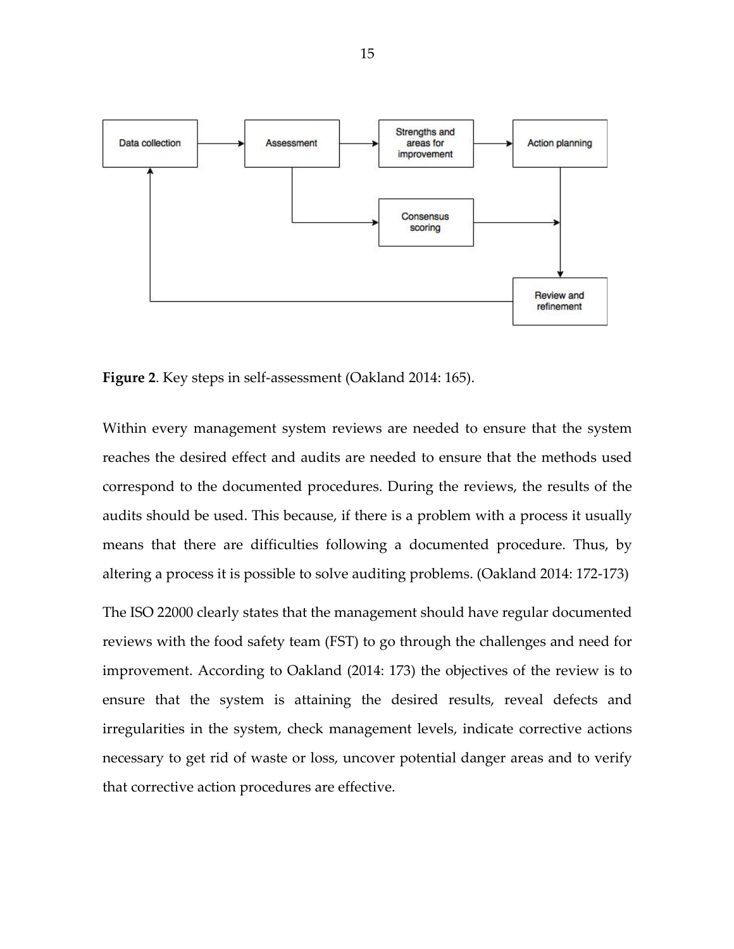

**Figure 2**. Key steps in self-assessment (Oakland 2014: 165).

Within every management system reviews are needed to ensure that the system reaches the desired effect and audits are needed to ensure that the methods used correspond to the documented procedures. During the reviews, the results of the audits should be used. This because, if there is a problem with a process it usually means that there are difficulties following a documented procedure. Thus, by altering a process it is possible to solve auditing problems. (Oakland 2014: 172-173)

The ISO 22000 clearly states that the management should have regular documented reviews with the food safety team (FST) to go through the challenges and need for improvement. According to Oakland (2014: 173) the objectives of the review is to ensure that the system is attaining the desired results, reveal defects and irregularities in the system, check management levels, indicate corrective actions necessary to get rid of waste or loss, uncover potential danger areas and to verify that corrective action procedures are effective.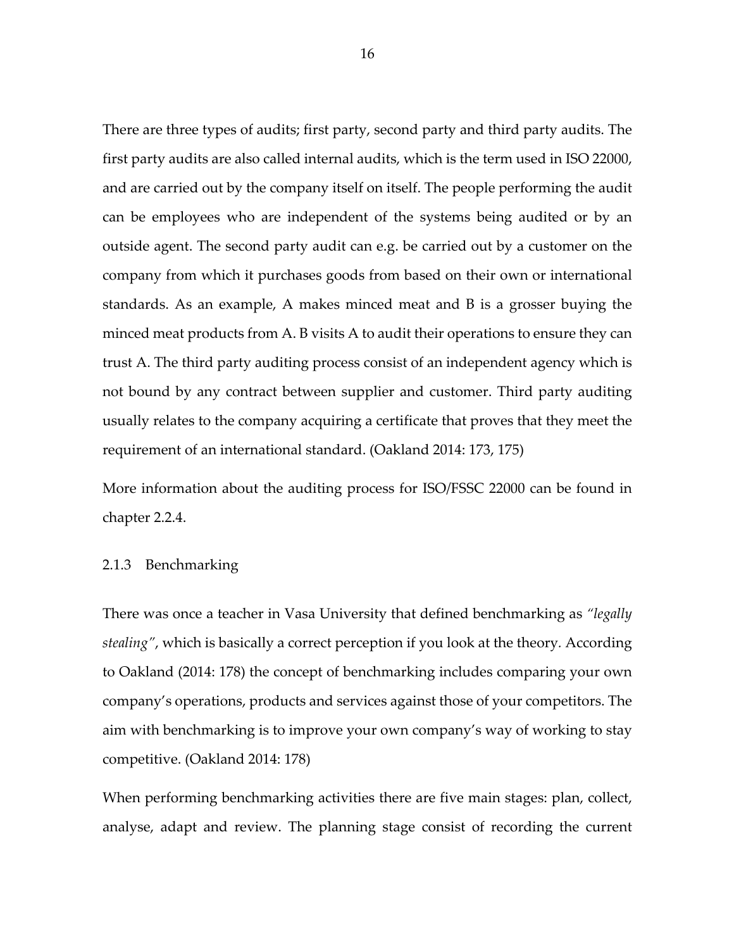There are three types of audits; first party, second party and third party audits. The first party audits are also called internal audits, which is the term used in ISO 22000, and are carried out by the company itself on itself. The people performing the audit can be employees who are independent of the systems being audited or by an outside agent. The second party audit can e.g. be carried out by a customer on the company from which it purchases goods from based on their own or international standards. As an example, A makes minced meat and B is a grosser buying the minced meat products from A. B visits A to audit their operations to ensure they can trust A. The third party auditing process consist of an independent agency which is not bound by any contract between supplier and customer. Third party auditing usually relates to the company acquiring a certificate that proves that they meet the requirement of an international standard. (Oakland 2014: 173, 175)

More information about the auditing process for ISO/FSSC 22000 can be found in chapter 2.2.4.

#### 2.1.3 Benchmarking

There was once a teacher in Vasa University that defined benchmarking as *"legally stealing"*, which is basically a correct perception if you look at the theory*.* According to Oakland (2014: 178) the concept of benchmarking includes comparing your own company's operations, products and services against those of your competitors. The aim with benchmarking is to improve your own company's way of working to stay competitive. (Oakland 2014: 178)

When performing benchmarking activities there are five main stages: plan, collect, analyse, adapt and review. The planning stage consist of recording the current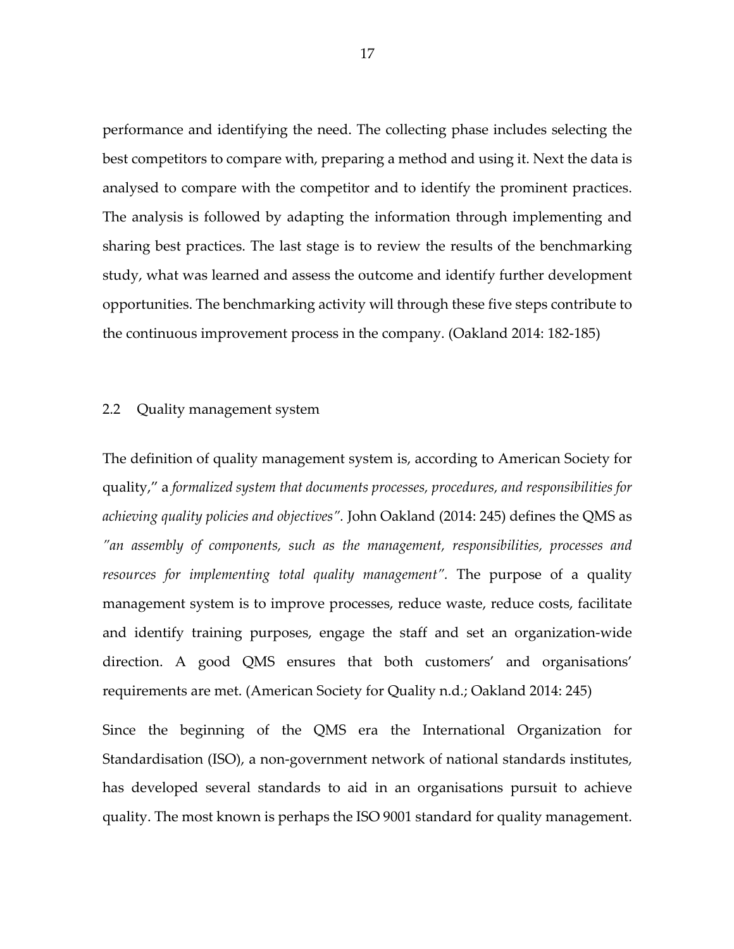performance and identifying the need. The collecting phase includes selecting the best competitors to compare with, preparing a method and using it. Next the data is analysed to compare with the competitor and to identify the prominent practices. The analysis is followed by adapting the information through implementing and sharing best practices. The last stage is to review the results of the benchmarking study, what was learned and assess the outcome and identify further development opportunities. The benchmarking activity will through these five steps contribute to the continuous improvement process in the company. (Oakland 2014: 182-185)

#### 2.2 Quality management system

The definition of quality management system is, according to American Society for quality," a *formalized system that documents processes, procedures, and responsibilities for achieving quality policies and objectives".* John Oakland (2014: 245) defines the QMS as *"an assembly of components, such as the management, responsibilities, processes and resources for implementing total quality management".* The purpose of a quality management system is to improve processes, reduce waste, reduce costs, facilitate and identify training purposes, engage the staff and set an organization-wide direction. A good QMS ensures that both customers' and organisations' requirements are met. (American Society for Quality n.d.; Oakland 2014: 245)

Since the beginning of the QMS era the International Organization for Standardisation (ISO), a non-government network of national standards institutes, has developed several standards to aid in an organisations pursuit to achieve quality. The most known is perhaps the ISO 9001 standard for quality management.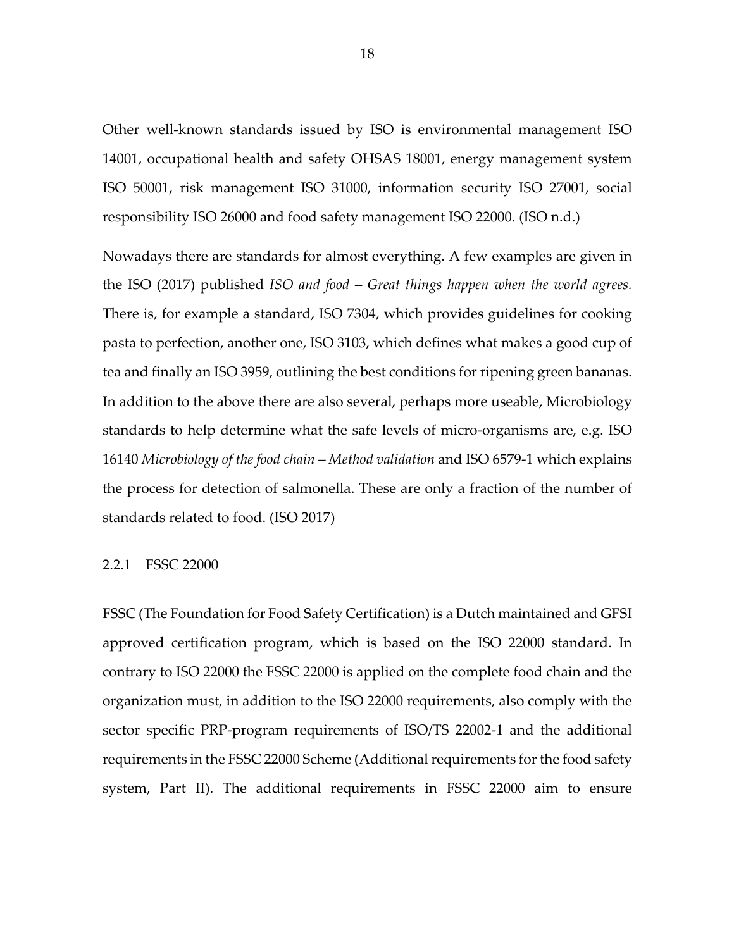Other well-known standards issued by ISO is environmental management ISO 14001, occupational health and safety OHSAS 18001, energy management system ISO 50001, risk management ISO 31000, information security ISO 27001, social responsibility ISO 26000 and food safety management ISO 22000. (ISO n.d.)

Nowadays there are standards for almost everything. A few examples are given in the ISO (2017) published *ISO and food – Great things happen when the world agrees.*  There is, for example a standard, ISO 7304, which provides guidelines for cooking pasta to perfection, another one, ISO 3103, which defines what makes a good cup of tea and finally an ISO 3959, outlining the best conditions for ripening green bananas. In addition to the above there are also several, perhaps more useable, Microbiology standards to help determine what the safe levels of micro-organisms are, e.g. ISO 16140 *Microbiology of the food chain – Method validation* and ISO 6579-1 which explains the process for detection of salmonella. These are only a fraction of the number of standards related to food. (ISO 2017)

#### 2.2.1 FSSC 22000

FSSC (The Foundation for Food Safety Certification) is a Dutch maintained and GFSI approved certification program, which is based on the ISO 22000 standard. In contrary to ISO 22000 the FSSC 22000 is applied on the complete food chain and the organization must, in addition to the ISO 22000 requirements, also comply with the sector specific PRP-program requirements of ISO/TS 22002-1 and the additional requirements in the FSSC 22000 Scheme (Additional requirements for the food safety system, Part II). The additional requirements in FSSC 22000 aim to ensure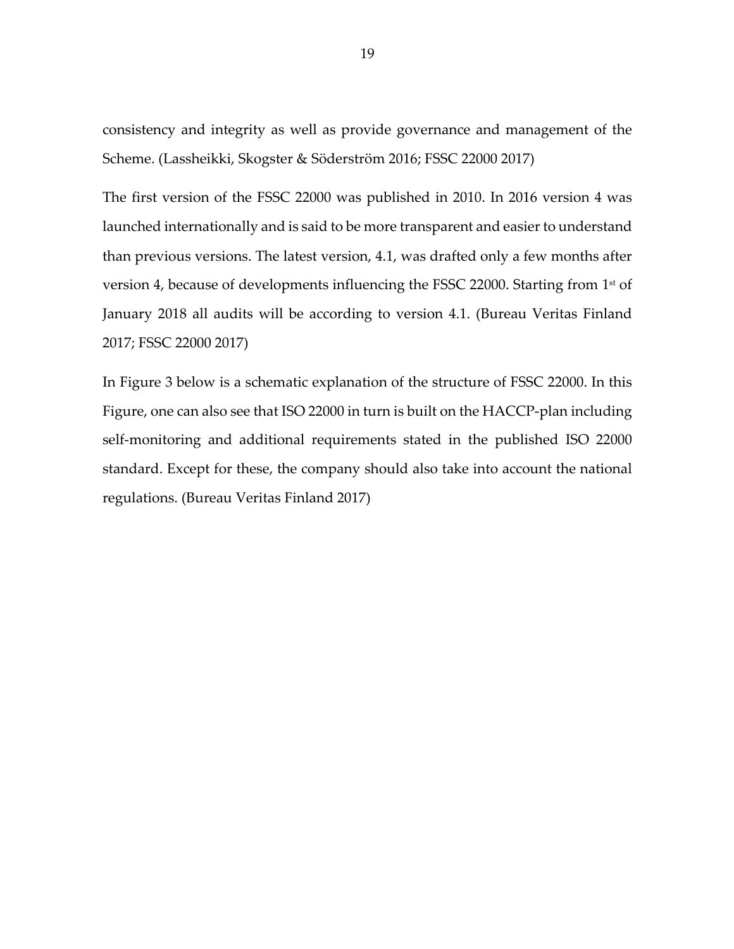consistency and integrity as well as provide governance and management of the Scheme. (Lassheikki, Skogster & Söderström 2016; FSSC 22000 2017)

The first version of the FSSC 22000 was published in 2010. In 2016 version 4 was launched internationally and is said to be more transparent and easier to understand than previous versions. The latest version, 4.1, was drafted only a few months after version 4, because of developments influencing the FSSC 22000. Starting from 1<sup>st</sup> of January 2018 all audits will be according to version 4.1. (Bureau Veritas Finland 2017; FSSC 22000 2017)

In Figure 3 below is a schematic explanation of the structure of FSSC 22000. In this Figure, one can also see that ISO 22000 in turn is built on the HACCP-plan including self-monitoring and additional requirements stated in the published ISO 22000 standard. Except for these, the company should also take into account the national regulations. (Bureau Veritas Finland 2017)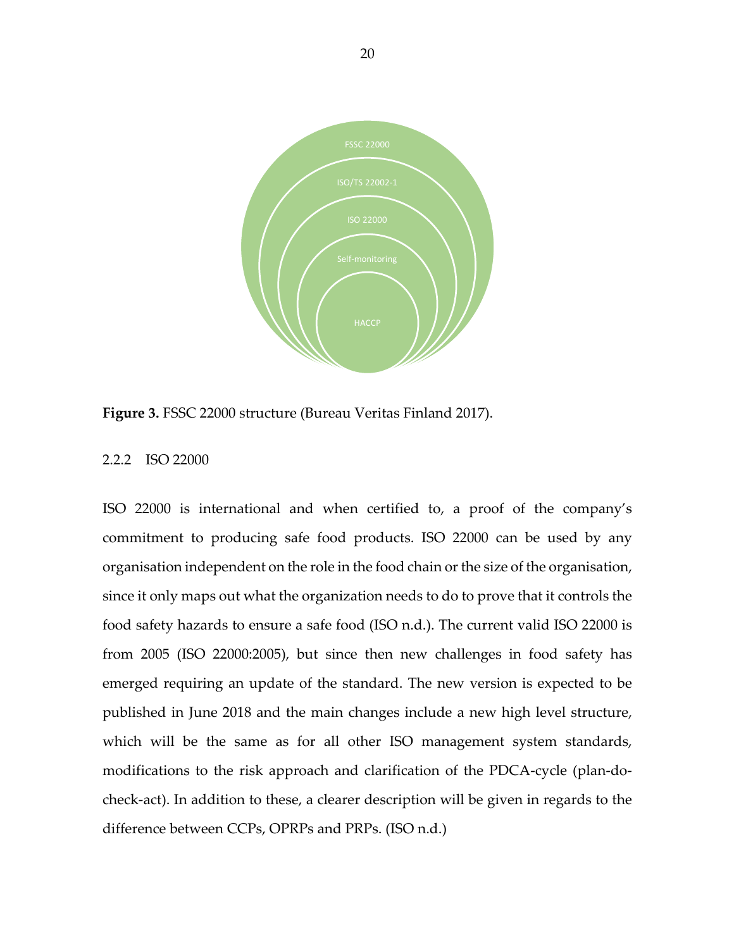

**Figure 3.** FSSC 22000 structure (Bureau Veritas Finland 2017).

#### 2.2.2 ISO 22000

ISO 22000 is international and when certified to, a proof of the company's commitment to producing safe food products. ISO 22000 can be used by any organisation independent on the role in the food chain or the size of the organisation, since it only maps out what the organization needs to do to prove that it controls the food safety hazards to ensure a safe food (ISO n.d.). The current valid ISO 22000 is from 2005 (ISO 22000:2005), but since then new challenges in food safety has emerged requiring an update of the standard. The new version is expected to be published in June 2018 and the main changes include a new high level structure, which will be the same as for all other ISO management system standards, modifications to the risk approach and clarification of the PDCA-cycle (plan-docheck-act). In addition to these, a clearer description will be given in regards to the difference between CCPs, OPRPs and PRPs. (ISO n.d.)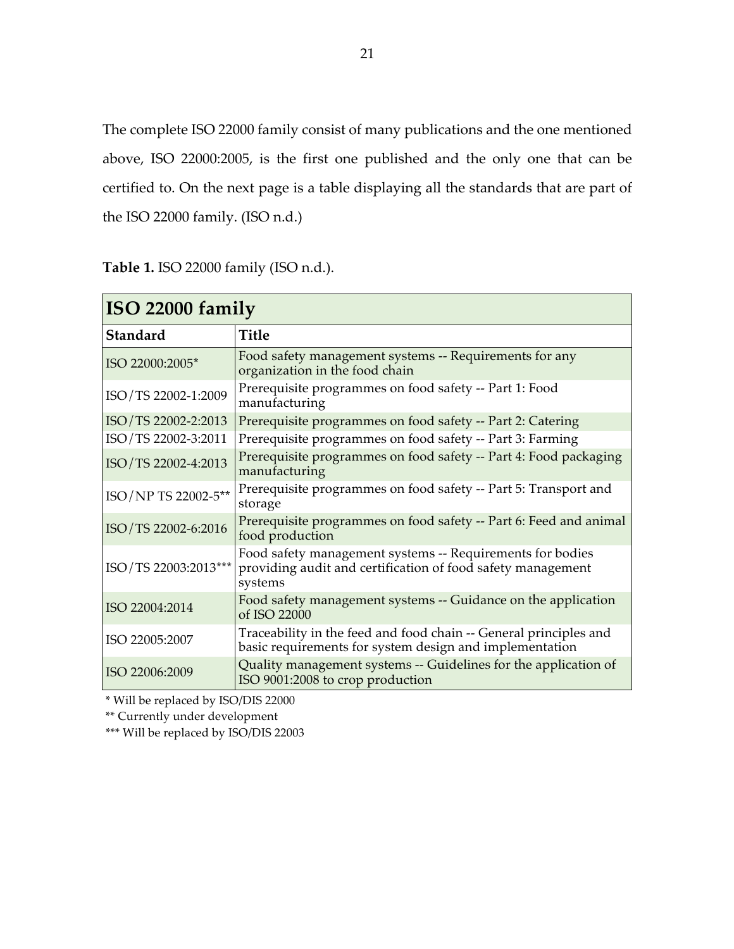The complete ISO 22000 family consist of many publications and the one mentioned above, ISO 22000:2005, is the first one published and the only one that can be certified to. On the next page is a table displaying all the standards that are part of the ISO 22000 family. (ISO n.d.)

ī

**Table 1.** ISO 22000 family (ISO n.d.).

| ISO 22000 family     |                                                                                                                                     |  |  |
|----------------------|-------------------------------------------------------------------------------------------------------------------------------------|--|--|
| <b>Standard</b>      | <b>Title</b>                                                                                                                        |  |  |
| ISO 22000:2005*      | Food safety management systems -- Requirements for any<br>organization in the food chain                                            |  |  |
| ISO/TS 22002-1:2009  | Prerequisite programmes on food safety -- Part 1: Food<br>manufacturing                                                             |  |  |
| ISO/TS 22002-2:2013  | Prerequisite programmes on food safety -- Part 2: Catering                                                                          |  |  |
| ISO/TS 22002-3:2011  | Prerequisite programmes on food safety -- Part 3: Farming                                                                           |  |  |
| ISO/TS 22002-4:2013  | Prerequisite programmes on food safety -- Part 4: Food packaging<br>manufacturing                                                   |  |  |
| ISO/NP TS 22002-5**  | Prerequisite programmes on food safety -- Part 5: Transport and<br>storage                                                          |  |  |
| ISO/TS 22002-6:2016  | Prerequisite programmes on food safety -- Part 6: Feed and animal<br>food production                                                |  |  |
| ISO/TS 22003:2013*** | Food safety management systems -- Requirements for bodies<br>providing audit and certification of food safety management<br>systems |  |  |
| ISO 22004:2014       | Food safety management systems -- Guidance on the application<br>of ISO 22000                                                       |  |  |
| ISO 22005:2007       | Traceability in the feed and food chain -- General principles and<br>basic requirements for system design and implementation        |  |  |
| ISO 22006:2009       | Quality management systems -- Guidelines for the application of<br>ISO 9001:2008 to crop production                                 |  |  |

\* Will be replaced by ISO/DIS 22000

\*\* Currently under development

\*\*\* Will be replaced by ISO/DIS 22003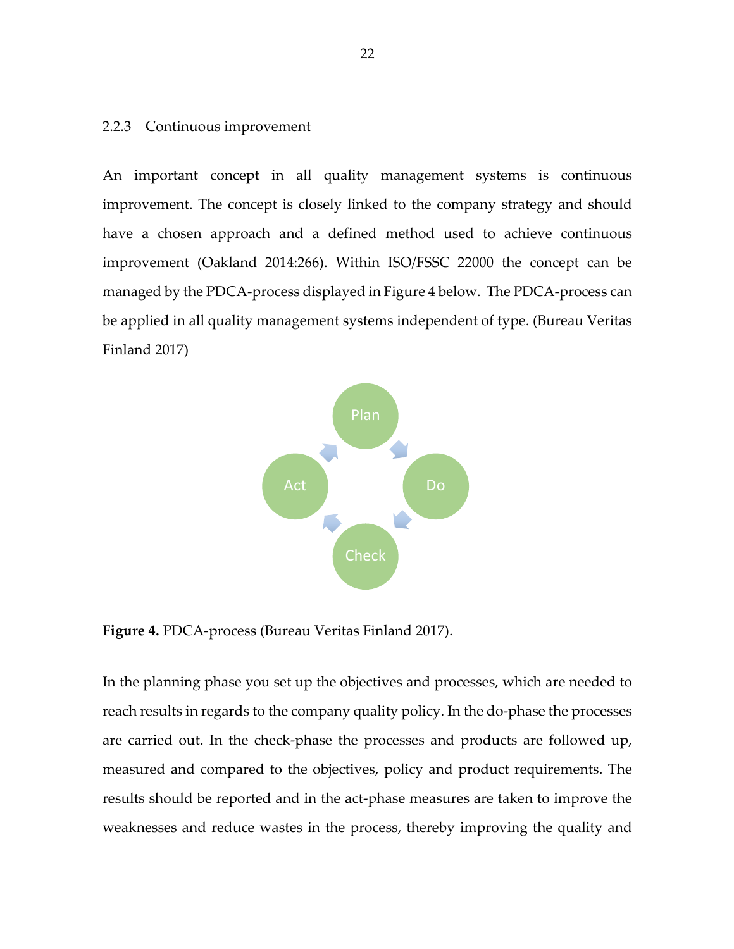#### 2.2.3 Continuous improvement

An important concept in all quality management systems is continuous improvement. The concept is closely linked to the company strategy and should have a chosen approach and a defined method used to achieve continuous improvement (Oakland 2014:266). Within ISO/FSSC 22000 the concept can be managed by the PDCA-process displayed in Figure 4 below. The PDCA-process can be applied in all quality management systems independent of type. (Bureau Veritas Finland 2017)



**Figure 4.** PDCA-process (Bureau Veritas Finland 2017).

In the planning phase you set up the objectives and processes, which are needed to reach results in regards to the company quality policy. In the do-phase the processes are carried out. In the check-phase the processes and products are followed up, measured and compared to the objectives, policy and product requirements. The results should be reported and in the act-phase measures are taken to improve the weaknesses and reduce wastes in the process, thereby improving the quality and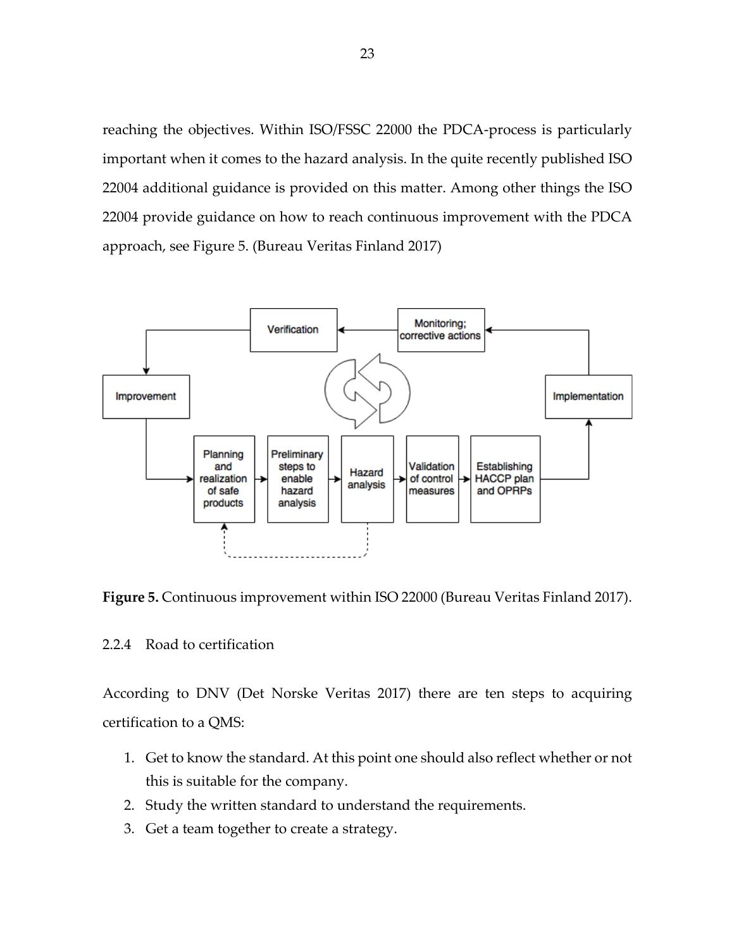reaching the objectives. Within ISO/FSSC 22000 the PDCA-process is particularly important when it comes to the hazard analysis. In the quite recently published ISO 22004 additional guidance is provided on this matter. Among other things the ISO 22004 provide guidance on how to reach continuous improvement with the PDCA approach, see Figure 5. (Bureau Veritas Finland 2017)



**Figure 5.** Continuous improvement within ISO 22000 (Bureau Veritas Finland 2017).

# 2.2.4 Road to certification

According to DNV (Det Norske Veritas 2017) there are ten steps to acquiring certification to a QMS:

- 1. Get to know the standard. At this point one should also reflect whether or not this is suitable for the company.
- 2. Study the written standard to understand the requirements.
- 3. Get a team together to create a strategy.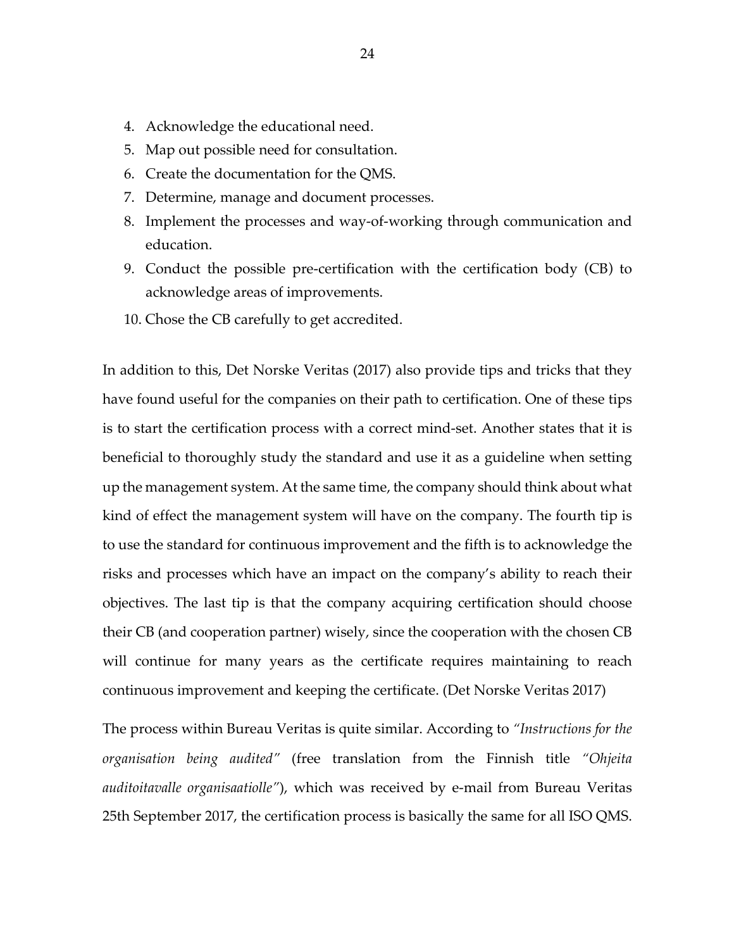- 4. Acknowledge the educational need.
- 5. Map out possible need for consultation.
- 6. Create the documentation for the QMS.
- 7. Determine, manage and document processes.
- 8. Implement the processes and way-of-working through communication and education.
- 9. Conduct the possible pre-certification with the certification body (CB) to acknowledge areas of improvements.
- 10. Chose the CB carefully to get accredited.

In addition to this, Det Norske Veritas (2017) also provide tips and tricks that they have found useful for the companies on their path to certification. One of these tips is to start the certification process with a correct mind-set. Another states that it is beneficial to thoroughly study the standard and use it as a guideline when setting up the management system. At the same time, the company should think about what kind of effect the management system will have on the company. The fourth tip is to use the standard for continuous improvement and the fifth is to acknowledge the risks and processes which have an impact on the company's ability to reach their objectives. The last tip is that the company acquiring certification should choose their CB (and cooperation partner) wisely, since the cooperation with the chosen CB will continue for many years as the certificate requires maintaining to reach continuous improvement and keeping the certificate. (Det Norske Veritas 2017)

The process within Bureau Veritas is quite similar. According to *"Instructions for the organisation being audited"* (free translation from the Finnish title *"Ohjeita auditoitavalle organisaatiolle"*), which was received by e-mail from Bureau Veritas 25th September 2017, the certification process is basically the same for all ISO QMS.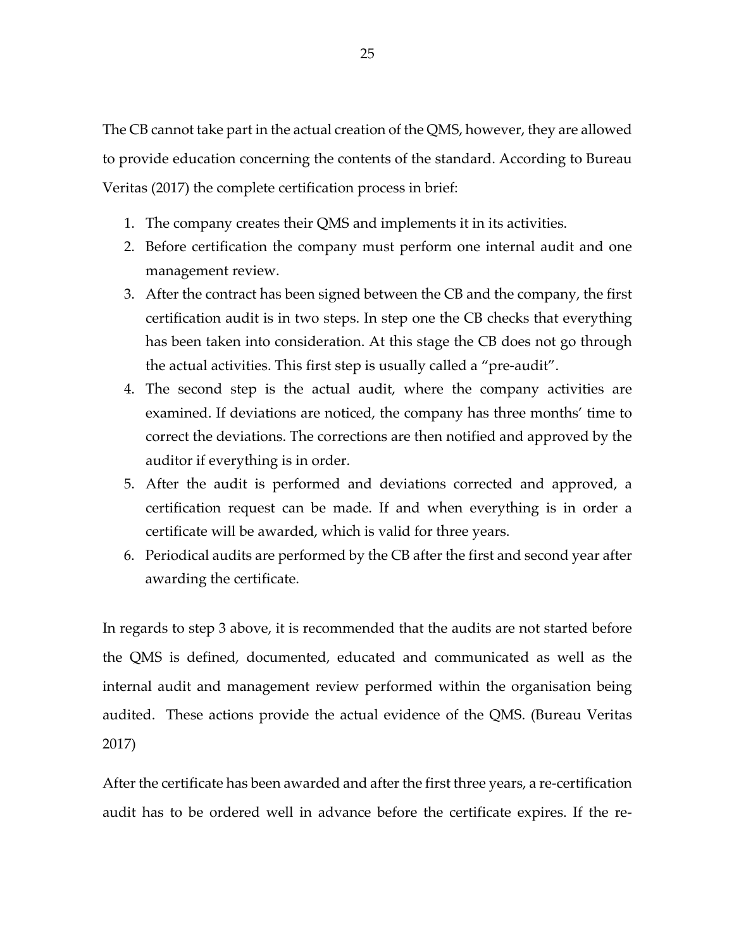The CB cannot take part in the actual creation of the QMS, however, they are allowed to provide education concerning the contents of the standard. According to Bureau Veritas (2017) the complete certification process in brief:

- 1. The company creates their QMS and implements it in its activities.
- 2. Before certification the company must perform one internal audit and one management review.
- 3. After the contract has been signed between the CB and the company, the first certification audit is in two steps. In step one the CB checks that everything has been taken into consideration. At this stage the CB does not go through the actual activities. This first step is usually called a "pre-audit".
- 4. The second step is the actual audit, where the company activities are examined. If deviations are noticed, the company has three months' time to correct the deviations. The corrections are then notified and approved by the auditor if everything is in order.
- 5. After the audit is performed and deviations corrected and approved, a certification request can be made. If and when everything is in order a certificate will be awarded, which is valid for three years.
- 6. Periodical audits are performed by the CB after the first and second year after awarding the certificate.

In regards to step 3 above, it is recommended that the audits are not started before the QMS is defined, documented, educated and communicated as well as the internal audit and management review performed within the organisation being audited. These actions provide the actual evidence of the QMS. (Bureau Veritas 2017)

After the certificate has been awarded and after the first three years, a re-certification audit has to be ordered well in advance before the certificate expires. If the re-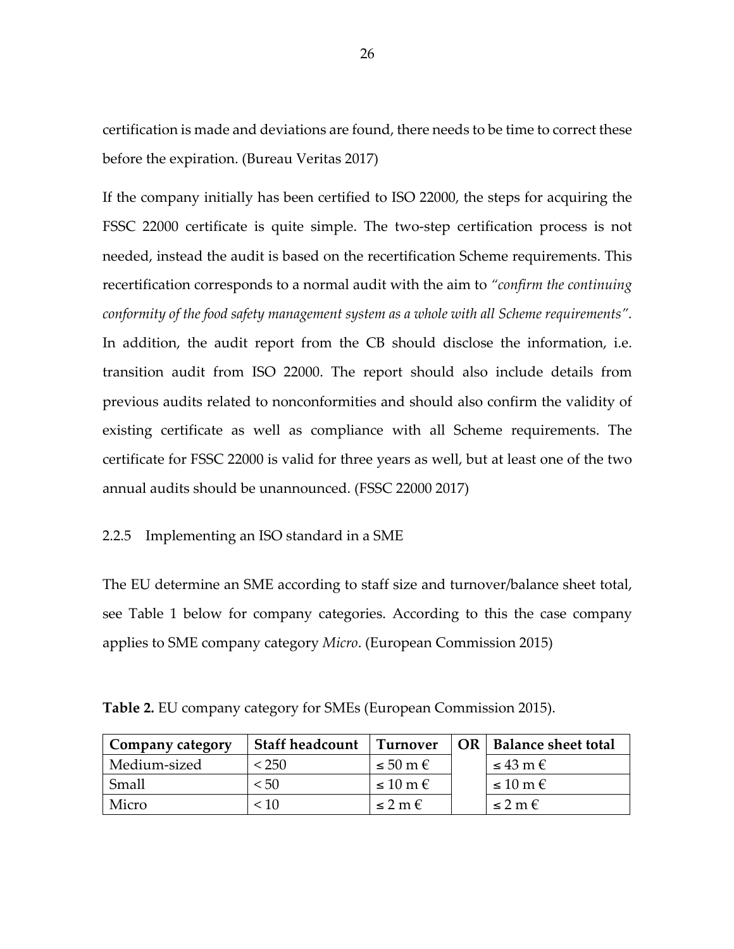certification is made and deviations are found, there needs to be time to correct these before the expiration. (Bureau Veritas 2017)

If the company initially has been certified to ISO 22000, the steps for acquiring the FSSC 22000 certificate is quite simple. The two-step certification process is not needed, instead the audit is based on the recertification Scheme requirements. This recertification corresponds to a normal audit with the aim to *"confirm the continuing conformity of the food safety management system as a whole with all Scheme requirements".*  In addition, the audit report from the CB should disclose the information, i.e. transition audit from ISO 22000. The report should also include details from previous audits related to nonconformities and should also confirm the validity of existing certificate as well as compliance with all Scheme requirements. The certificate for FSSC 22000 is valid for three years as well, but at least one of the two annual audits should be unannounced. (FSSC 22000 2017)

## 2.2.5 Implementing an ISO standard in a SME

The EU determine an SME according to staff size and turnover/balance sheet total, see Table 1 below for company categories. According to this the case company applies to SME company category *Micro*. (European Commission 2015)

| Company category | <b>Staff headcount</b> | <b>Turnover</b>         | OR   Balance sheet total |
|------------------|------------------------|-------------------------|--------------------------|
| Medium-sized     | < 250                  | $\leq 50 \text{ m} \in$ | $\leq 43$ m $\epsilon$   |
| Small            | < 50                   | $\leq 10 \text{ m} \in$ | $\leq 10 \text{ m} \in$  |
| Micro            | < 10                   | $\leq 2 m \epsilon$     | $\leq$ 2 m $\in$         |

**Table 2.** EU company category for SMEs (European Commission 2015).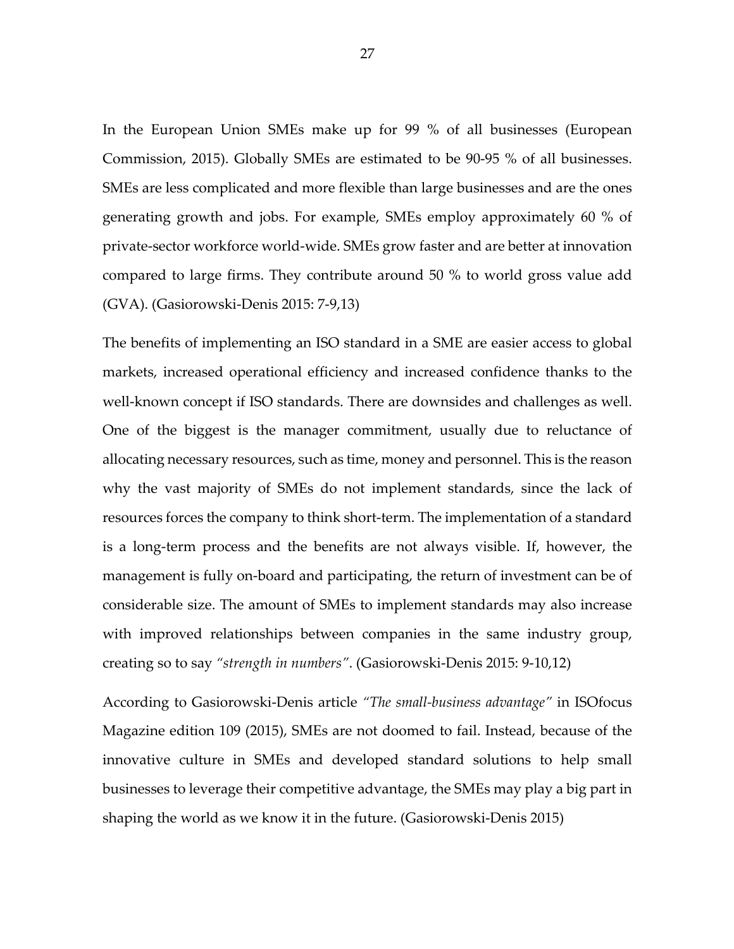In the European Union SMEs make up for 99 % of all businesses (European Commission, 2015). Globally SMEs are estimated to be 90-95 % of all businesses. SMEs are less complicated and more flexible than large businesses and are the ones generating growth and jobs. For example, SMEs employ approximately 60 % of private-sector workforce world-wide. SMEs grow faster and are better at innovation compared to large firms. They contribute around 50 % to world gross value add (GVA). (Gasiorowski-Denis 2015: 7-9,13)

The benefits of implementing an ISO standard in a SME are easier access to global markets, increased operational efficiency and increased confidence thanks to the well-known concept if ISO standards. There are downsides and challenges as well. One of the biggest is the manager commitment, usually due to reluctance of allocating necessary resources, such as time, money and personnel. This is the reason why the vast majority of SMEs do not implement standards, since the lack of resources forces the company to think short-term. The implementation of a standard is a long-term process and the benefits are not always visible. If, however, the management is fully on-board and participating, the return of investment can be of considerable size. The amount of SMEs to implement standards may also increase with improved relationships between companies in the same industry group, creating so to say *"strength in numbers"*. (Gasiorowski-Denis 2015: 9-10,12)

According to Gasiorowski-Denis article *"The small-business advantage"* in ISOfocus Magazine edition 109 (2015), SMEs are not doomed to fail. Instead, because of the innovative culture in SMEs and developed standard solutions to help small businesses to leverage their competitive advantage, the SMEs may play a big part in shaping the world as we know it in the future. (Gasiorowski-Denis 2015)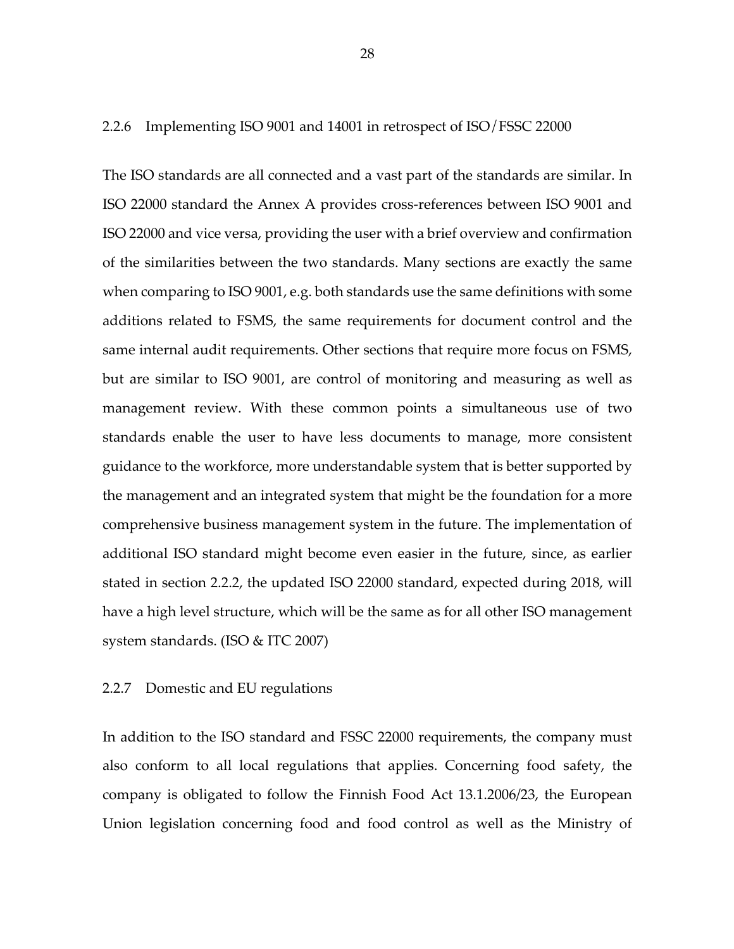#### 2.2.6 Implementing ISO 9001 and 14001 in retrospect of ISO/FSSC 22000

The ISO standards are all connected and a vast part of the standards are similar. In ISO 22000 standard the Annex A provides cross-references between ISO 9001 and ISO 22000 and vice versa, providing the user with a brief overview and confirmation of the similarities between the two standards. Many sections are exactly the same when comparing to ISO 9001, e.g. both standards use the same definitions with some additions related to FSMS, the same requirements for document control and the same internal audit requirements. Other sections that require more focus on FSMS, but are similar to ISO 9001, are control of monitoring and measuring as well as management review. With these common points a simultaneous use of two standards enable the user to have less documents to manage, more consistent guidance to the workforce, more understandable system that is better supported by the management and an integrated system that might be the foundation for a more comprehensive business management system in the future. The implementation of additional ISO standard might become even easier in the future, since, as earlier stated in section 2.2.2, the updated ISO 22000 standard, expected during 2018, will have a high level structure, which will be the same as for all other ISO management system standards. (ISO & ITC 2007)

#### 2.2.7 Domestic and EU regulations

In addition to the ISO standard and FSSC 22000 requirements, the company must also conform to all local regulations that applies. Concerning food safety, the company is obligated to follow the Finnish Food Act 13.1.2006/23, the European Union legislation concerning food and food control as well as the Ministry of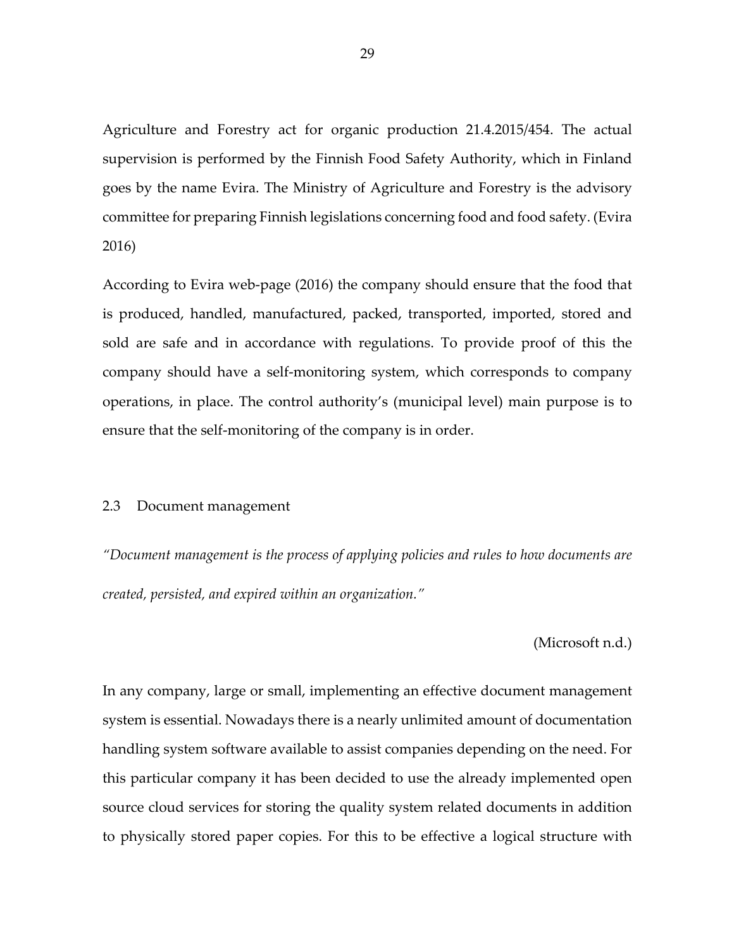Agriculture and Forestry act for organic production 21.4.2015/454. The actual supervision is performed by the Finnish Food Safety Authority, which in Finland goes by the name Evira. The Ministry of Agriculture and Forestry is the advisory committee for preparing Finnish legislations concerning food and food safety. (Evira 2016)

According to Evira web-page (2016) the company should ensure that the food that is produced, handled, manufactured, packed, transported, imported, stored and sold are safe and in accordance with regulations. To provide proof of this the company should have a self-monitoring system, which corresponds to company operations, in place. The control authority's (municipal level) main purpose is to ensure that the self-monitoring of the company is in order.

#### 2.3 Document management

*"Document management is the process of applying policies and rules to how documents are created, persisted, and expired within an organization."*

(Microsoft n.d.)

In any company, large or small, implementing an effective document management system is essential. Nowadays there is a nearly unlimited amount of documentation handling system software available to assist companies depending on the need. For this particular company it has been decided to use the already implemented open source cloud services for storing the quality system related documents in addition to physically stored paper copies. For this to be effective a logical structure with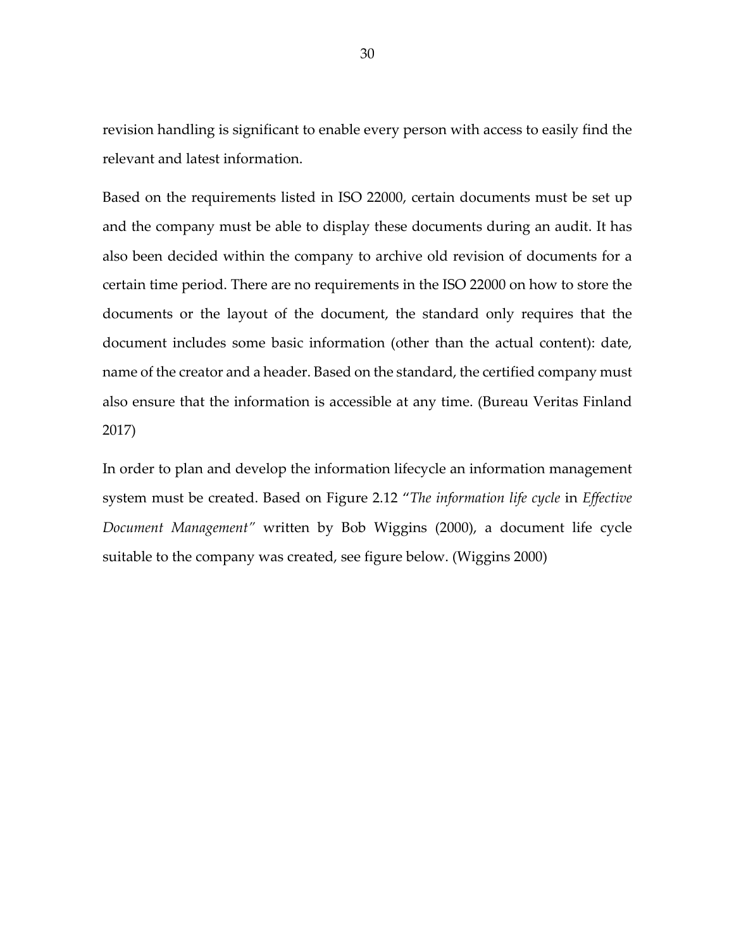revision handling is significant to enable every person with access to easily find the relevant and latest information.

Based on the requirements listed in ISO 22000, certain documents must be set up and the company must be able to display these documents during an audit. It has also been decided within the company to archive old revision of documents for a certain time period. There are no requirements in the ISO 22000 on how to store the documents or the layout of the document, the standard only requires that the document includes some basic information (other than the actual content): date, name of the creator and a header. Based on the standard, the certified company must also ensure that the information is accessible at any time. (Bureau Veritas Finland 2017)

In order to plan and develop the information lifecycle an information management system must be created. Based on Figure 2.12 "*The information life cycle* in *Effective Document Management"* written by Bob Wiggins (2000), a document life cycle suitable to the company was created, see figure below. (Wiggins 2000)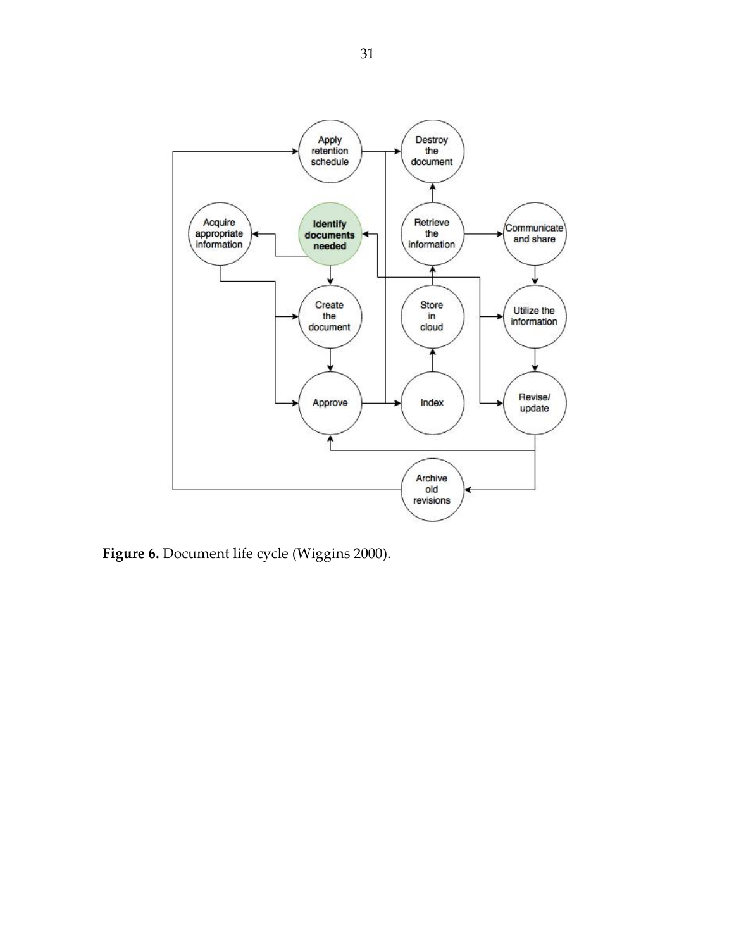

**Figure 6.** Document life cycle (Wiggins 2000).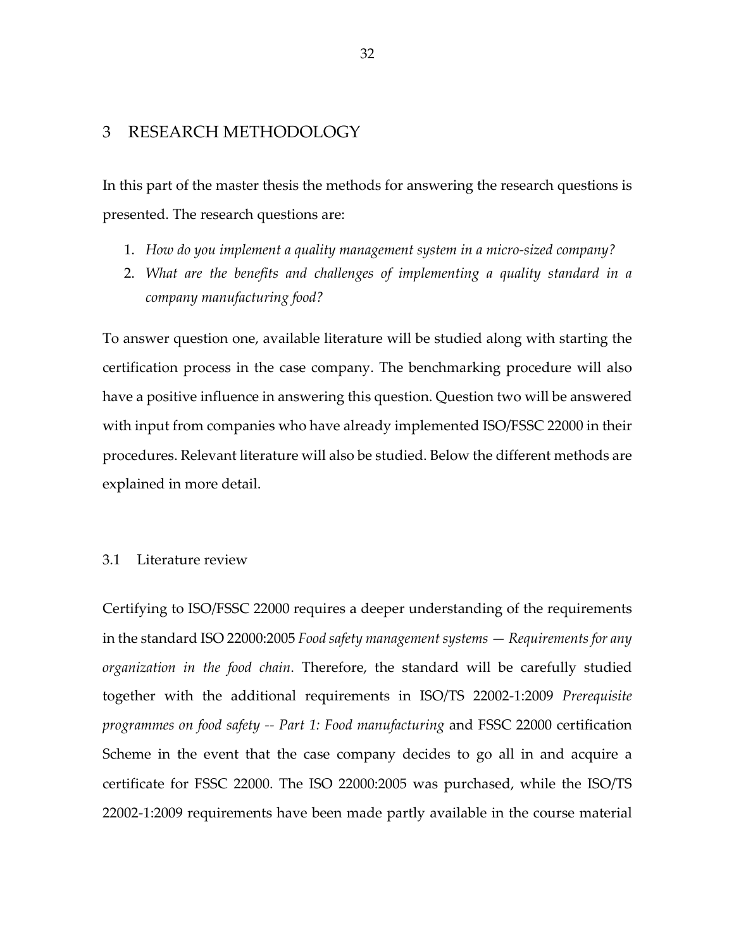## 3 RESEARCH METHODOLOGY

In this part of the master thesis the methods for answering the research questions is presented. The research questions are:

- 1. *How do you implement a quality management system in a micro-sized company?*
- 2. *What are the benefits and challenges of implementing a quality standard in a company manufacturing food?*

To answer question one, available literature will be studied along with starting the certification process in the case company. The benchmarking procedure will also have a positive influence in answering this question. Question two will be answered with input from companies who have already implemented ISO/FSSC 22000 in their procedures. Relevant literature will also be studied. Below the different methods are explained in more detail.

### 3.1 Literature review

Certifying to ISO/FSSC 22000 requires a deeper understanding of the requirements in the standard ISO 22000:2005 *Food safety management systems — Requirements for any organization in the food chain*. Therefore, the standard will be carefully studied together with the additional requirements in ISO/TS 22002-1:2009 *Prerequisite programmes on food safety -- Part 1: Food manufacturing* and FSSC 22000 certification Scheme in the event that the case company decides to go all in and acquire a certificate for FSSC 22000. The ISO 22000:2005 was purchased, while the ISO/TS 22002-1:2009 requirements have been made partly available in the course material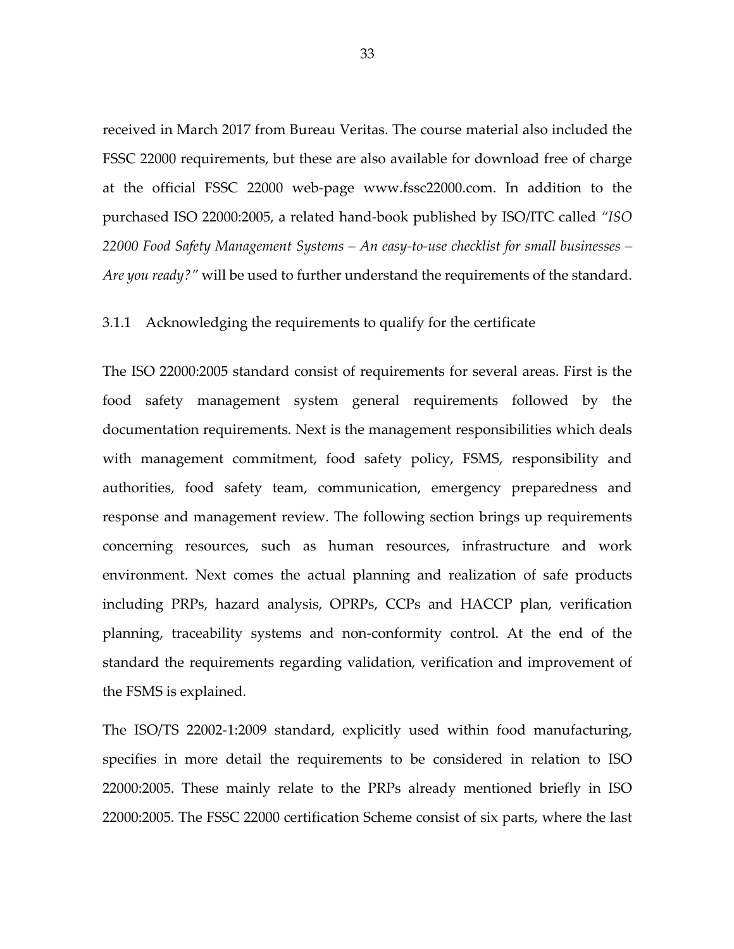received in March 2017 from Bureau Veritas. The course material also included the FSSC 22000 requirements, but these are also available for download free of charge at the official FSSC 22000 web-page www.fssc22000.com. In addition to the purchased ISO 22000:2005, a related hand-book published by ISO/ITC called *"ISO 22000 Food Safety Management Systems – An easy-to-use checklist for small businesses – Are you ready?"* will be used to further understand the requirements of the standard.

3.1.1 Acknowledging the requirements to qualify for the certificate

The ISO 22000:2005 standard consist of requirements for several areas. First is the food safety management system general requirements followed by the documentation requirements. Next is the management responsibilities which deals with management commitment, food safety policy, FSMS, responsibility and authorities, food safety team, communication, emergency preparedness and response and management review. The following section brings up requirements concerning resources, such as human resources, infrastructure and work environment. Next comes the actual planning and realization of safe products including PRPs, hazard analysis, OPRPs, CCPs and HACCP plan, verification planning, traceability systems and non-conformity control. At the end of the standard the requirements regarding validation, verification and improvement of the FSMS is explained.

The ISO/TS 22002-1:2009 standard, explicitly used within food manufacturing, specifies in more detail the requirements to be considered in relation to ISO 22000:2005. These mainly relate to the PRPs already mentioned briefly in ISO 22000:2005. The FSSC 22000 certification Scheme consist of six parts, where the last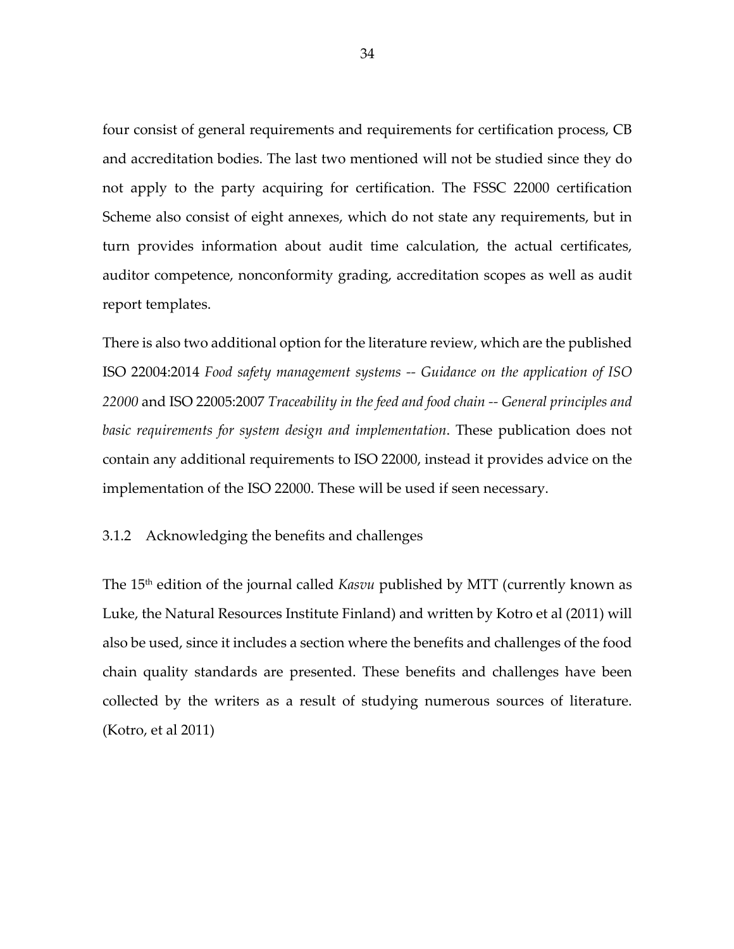four consist of general requirements and requirements for certification process, CB and accreditation bodies. The last two mentioned will not be studied since they do not apply to the party acquiring for certification. The FSSC 22000 certification Scheme also consist of eight annexes, which do not state any requirements, but in turn provides information about audit time calculation, the actual certificates, auditor competence, nonconformity grading, accreditation scopes as well as audit report templates.

There is also two additional option for the literature review, which are the published ISO 22004:2014 *Food safety management systems -- Guidance on the application of ISO 22000* and ISO 22005:2007 *Traceability in the feed and food chain -- General principles and basic requirements for system design and implementation*. These publication does not contain any additional requirements to ISO 22000, instead it provides advice on the implementation of the ISO 22000. These will be used if seen necessary.

3.1.2 Acknowledging the benefits and challenges

The 15th edition of the journal called *Kasvu* published by MTT (currently known as Luke, the Natural Resources Institute Finland) and written by Kotro et al (2011) will also be used, since it includes a section where the benefits and challenges of the food chain quality standards are presented. These benefits and challenges have been collected by the writers as a result of studying numerous sources of literature. (Kotro, et al 2011)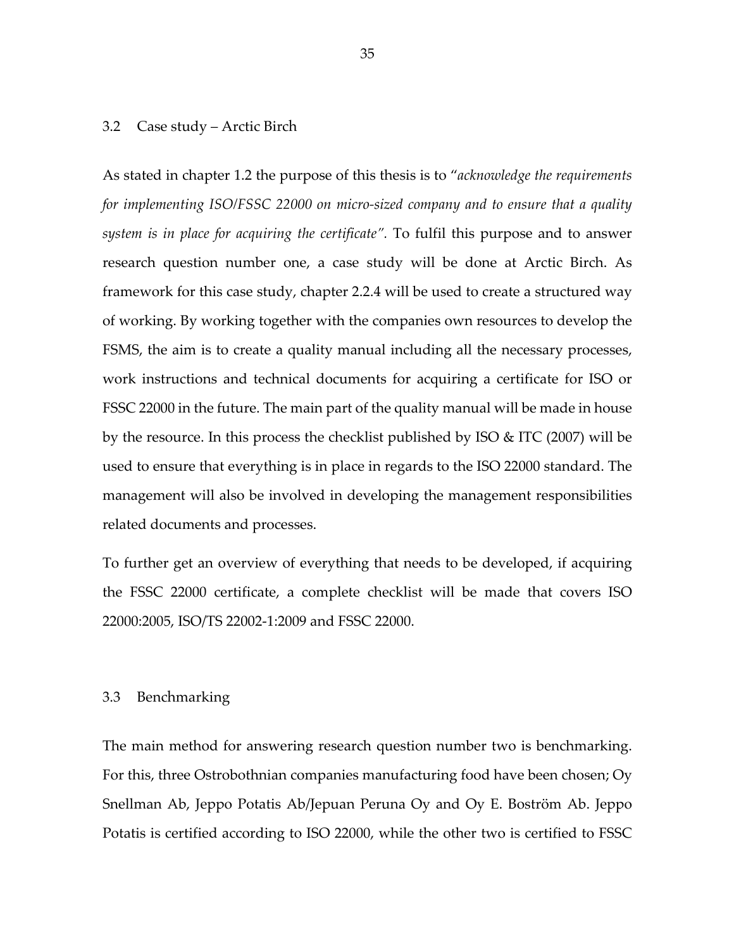#### 3.2 Case study – Arctic Birch

As stated in chapter 1.2 the purpose of this thesis is to "*acknowledge the requirements for implementing ISO/FSSC 22000 on micro-sized company and to ensure that a quality system is in place for acquiring the certificate".* To fulfil this purpose and to answer research question number one, a case study will be done at Arctic Birch. As framework for this case study, chapter 2.2.4 will be used to create a structured way of working. By working together with the companies own resources to develop the FSMS, the aim is to create a quality manual including all the necessary processes, work instructions and technical documents for acquiring a certificate for ISO or FSSC 22000 in the future. The main part of the quality manual will be made in house by the resource. In this process the checklist published by ISO & ITC (2007) will be used to ensure that everything is in place in regards to the ISO 22000 standard. The management will also be involved in developing the management responsibilities related documents and processes.

To further get an overview of everything that needs to be developed, if acquiring the FSSC 22000 certificate, a complete checklist will be made that covers ISO 22000:2005, ISO/TS 22002-1:2009 and FSSC 22000.

#### 3.3 Benchmarking

The main method for answering research question number two is benchmarking. For this, three Ostrobothnian companies manufacturing food have been chosen; Oy Snellman Ab, Jeppo Potatis Ab/Jepuan Peruna Oy and Oy E. Boström Ab. Jeppo Potatis is certified according to ISO 22000, while the other two is certified to FSSC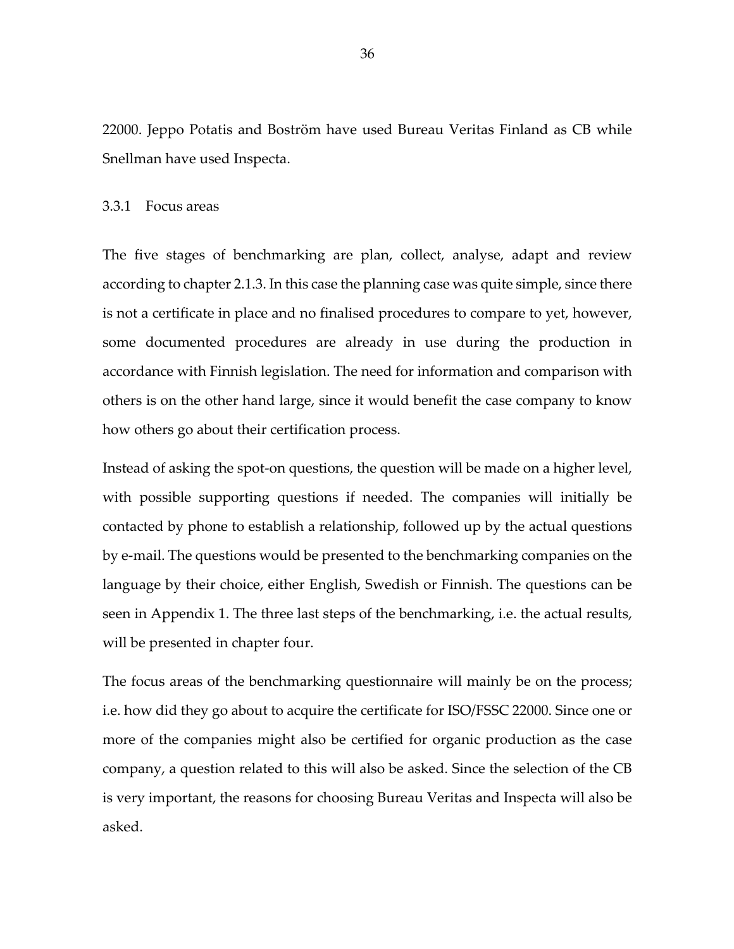22000. Jeppo Potatis and Boström have used Bureau Veritas Finland as CB while Snellman have used Inspecta.

### 3.3.1 Focus areas

The five stages of benchmarking are plan, collect, analyse, adapt and review according to chapter 2.1.3. In this case the planning case was quite simple, since there is not a certificate in place and no finalised procedures to compare to yet, however, some documented procedures are already in use during the production in accordance with Finnish legislation. The need for information and comparison with others is on the other hand large, since it would benefit the case company to know how others go about their certification process.

Instead of asking the spot-on questions, the question will be made on a higher level, with possible supporting questions if needed. The companies will initially be contacted by phone to establish a relationship, followed up by the actual questions by e-mail. The questions would be presented to the benchmarking companies on the language by their choice, either English, Swedish or Finnish. The questions can be seen in Appendix 1. The three last steps of the benchmarking, i.e. the actual results, will be presented in chapter four.

The focus areas of the benchmarking questionnaire will mainly be on the process; i.e. how did they go about to acquire the certificate for ISO/FSSC 22000. Since one or more of the companies might also be certified for organic production as the case company, a question related to this will also be asked. Since the selection of the CB is very important, the reasons for choosing Bureau Veritas and Inspecta will also be asked.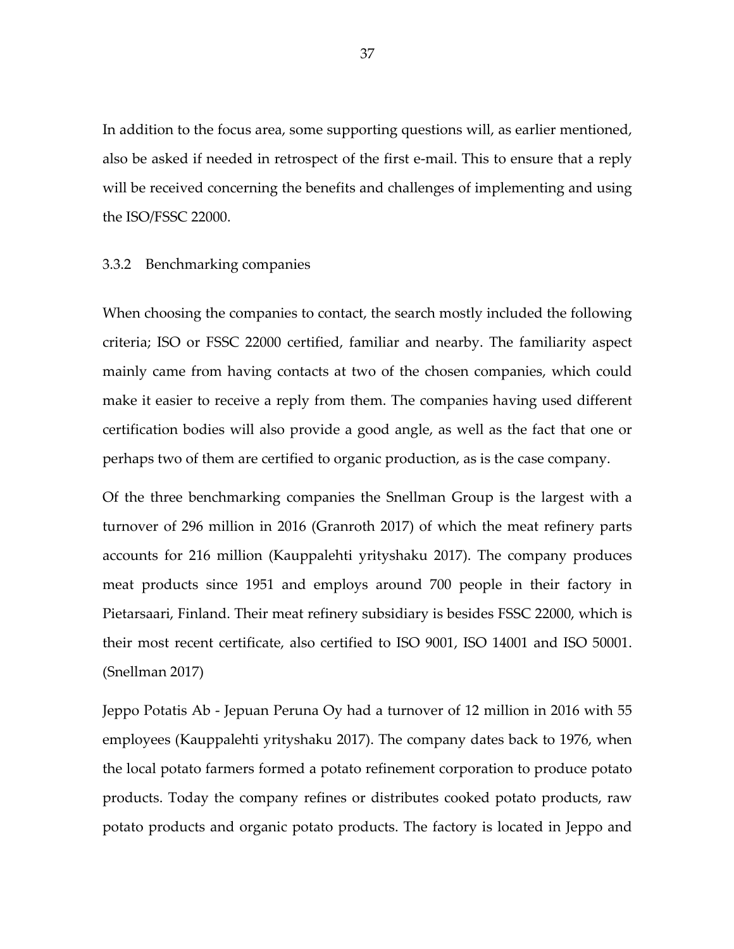In addition to the focus area, some supporting questions will, as earlier mentioned, also be asked if needed in retrospect of the first e-mail. This to ensure that a reply will be received concerning the benefits and challenges of implementing and using the ISO/FSSC 22000.

## 3.3.2 Benchmarking companies

When choosing the companies to contact, the search mostly included the following criteria; ISO or FSSC 22000 certified, familiar and nearby. The familiarity aspect mainly came from having contacts at two of the chosen companies, which could make it easier to receive a reply from them. The companies having used different certification bodies will also provide a good angle, as well as the fact that one or perhaps two of them are certified to organic production, as is the case company.

Of the three benchmarking companies the Snellman Group is the largest with a turnover of 296 million in 2016 (Granroth 2017) of which the meat refinery parts accounts for 216 million (Kauppalehti yrityshaku 2017). The company produces meat products since 1951 and employs around 700 people in their factory in Pietarsaari, Finland. Their meat refinery subsidiary is besides FSSC 22000, which is their most recent certificate, also certified to ISO 9001, ISO 14001 and ISO 50001. (Snellman 2017)

Jeppo Potatis Ab - Jepuan Peruna Oy had a turnover of 12 million in 2016 with 55 employees (Kauppalehti yrityshaku 2017). The company dates back to 1976, when the local potato farmers formed a potato refinement corporation to produce potato products. Today the company refines or distributes cooked potato products, raw potato products and organic potato products. The factory is located in Jeppo and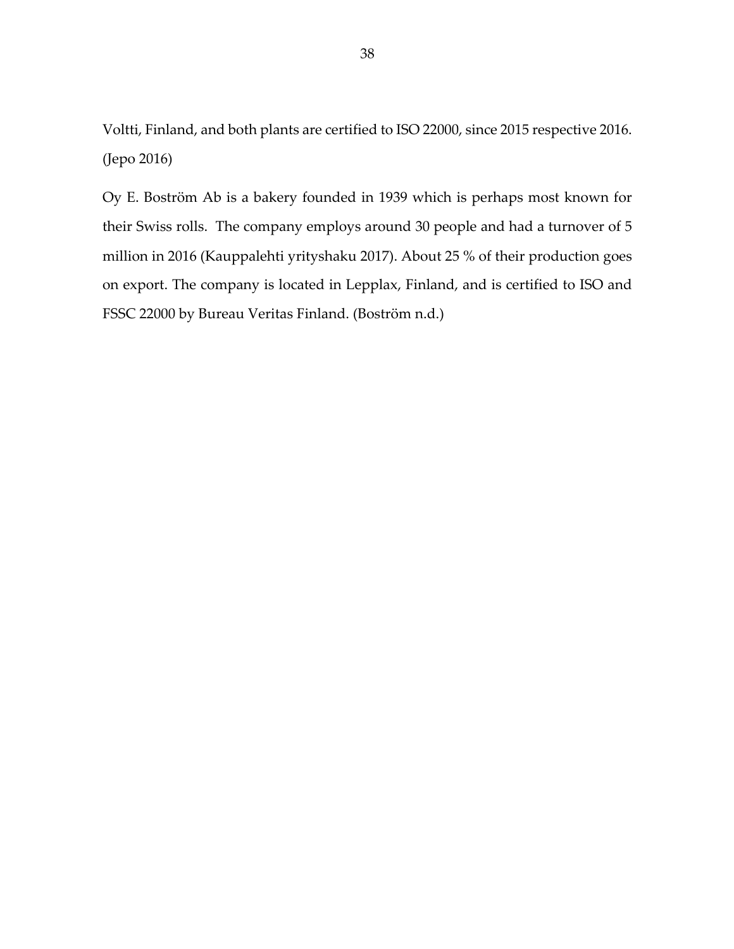Voltti, Finland, and both plants are certified to ISO 22000, since 2015 respective 2016. (Jepo 2016)

Oy E. Boström Ab is a bakery founded in 1939 which is perhaps most known for their Swiss rolls. The company employs around 30 people and had a turnover of 5 million in 2016 (Kauppalehti yrityshaku 2017). About 25 % of their production goes on export. The company is located in Lepplax, Finland, and is certified to ISO and FSSC 22000 by Bureau Veritas Finland. (Boström n.d.)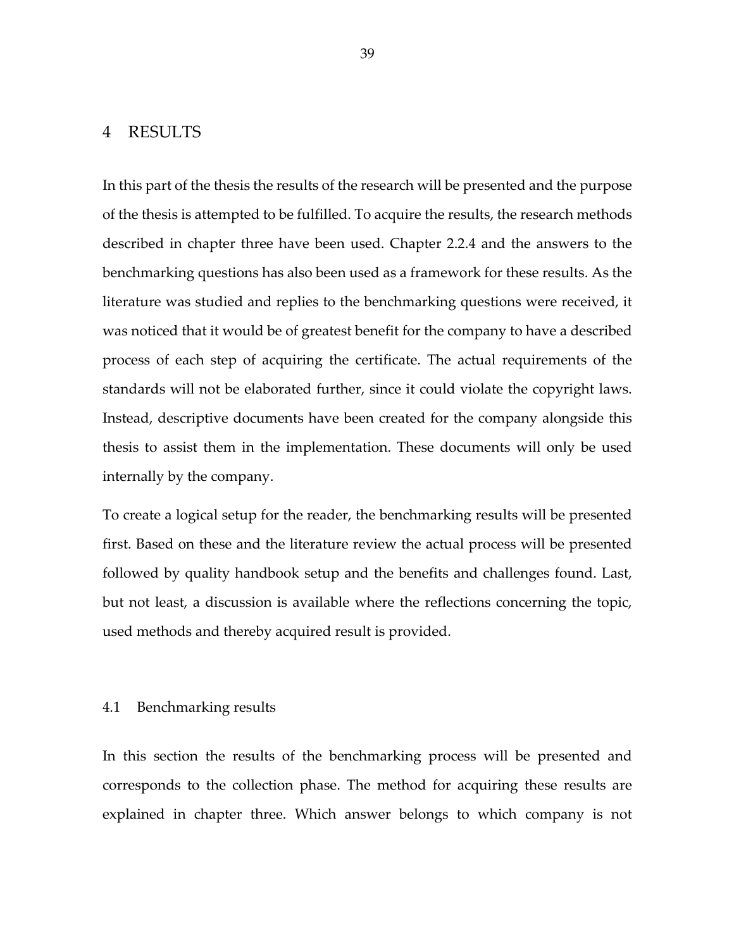# 4 RESULTS

In this part of the thesis the results of the research will be presented and the purpose of the thesis is attempted to be fulfilled. To acquire the results, the research methods described in chapter three have been used. Chapter 2.2.4 and the answers to the benchmarking questions has also been used as a framework for these results. As the literature was studied and replies to the benchmarking questions were received, it was noticed that it would be of greatest benefit for the company to have a described process of each step of acquiring the certificate. The actual requirements of the standards will not be elaborated further, since it could violate the copyright laws. Instead, descriptive documents have been created for the company alongside this thesis to assist them in the implementation. These documents will only be used internally by the company.

To create a logical setup for the reader, the benchmarking results will be presented first. Based on these and the literature review the actual process will be presented followed by quality handbook setup and the benefits and challenges found. Last, but not least, a discussion is available where the reflections concerning the topic, used methods and thereby acquired result is provided.

### 4.1 Benchmarking results

In this section the results of the benchmarking process will be presented and corresponds to the collection phase. The method for acquiring these results are explained in chapter three. Which answer belongs to which company is not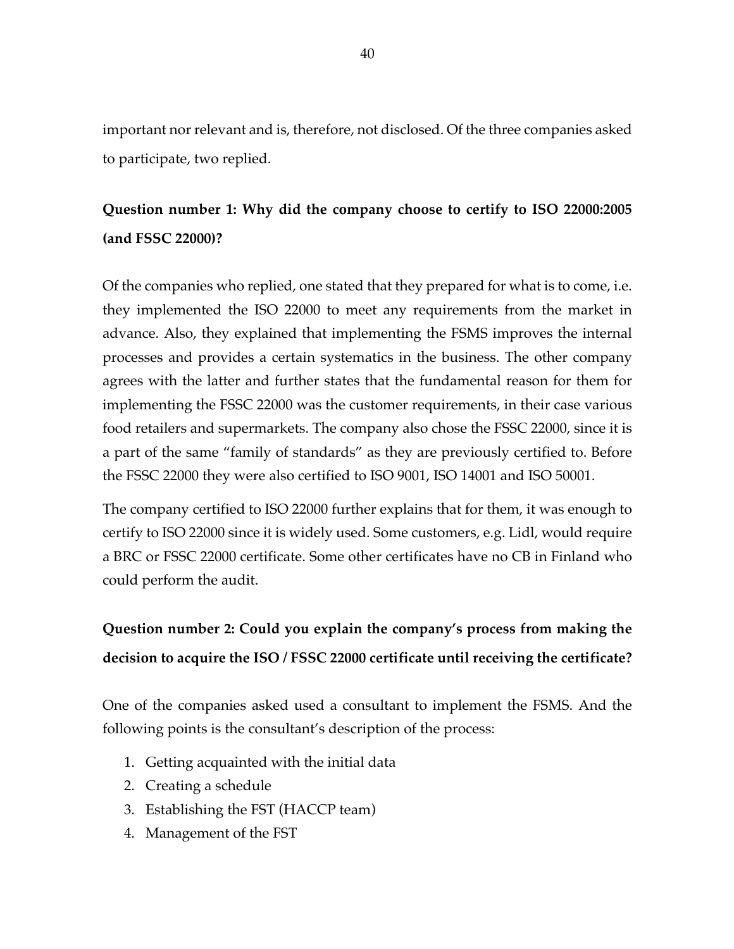important nor relevant and is, therefore, not disclosed. Of the three companies asked to participate, two replied.

# **Question number 1: Why did the company choose to certify to ISO 22000:2005 (and FSSC 22000)?**

Of the companies who replied, one stated that they prepared for what is to come, i.e. they implemented the ISO 22000 to meet any requirements from the market in advance. Also, they explained that implementing the FSMS improves the internal processes and provides a certain systematics in the business. The other company agrees with the latter and further states that the fundamental reason for them for implementing the FSSC 22000 was the customer requirements, in their case various food retailers and supermarkets. The company also chose the FSSC 22000, since it is a part of the same "family of standards" as they are previously certified to. Before the FSSC 22000 they were also certified to ISO 9001, ISO 14001 and ISO 50001.

The company certified to ISO 22000 further explains that for them, it was enough to certify to ISO 22000 since it is widely used. Some customers, e.g. Lidl, would require a BRC or FSSC 22000 certificate. Some other certificates have no CB in Finland who could perform the audit.

# **Question number 2: Could you explain the company's process from making the decision to acquire the ISO / FSSC 22000 certificate until receiving the certificate?**

One of the companies asked used a consultant to implement the FSMS. And the following points is the consultant's description of the process:

- 1. Getting acquainted with the initial data
- 2. Creating a schedule
- 3. Establishing the FST (HACCP team)
- 4. Management of the FST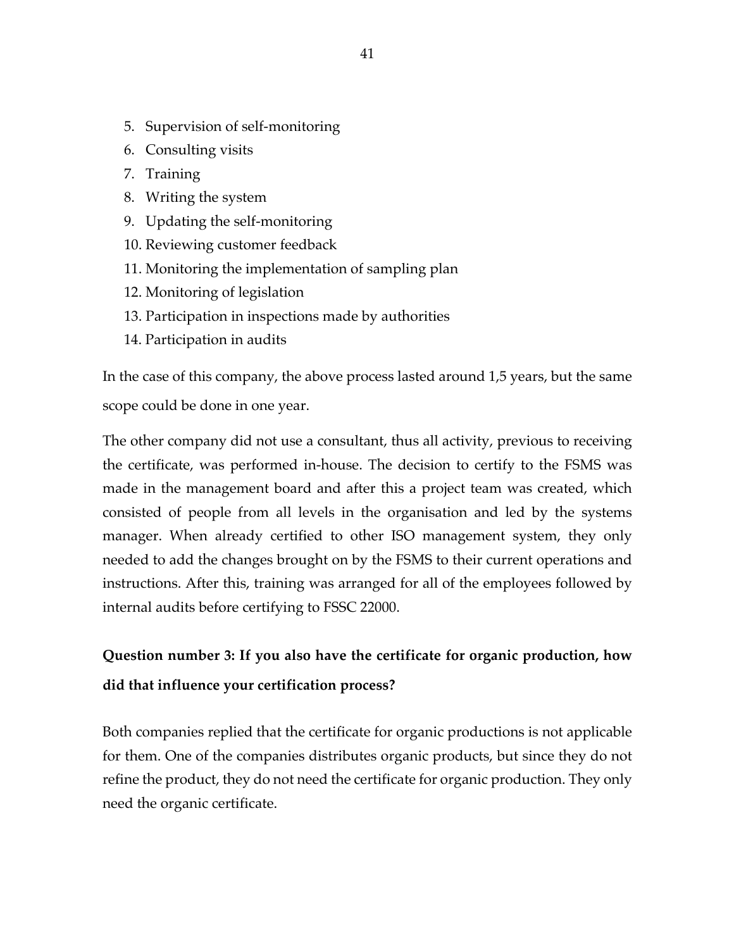- 5. Supervision of self-monitoring
- 6. Consulting visits
- 7. Training
- 8. Writing the system
- 9. Updating the self-monitoring
- 10. Reviewing customer feedback
- 11. Monitoring the implementation of sampling plan
- 12. Monitoring of legislation
- 13. Participation in inspections made by authorities
- 14. Participation in audits

In the case of this company, the above process lasted around 1,5 years, but the same scope could be done in one year.

The other company did not use a consultant, thus all activity, previous to receiving the certificate, was performed in-house. The decision to certify to the FSMS was made in the management board and after this a project team was created, which consisted of people from all levels in the organisation and led by the systems manager. When already certified to other ISO management system, they only needed to add the changes brought on by the FSMS to their current operations and instructions. After this, training was arranged for all of the employees followed by internal audits before certifying to FSSC 22000.

# **Question number 3: If you also have the certificate for organic production, how did that influence your certification process?**

Both companies replied that the certificate for organic productions is not applicable for them. One of the companies distributes organic products, but since they do not refine the product, they do not need the certificate for organic production. They only need the organic certificate.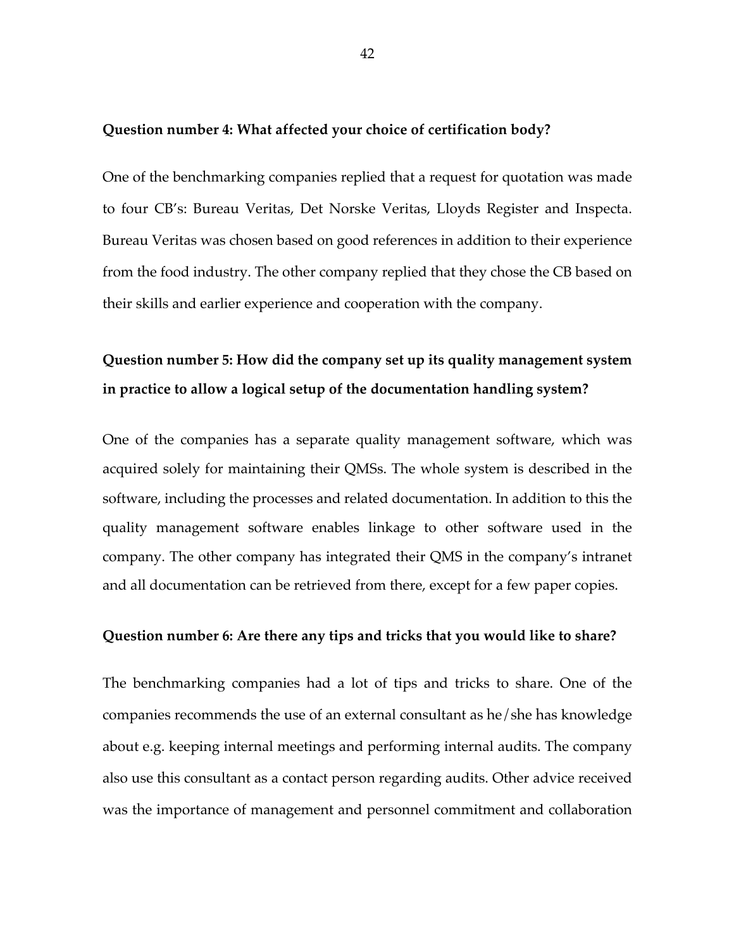#### **Question number 4: What affected your choice of certification body?**

One of the benchmarking companies replied that a request for quotation was made to four CB's: Bureau Veritas, Det Norske Veritas, Lloyds Register and Inspecta. Bureau Veritas was chosen based on good references in addition to their experience from the food industry. The other company replied that they chose the CB based on their skills and earlier experience and cooperation with the company.

# **Question number 5: How did the company set up its quality management system in practice to allow a logical setup of the documentation handling system?**

One of the companies has a separate quality management software, which was acquired solely for maintaining their QMSs. The whole system is described in the software, including the processes and related documentation. In addition to this the quality management software enables linkage to other software used in the company. The other company has integrated their QMS in the company's intranet and all documentation can be retrieved from there, except for a few paper copies.

## **Question number 6: Are there any tips and tricks that you would like to share?**

The benchmarking companies had a lot of tips and tricks to share. One of the companies recommends the use of an external consultant as he/she has knowledge about e.g. keeping internal meetings and performing internal audits. The company also use this consultant as a contact person regarding audits. Other advice received was the importance of management and personnel commitment and collaboration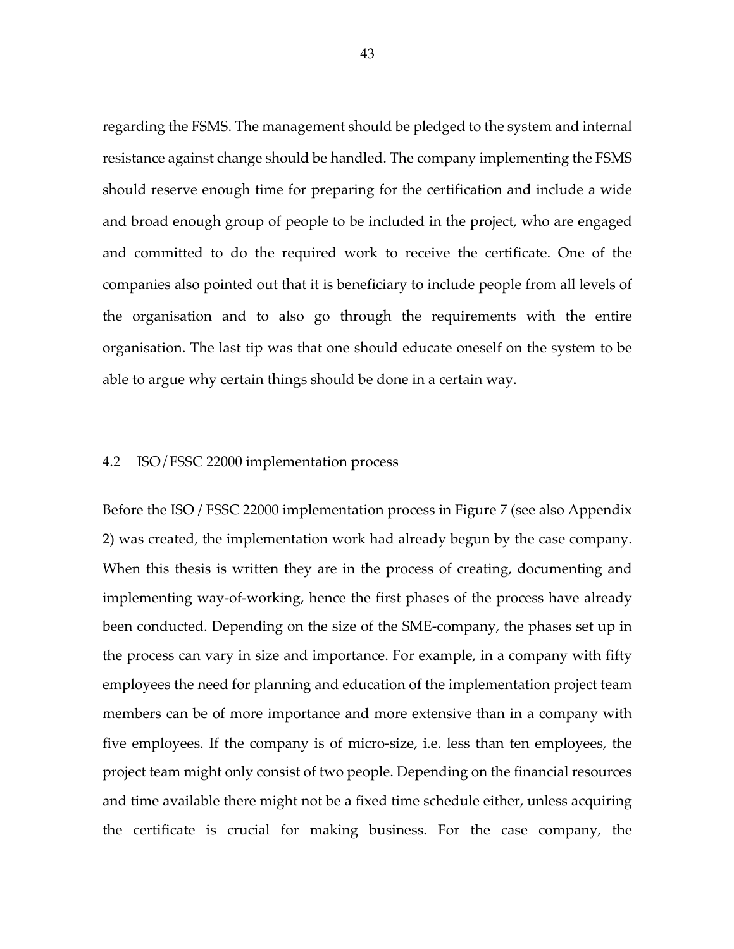regarding the FSMS. The management should be pledged to the system and internal resistance against change should be handled. The company implementing the FSMS should reserve enough time for preparing for the certification and include a wide and broad enough group of people to be included in the project, who are engaged and committed to do the required work to receive the certificate. One of the companies also pointed out that it is beneficiary to include people from all levels of the organisation and to also go through the requirements with the entire organisation. The last tip was that one should educate oneself on the system to be able to argue why certain things should be done in a certain way.

## 4.2 ISO/FSSC 22000 implementation process

Before the ISO / FSSC 22000 implementation process in Figure 7 (see also Appendix 2) was created, the implementation work had already begun by the case company. When this thesis is written they are in the process of creating, documenting and implementing way-of-working, hence the first phases of the process have already been conducted. Depending on the size of the SME-company, the phases set up in the process can vary in size and importance. For example, in a company with fifty employees the need for planning and education of the implementation project team members can be of more importance and more extensive than in a company with five employees. If the company is of micro-size, i.e. less than ten employees, the project team might only consist of two people. Depending on the financial resources and time available there might not be a fixed time schedule either, unless acquiring the certificate is crucial for making business. For the case company, the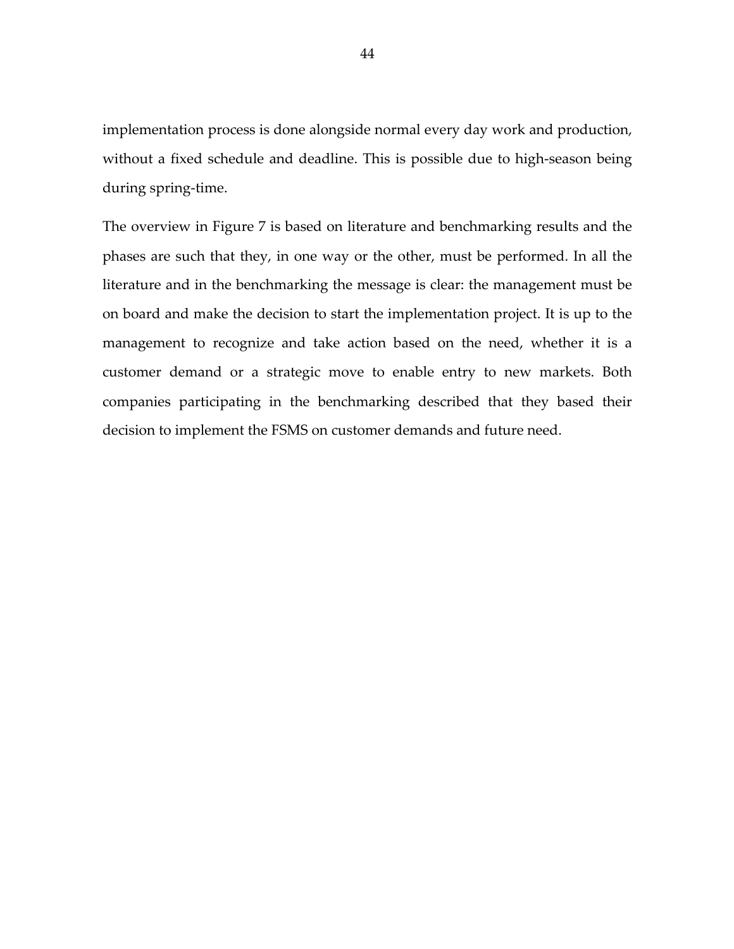implementation process is done alongside normal every day work and production, without a fixed schedule and deadline. This is possible due to high-season being during spring-time.

The overview in Figure 7 is based on literature and benchmarking results and the phases are such that they, in one way or the other, must be performed. In all the literature and in the benchmarking the message is clear: the management must be on board and make the decision to start the implementation project. It is up to the management to recognize and take action based on the need, whether it is a customer demand or a strategic move to enable entry to new markets. Both companies participating in the benchmarking described that they based their decision to implement the FSMS on customer demands and future need.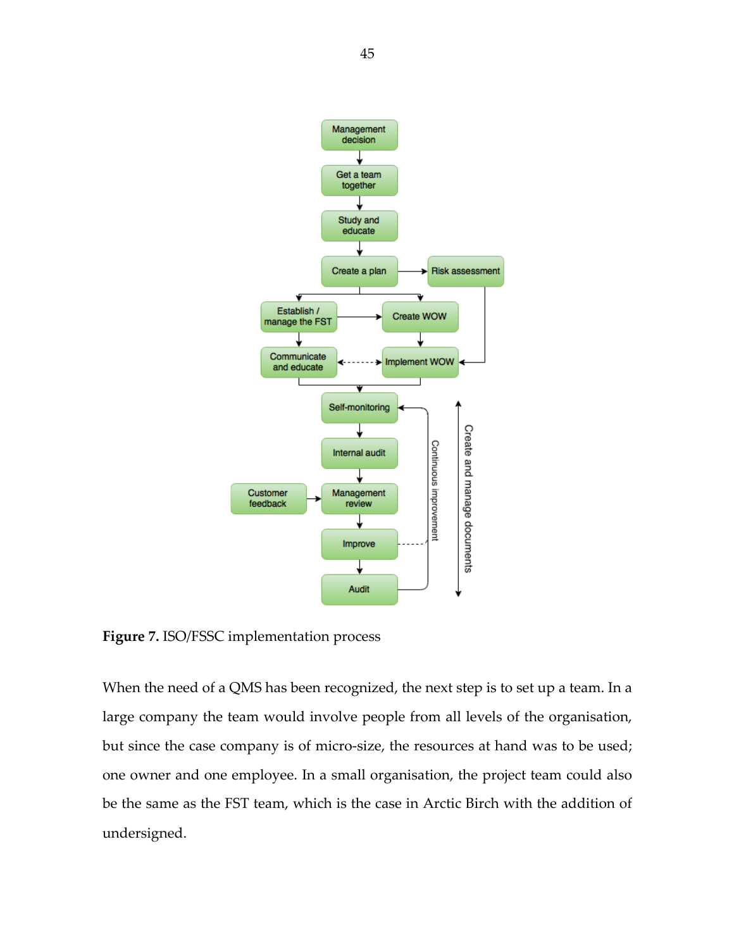

**Figure 7.** ISO/FSSC implementation process

When the need of a QMS has been recognized, the next step is to set up a team. In a large company the team would involve people from all levels of the organisation, but since the case company is of micro-size, the resources at hand was to be used; one owner and one employee. In a small organisation, the project team could also be the same as the FST team, which is the case in Arctic Birch with the addition of undersigned.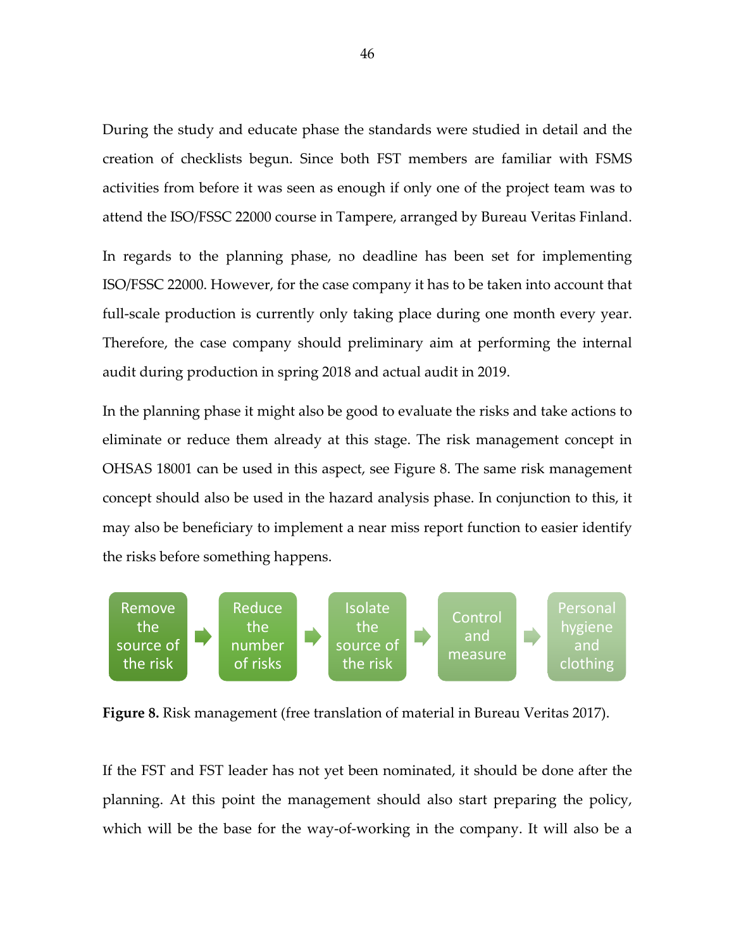During the study and educate phase the standards were studied in detail and the creation of checklists begun. Since both FST members are familiar with FSMS activities from before it was seen as enough if only one of the project team was to attend the ISO/FSSC 22000 course in Tampere, arranged by Bureau Veritas Finland.

In regards to the planning phase, no deadline has been set for implementing ISO/FSSC 22000. However, for the case company it has to be taken into account that full-scale production is currently only taking place during one month every year. Therefore, the case company should preliminary aim at performing the internal audit during production in spring 2018 and actual audit in 2019.

In the planning phase it might also be good to evaluate the risks and take actions to eliminate or reduce them already at this stage. The risk management concept in OHSAS 18001 can be used in this aspect, see Figure 8. The same risk management concept should also be used in the hazard analysis phase. In conjunction to this, it may also be beneficiary to implement a near miss report function to easier identify the risks before something happens.



**Figure 8.** Risk management (free translation of material in Bureau Veritas 2017).

If the FST and FST leader has not yet been nominated, it should be done after the planning. At this point the management should also start preparing the policy, which will be the base for the way-of-working in the company. It will also be a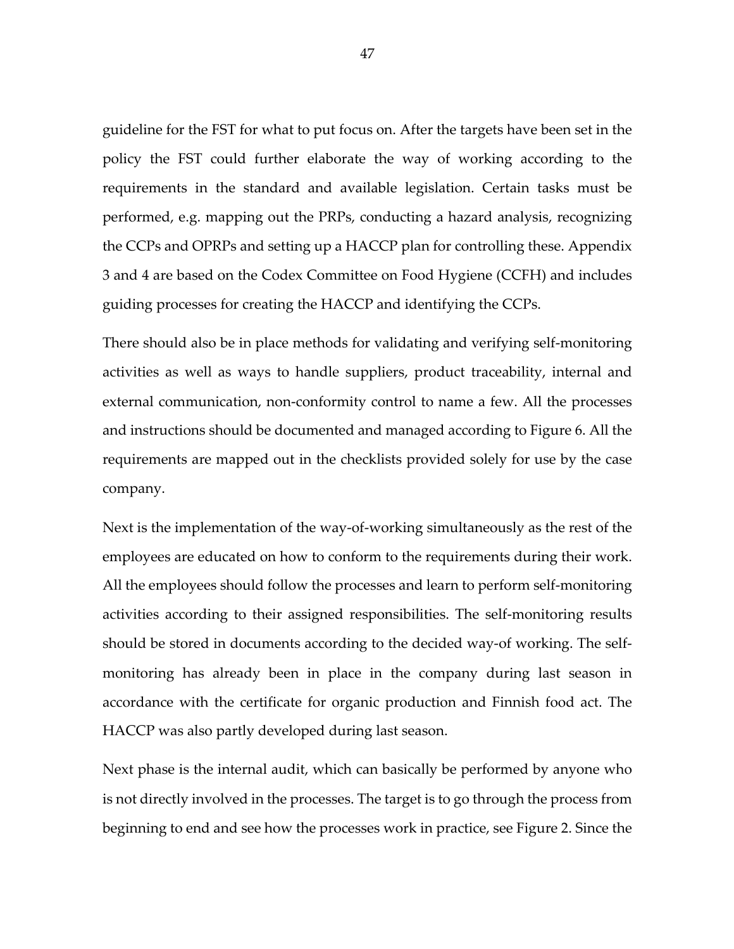guideline for the FST for what to put focus on. After the targets have been set in the policy the FST could further elaborate the way of working according to the requirements in the standard and available legislation. Certain tasks must be performed, e.g. mapping out the PRPs, conducting a hazard analysis, recognizing the CCPs and OPRPs and setting up a HACCP plan for controlling these. Appendix 3 and 4 are based on the Codex Committee on Food Hygiene (CCFH) and includes guiding processes for creating the HACCP and identifying the CCPs.

There should also be in place methods for validating and verifying self-monitoring activities as well as ways to handle suppliers, product traceability, internal and external communication, non-conformity control to name a few. All the processes and instructions should be documented and managed according to Figure 6. All the requirements are mapped out in the checklists provided solely for use by the case company.

Next is the implementation of the way-of-working simultaneously as the rest of the employees are educated on how to conform to the requirements during their work. All the employees should follow the processes and learn to perform self-monitoring activities according to their assigned responsibilities. The self-monitoring results should be stored in documents according to the decided way-of working. The selfmonitoring has already been in place in the company during last season in accordance with the certificate for organic production and Finnish food act. The HACCP was also partly developed during last season.

Next phase is the internal audit, which can basically be performed by anyone who is not directly involved in the processes. The target is to go through the process from beginning to end and see how the processes work in practice, see Figure 2. Since the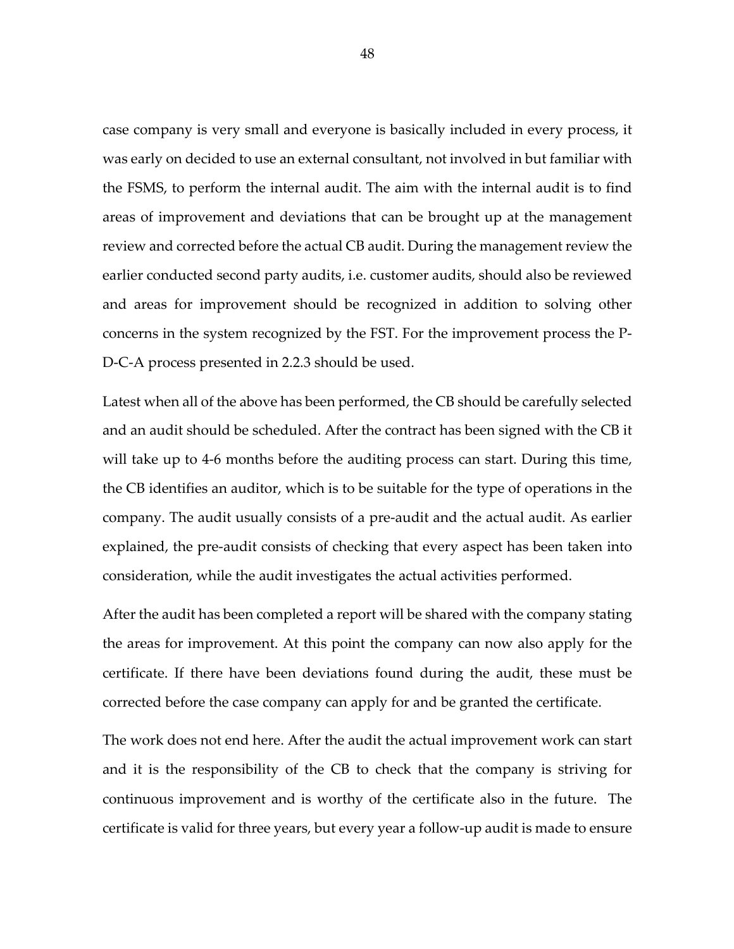case company is very small and everyone is basically included in every process, it was early on decided to use an external consultant, not involved in but familiar with the FSMS, to perform the internal audit. The aim with the internal audit is to find areas of improvement and deviations that can be brought up at the management review and corrected before the actual CB audit. During the management review the earlier conducted second party audits, i.e. customer audits, should also be reviewed and areas for improvement should be recognized in addition to solving other concerns in the system recognized by the FST. For the improvement process the P-D-C-A process presented in 2.2.3 should be used.

Latest when all of the above has been performed, the CB should be carefully selected and an audit should be scheduled. After the contract has been signed with the CB it will take up to 4-6 months before the auditing process can start. During this time, the CB identifies an auditor, which is to be suitable for the type of operations in the company. The audit usually consists of a pre-audit and the actual audit. As earlier explained, the pre-audit consists of checking that every aspect has been taken into consideration, while the audit investigates the actual activities performed.

After the audit has been completed a report will be shared with the company stating the areas for improvement. At this point the company can now also apply for the certificate. If there have been deviations found during the audit, these must be corrected before the case company can apply for and be granted the certificate.

The work does not end here. After the audit the actual improvement work can start and it is the responsibility of the CB to check that the company is striving for continuous improvement and is worthy of the certificate also in the future. The certificate is valid for three years, but every year a follow-up audit is made to ensure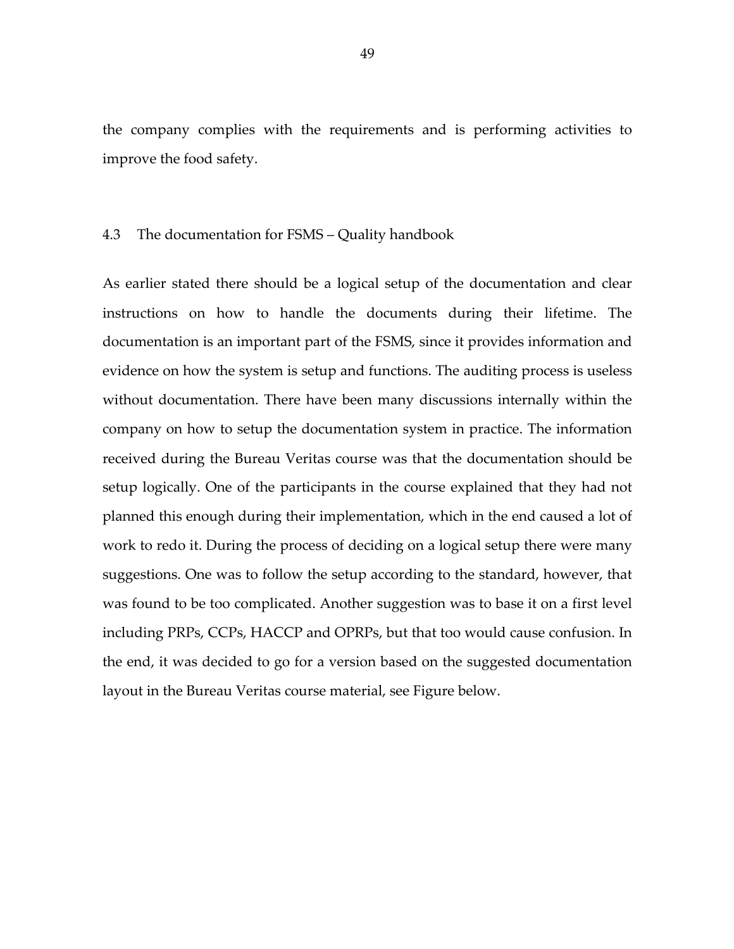the company complies with the requirements and is performing activities to improve the food safety.

### 4.3 The documentation for FSMS – Quality handbook

As earlier stated there should be a logical setup of the documentation and clear instructions on how to handle the documents during their lifetime. The documentation is an important part of the FSMS, since it provides information and evidence on how the system is setup and functions. The auditing process is useless without documentation. There have been many discussions internally within the company on how to setup the documentation system in practice. The information received during the Bureau Veritas course was that the documentation should be setup logically. One of the participants in the course explained that they had not planned this enough during their implementation, which in the end caused a lot of work to redo it. During the process of deciding on a logical setup there were many suggestions. One was to follow the setup according to the standard, however, that was found to be too complicated. Another suggestion was to base it on a first level including PRPs, CCPs, HACCP and OPRPs, but that too would cause confusion. In the end, it was decided to go for a version based on the suggested documentation layout in the Bureau Veritas course material, see Figure below.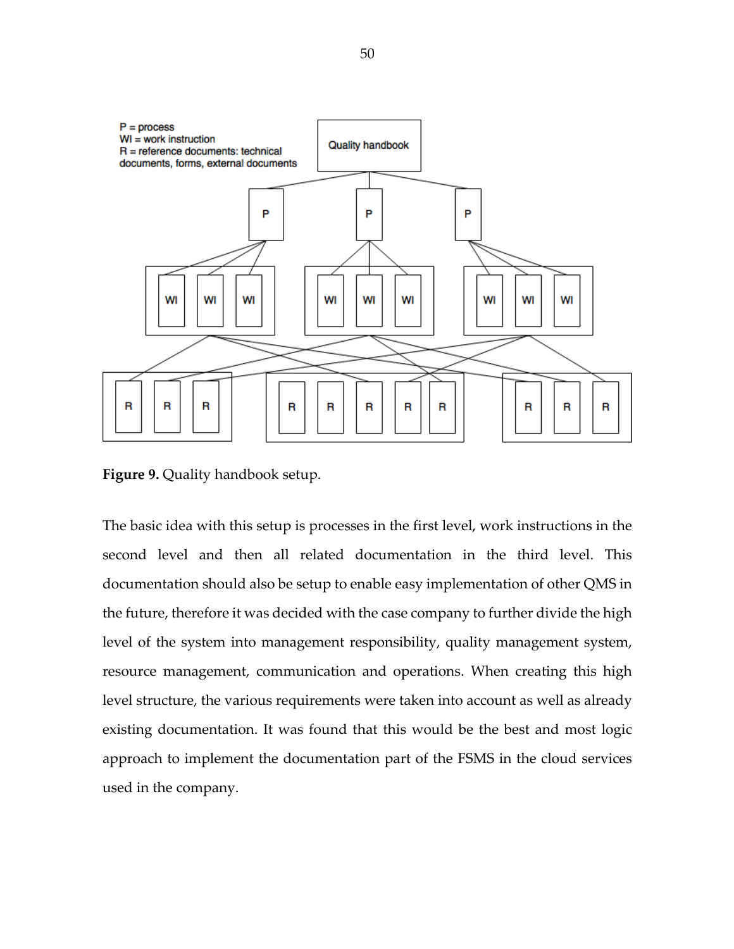

**Figure 9.** Quality handbook setup.

The basic idea with this setup is processes in the first level, work instructions in the second level and then all related documentation in the third level. This documentation should also be setup to enable easy implementation of other QMS in the future, therefore it was decided with the case company to further divide the high level of the system into management responsibility, quality management system, resource management, communication and operations. When creating this high level structure, the various requirements were taken into account as well as already existing documentation. It was found that this would be the best and most logic approach to implement the documentation part of the FSMS in the cloud services used in the company.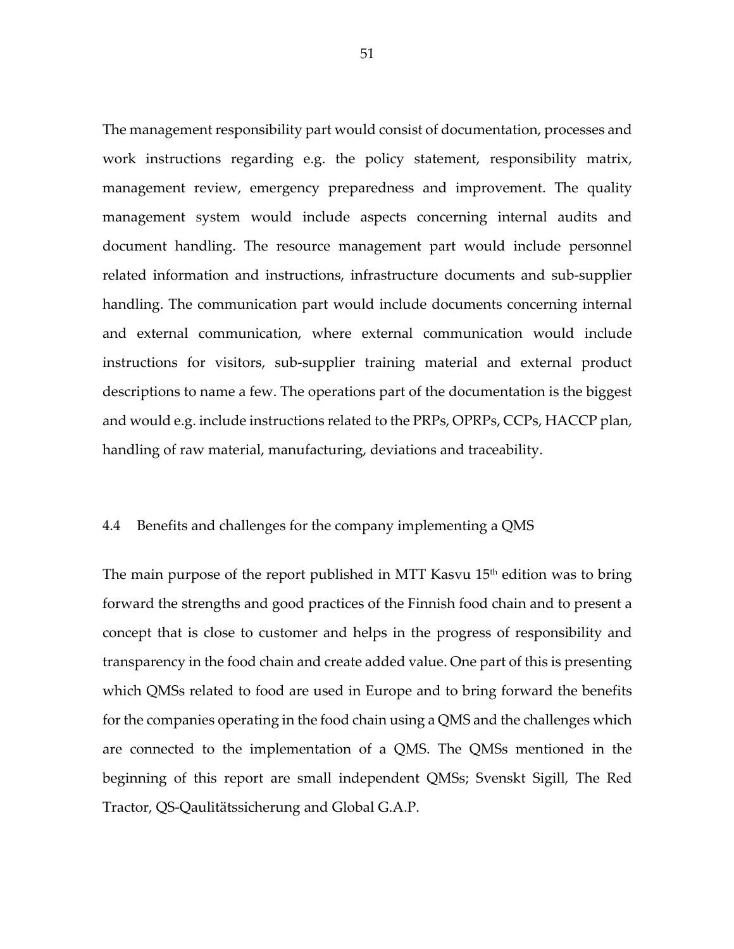The management responsibility part would consist of documentation, processes and work instructions regarding e.g. the policy statement, responsibility matrix, management review, emergency preparedness and improvement. The quality management system would include aspects concerning internal audits and document handling. The resource management part would include personnel related information and instructions, infrastructure documents and sub-supplier handling. The communication part would include documents concerning internal and external communication, where external communication would include instructions for visitors, sub-supplier training material and external product descriptions to name a few. The operations part of the documentation is the biggest and would e.g. include instructions related to the PRPs, OPRPs, CCPs, HACCP plan, handling of raw material, manufacturing, deviations and traceability.

## 4.4 Benefits and challenges for the company implementing a QMS

The main purpose of the report published in MTT Kasvu 15<sup>th</sup> edition was to bring forward the strengths and good practices of the Finnish food chain and to present a concept that is close to customer and helps in the progress of responsibility and transparency in the food chain and create added value. One part of this is presenting which QMSs related to food are used in Europe and to bring forward the benefits for the companies operating in the food chain using a QMS and the challenges which are connected to the implementation of a QMS. The QMSs mentioned in the beginning of this report are small independent QMSs; Svenskt Sigill, The Red Tractor, QS-Qaulitätssicherung and Global G.A.P.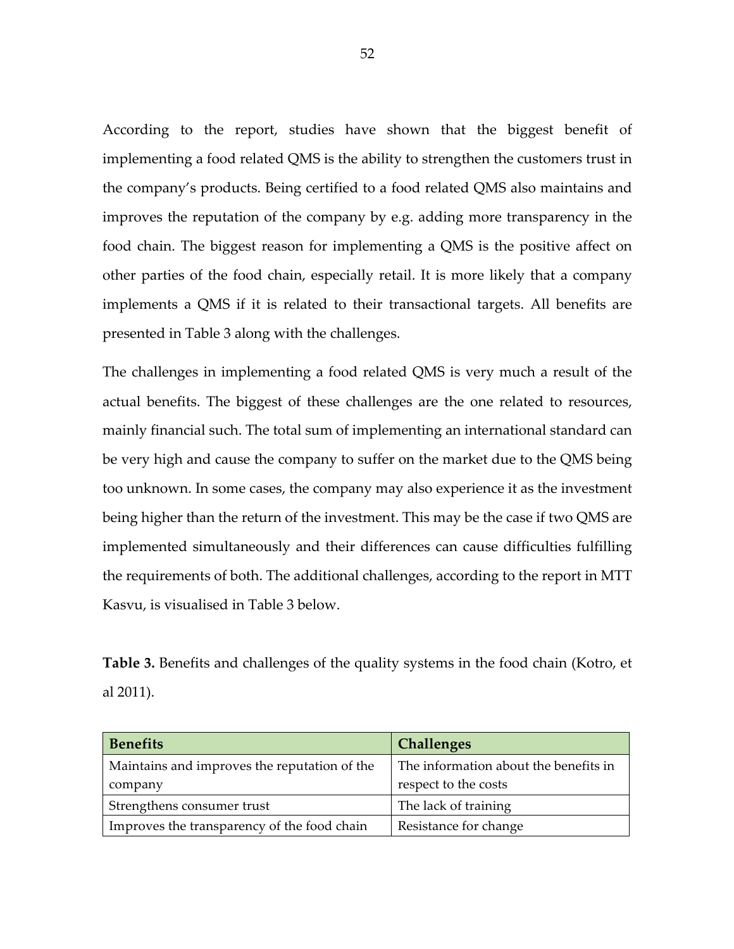According to the report, studies have shown that the biggest benefit of implementing a food related QMS is the ability to strengthen the customers trust in the company's products. Being certified to a food related QMS also maintains and improves the reputation of the company by e.g. adding more transparency in the food chain. The biggest reason for implementing a QMS is the positive affect on other parties of the food chain, especially retail. It is more likely that a company implements a QMS if it is related to their transactional targets. All benefits are presented in Table 3 along with the challenges.

The challenges in implementing a food related QMS is very much a result of the actual benefits. The biggest of these challenges are the one related to resources, mainly financial such. The total sum of implementing an international standard can be very high and cause the company to suffer on the market due to the QMS being too unknown. In some cases, the company may also experience it as the investment being higher than the return of the investment. This may be the case if two QMS are implemented simultaneously and their differences can cause difficulties fulfilling the requirements of both. The additional challenges, according to the report in MTT Kasvu, is visualised in Table 3 below.

**Table 3.** Benefits and challenges of the quality systems in the food chain (Kotro, et al 2011).

| <b>Benefits</b>                              | <b>Challenges</b>                     |
|----------------------------------------------|---------------------------------------|
| Maintains and improves the reputation of the | The information about the benefits in |
| company                                      | respect to the costs                  |
| Strengthens consumer trust                   | The lack of training                  |
| Improves the transparency of the food chain  | Resistance for change                 |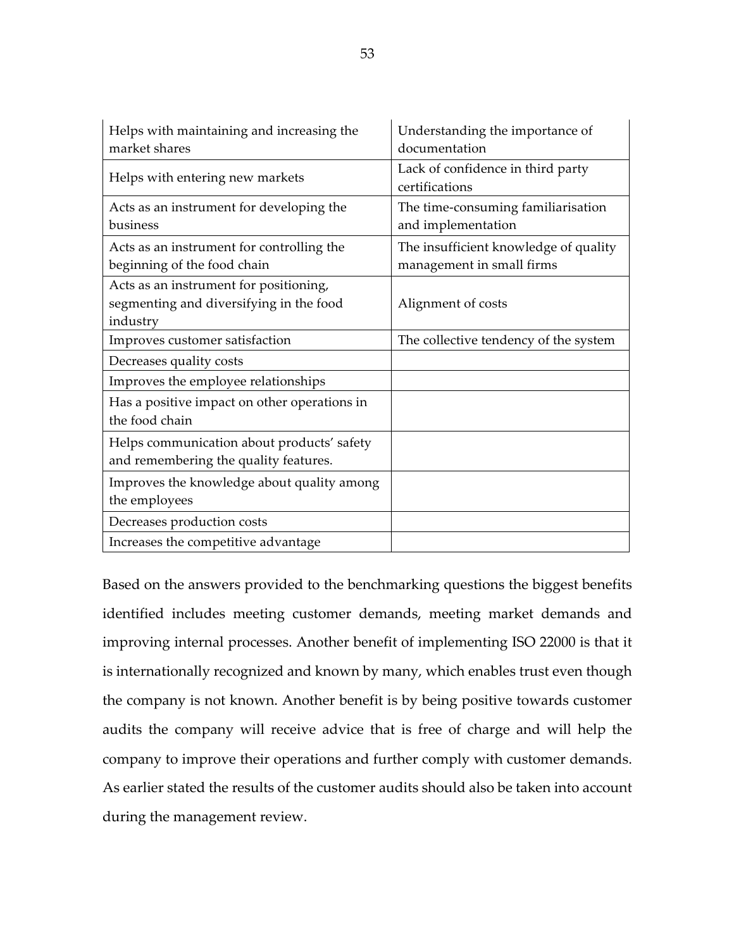| Helps with maintaining and increasing the                                                     | Understanding the importance of                                    |
|-----------------------------------------------------------------------------------------------|--------------------------------------------------------------------|
| market shares                                                                                 | documentation                                                      |
| Helps with entering new markets                                                               | Lack of confidence in third party<br>certifications                |
| Acts as an instrument for developing the<br>business                                          | The time-consuming familiarisation<br>and implementation           |
| Acts as an instrument for controlling the<br>beginning of the food chain                      | The insufficient knowledge of quality<br>management in small firms |
| Acts as an instrument for positioning,<br>segmenting and diversifying in the food<br>industry | Alignment of costs                                                 |
| Improves customer satisfaction                                                                | The collective tendency of the system                              |
| Decreases quality costs                                                                       |                                                                    |
| Improves the employee relationships                                                           |                                                                    |
| Has a positive impact on other operations in<br>the food chain                                |                                                                    |
| Helps communication about products' safety<br>and remembering the quality features.           |                                                                    |
| Improves the knowledge about quality among<br>the employees                                   |                                                                    |
| Decreases production costs                                                                    |                                                                    |
| Increases the competitive advantage                                                           |                                                                    |

Based on the answers provided to the benchmarking questions the biggest benefits identified includes meeting customer demands, meeting market demands and improving internal processes. Another benefit of implementing ISO 22000 is that it is internationally recognized and known by many, which enables trust even though the company is not known. Another benefit is by being positive towards customer audits the company will receive advice that is free of charge and will help the company to improve their operations and further comply with customer demands. As earlier stated the results of the customer audits should also be taken into account during the management review.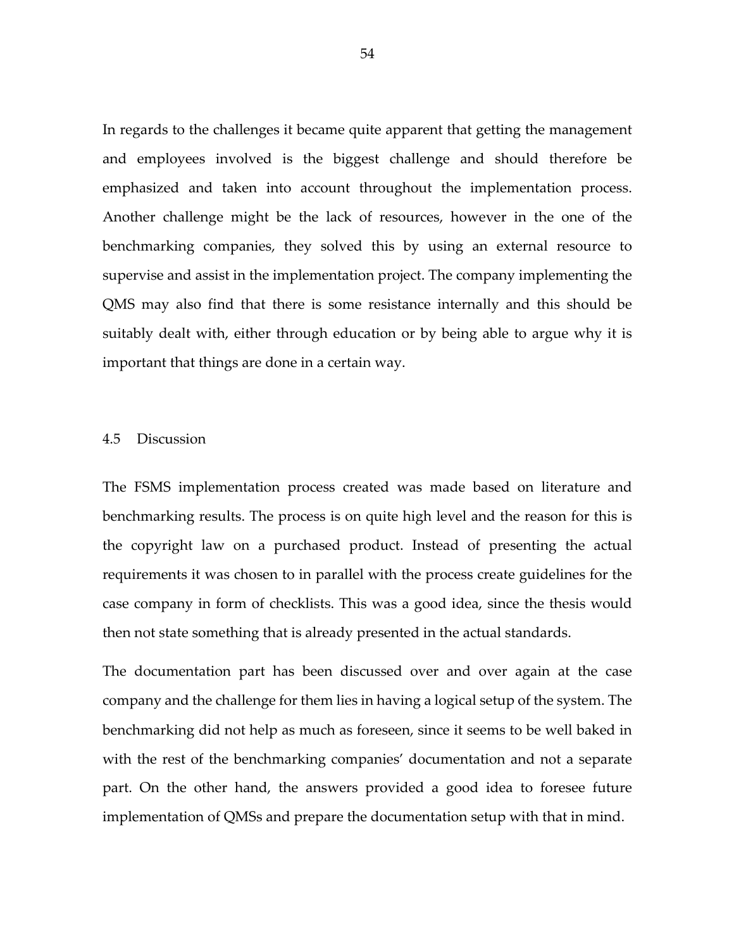In regards to the challenges it became quite apparent that getting the management and employees involved is the biggest challenge and should therefore be emphasized and taken into account throughout the implementation process. Another challenge might be the lack of resources, however in the one of the benchmarking companies, they solved this by using an external resource to supervise and assist in the implementation project. The company implementing the QMS may also find that there is some resistance internally and this should be suitably dealt with, either through education or by being able to argue why it is important that things are done in a certain way.

#### 4.5 Discussion

The FSMS implementation process created was made based on literature and benchmarking results. The process is on quite high level and the reason for this is the copyright law on a purchased product. Instead of presenting the actual requirements it was chosen to in parallel with the process create guidelines for the case company in form of checklists. This was a good idea, since the thesis would then not state something that is already presented in the actual standards.

The documentation part has been discussed over and over again at the case company and the challenge for them lies in having a logical setup of the system. The benchmarking did not help as much as foreseen, since it seems to be well baked in with the rest of the benchmarking companies' documentation and not a separate part. On the other hand, the answers provided a good idea to foresee future implementation of QMSs and prepare the documentation setup with that in mind.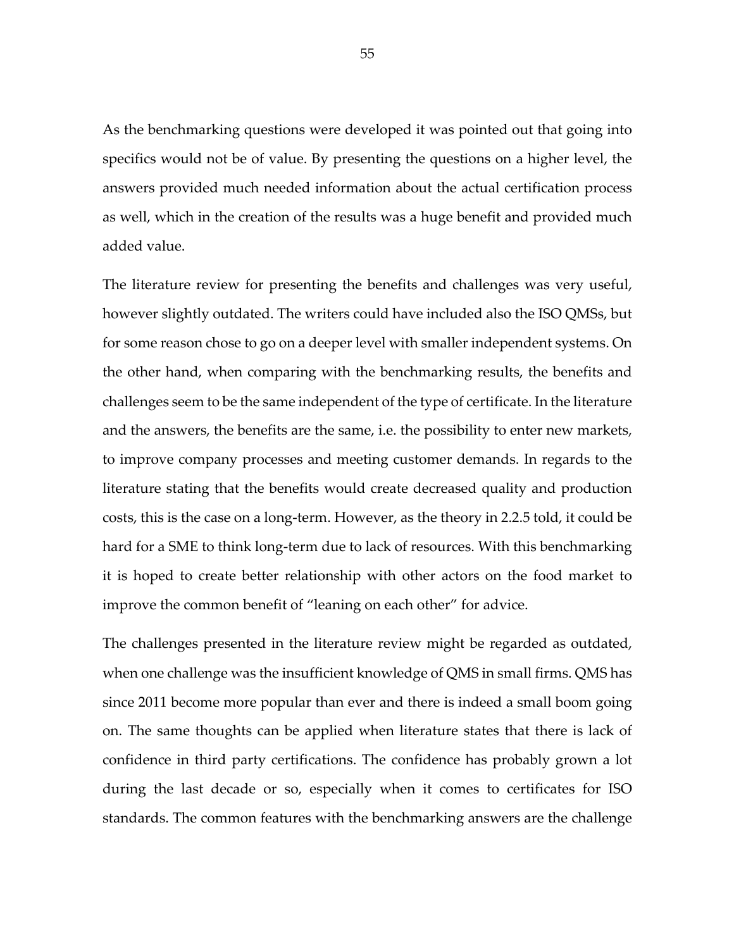As the benchmarking questions were developed it was pointed out that going into specifics would not be of value. By presenting the questions on a higher level, the answers provided much needed information about the actual certification process as well, which in the creation of the results was a huge benefit and provided much added value.

The literature review for presenting the benefits and challenges was very useful, however slightly outdated. The writers could have included also the ISO QMSs, but for some reason chose to go on a deeper level with smaller independent systems. On the other hand, when comparing with the benchmarking results, the benefits and challenges seem to be the same independent of the type of certificate. In the literature and the answers, the benefits are the same, i.e. the possibility to enter new markets, to improve company processes and meeting customer demands. In regards to the literature stating that the benefits would create decreased quality and production costs, this is the case on a long-term. However, as the theory in 2.2.5 told, it could be hard for a SME to think long-term due to lack of resources. With this benchmarking it is hoped to create better relationship with other actors on the food market to improve the common benefit of "leaning on each other" for advice.

The challenges presented in the literature review might be regarded as outdated, when one challenge was the insufficient knowledge of QMS in small firms. QMS has since 2011 become more popular than ever and there is indeed a small boom going on. The same thoughts can be applied when literature states that there is lack of confidence in third party certifications. The confidence has probably grown a lot during the last decade or so, especially when it comes to certificates for ISO standards. The common features with the benchmarking answers are the challenge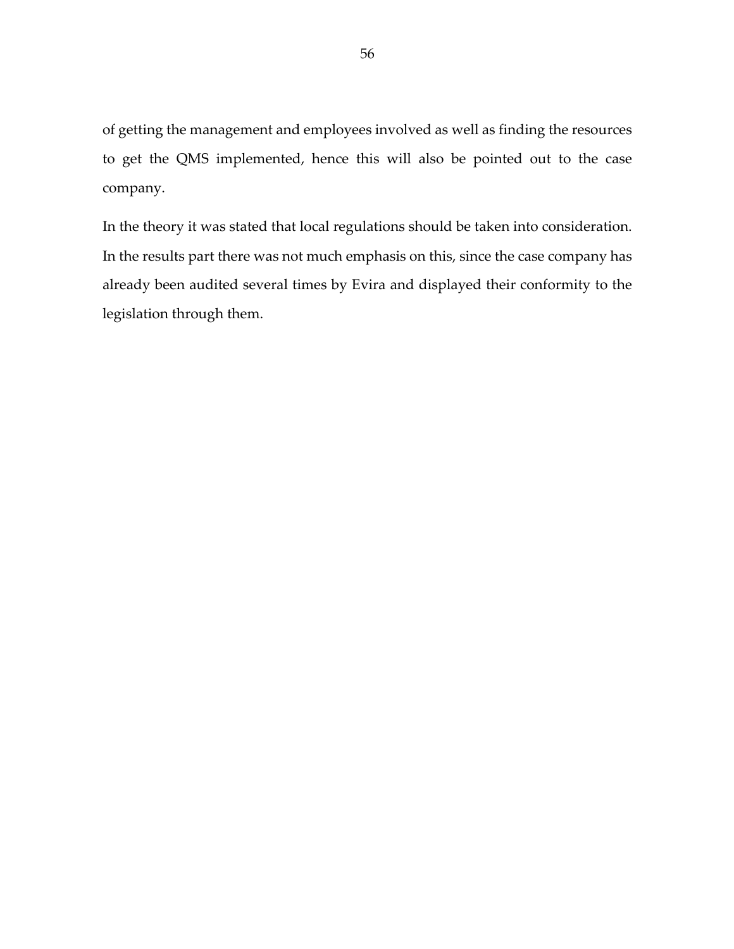of getting the management and employees involved as well as finding the resources to get the QMS implemented, hence this will also be pointed out to the case company.

In the theory it was stated that local regulations should be taken into consideration. In the results part there was not much emphasis on this, since the case company has already been audited several times by Evira and displayed their conformity to the legislation through them.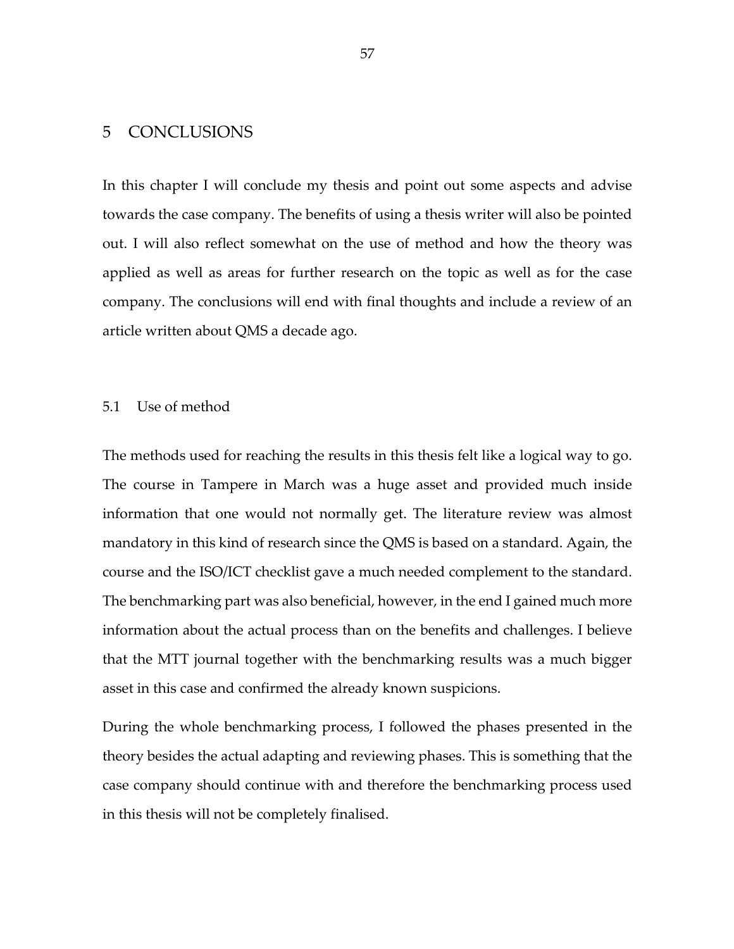# 5 CONCLUSIONS

In this chapter I will conclude my thesis and point out some aspects and advise towards the case company. The benefits of using a thesis writer will also be pointed out. I will also reflect somewhat on the use of method and how the theory was applied as well as areas for further research on the topic as well as for the case company. The conclusions will end with final thoughts and include a review of an article written about QMS a decade ago.

## 5.1 Use of method

The methods used for reaching the results in this thesis felt like a logical way to go. The course in Tampere in March was a huge asset and provided much inside information that one would not normally get. The literature review was almost mandatory in this kind of research since the QMS is based on a standard. Again, the course and the ISO/ICT checklist gave a much needed complement to the standard. The benchmarking part was also beneficial, however, in the end I gained much more information about the actual process than on the benefits and challenges. I believe that the MTT journal together with the benchmarking results was a much bigger asset in this case and confirmed the already known suspicions.

During the whole benchmarking process, I followed the phases presented in the theory besides the actual adapting and reviewing phases. This is something that the case company should continue with and therefore the benchmarking process used in this thesis will not be completely finalised.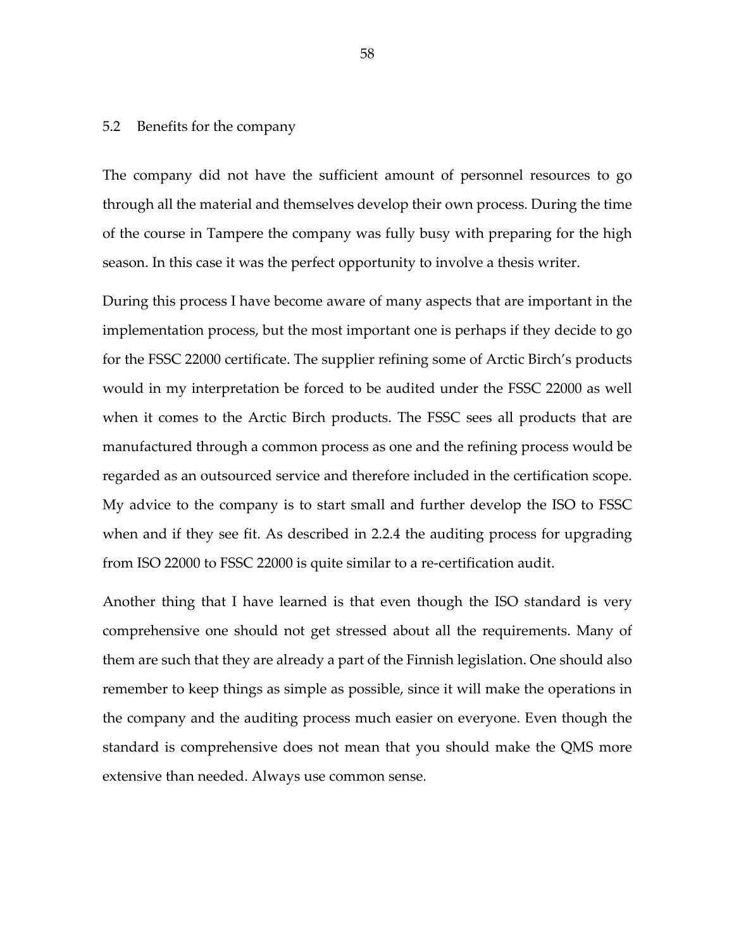#### 5.2 Benefits for the company

The company did not have the sufficient amount of personnel resources to go through all the material and themselves develop their own process. During the time of the course in Tampere the company was fully busy with preparing for the high season. In this case it was the perfect opportunity to involve a thesis writer.

During this process I have become aware of many aspects that are important in the implementation process, but the most important one is perhaps if they decide to go for the FSSC 22000 certificate. The supplier refining some of Arctic Birch's products would in my interpretation be forced to be audited under the FSSC 22000 as well when it comes to the Arctic Birch products. The FSSC sees all products that are manufactured through a common process as one and the refining process would be regarded as an outsourced service and therefore included in the certification scope. My advice to the company is to start small and further develop the ISO to FSSC when and if they see fit. As described in 2.2.4 the auditing process for upgrading from ISO 22000 to FSSC 22000 is quite similar to a re-certification audit.

Another thing that I have learned is that even though the ISO standard is very comprehensive one should not get stressed about all the requirements. Many of them are such that they are already a part of the Finnish legislation. One should also remember to keep things as simple as possible, since it will make the operations in the company and the auditing process much easier on everyone. Even though the standard is comprehensive does not mean that you should make the QMS more extensive than needed. Always use common sense.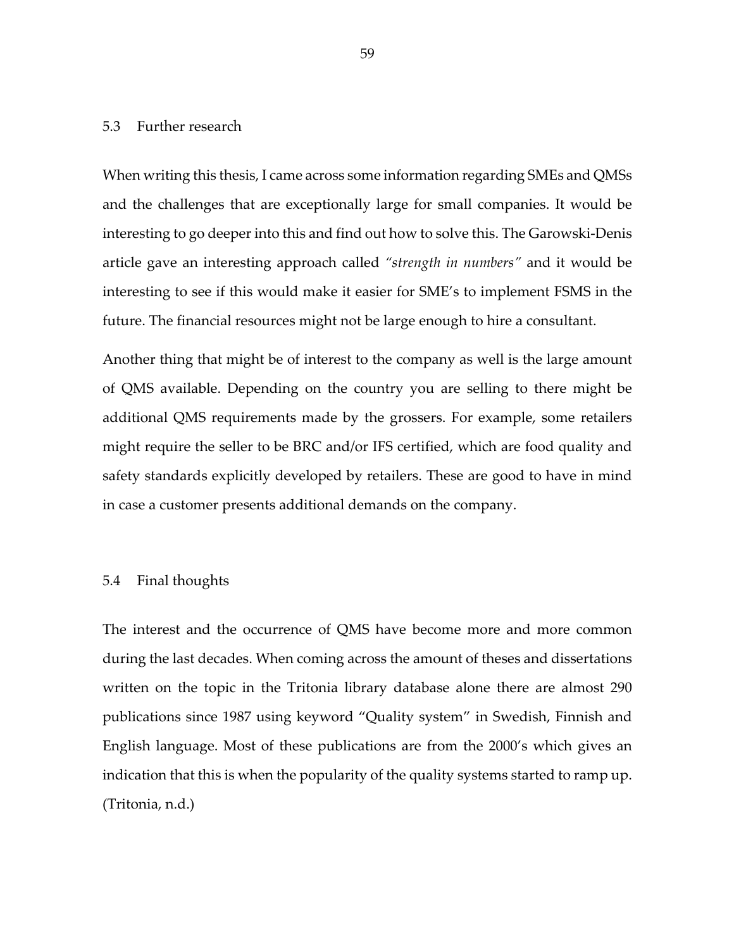## 5.3 Further research

When writing this thesis, I came across some information regarding SMEs and QMSs and the challenges that are exceptionally large for small companies. It would be interesting to go deeper into this and find out how to solve this. The Garowski-Denis article gave an interesting approach called *"strength in numbers"* and it would be interesting to see if this would make it easier for SME's to implement FSMS in the future. The financial resources might not be large enough to hire a consultant.

Another thing that might be of interest to the company as well is the large amount of QMS available. Depending on the country you are selling to there might be additional QMS requirements made by the grossers. For example, some retailers might require the seller to be BRC and/or IFS certified, which are food quality and safety standards explicitly developed by retailers. These are good to have in mind in case a customer presents additional demands on the company.

#### 5.4 Final thoughts

The interest and the occurrence of QMS have become more and more common during the last decades. When coming across the amount of theses and dissertations written on the topic in the Tritonia library database alone there are almost 290 publications since 1987 using keyword "Quality system" in Swedish, Finnish and English language. Most of these publications are from the 2000's which gives an indication that this is when the popularity of the quality systems started to ramp up. (Tritonia, n.d.)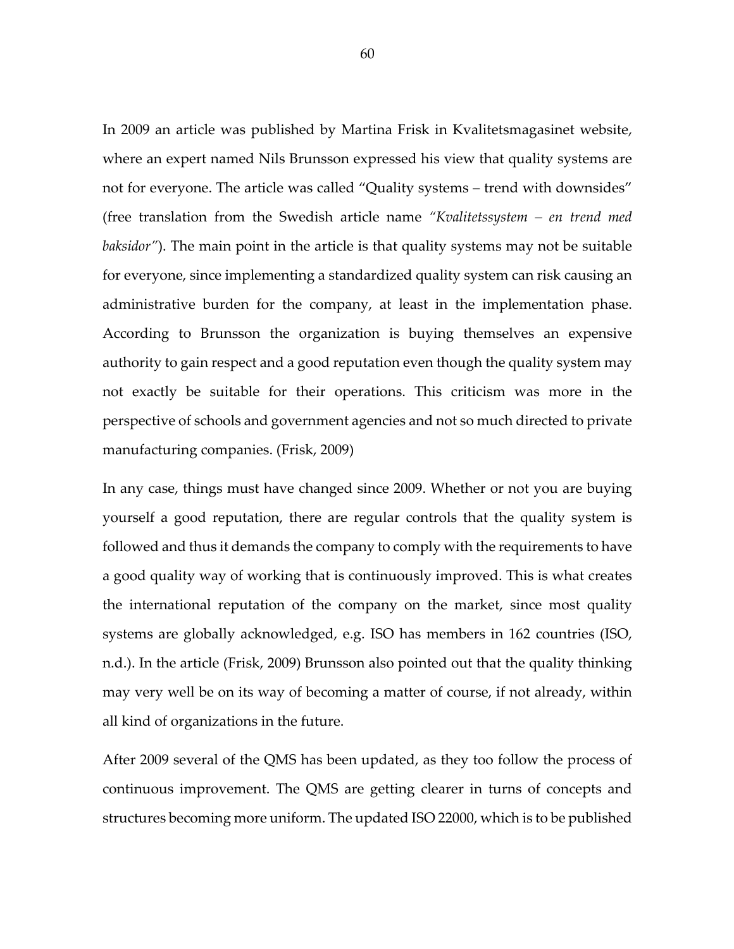In 2009 an article was published by Martina Frisk in Kvalitetsmagasinet website, where an expert named Nils Brunsson expressed his view that quality systems are not for everyone. The article was called "Quality systems – trend with downsides" (free translation from the Swedish article name *"Kvalitetssystem – en trend med baksidor"*). The main point in the article is that quality systems may not be suitable for everyone, since implementing a standardized quality system can risk causing an administrative burden for the company, at least in the implementation phase. According to Brunsson the organization is buying themselves an expensive authority to gain respect and a good reputation even though the quality system may not exactly be suitable for their operations. This criticism was more in the perspective of schools and government agencies and not so much directed to private manufacturing companies. (Frisk, 2009)

In any case, things must have changed since 2009. Whether or not you are buying yourself a good reputation, there are regular controls that the quality system is followed and thus it demands the company to comply with the requirements to have a good quality way of working that is continuously improved. This is what creates the international reputation of the company on the market, since most quality systems are globally acknowledged, e.g. ISO has members in 162 countries (ISO, n.d.). In the article (Frisk, 2009) Brunsson also pointed out that the quality thinking may very well be on its way of becoming a matter of course, if not already, within all kind of organizations in the future.

After 2009 several of the QMS has been updated, as they too follow the process of continuous improvement. The QMS are getting clearer in turns of concepts and structures becoming more uniform. The updated ISO 22000, which is to be published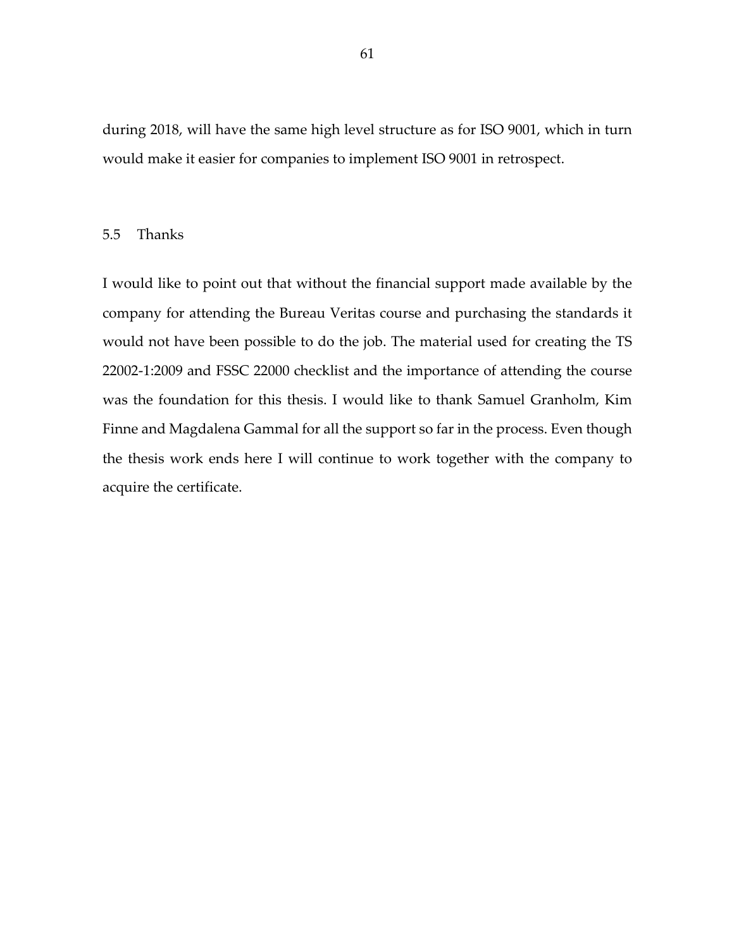during 2018, will have the same high level structure as for ISO 9001, which in turn would make it easier for companies to implement ISO 9001 in retrospect.

## 5.5 Thanks

I would like to point out that without the financial support made available by the company for attending the Bureau Veritas course and purchasing the standards it would not have been possible to do the job. The material used for creating the TS 22002-1:2009 and FSSC 22000 checklist and the importance of attending the course was the foundation for this thesis. I would like to thank Samuel Granholm, Kim Finne and Magdalena Gammal for all the support so far in the process. Even though the thesis work ends here I will continue to work together with the company to acquire the certificate.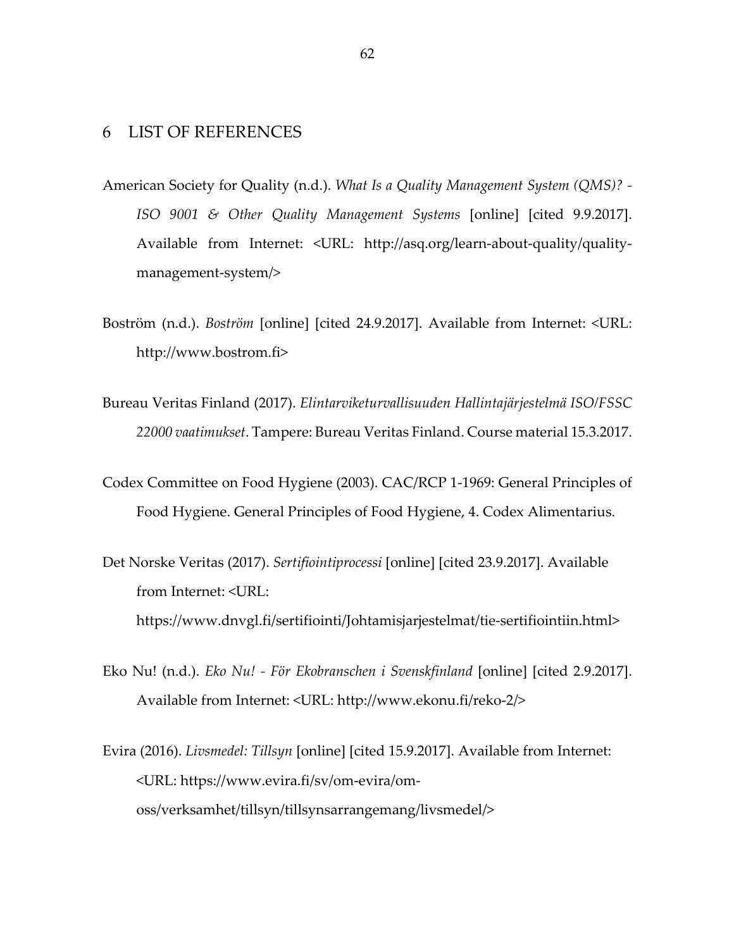# 6 LIST OF REFERENCES

- American Society for Quality (n.d.). *What Is a Quality Management System (QMS)? - ISO 9001 & Other Quality Management Systems* [online] [cited 9.9.2017]. Available from Internet: <URL: http://asq.org/learn-about-quality/qualitymanagement-system/>
- Boström (n.d.). *Boström* [online] [cited 24.9.2017]. Available from Internet: <URL: http://www.bostrom.fi>
- Bureau Veritas Finland (2017). *Elintarviketurvallisuuden Hallintajärjestelmä ISO/FSSC 22000 vaatimukset*. Tampere: Bureau Veritas Finland. Course material 15.3.2017.
- Codex Committee on Food Hygiene (2003). CAC/RCP 1-1969: General Principles of Food Hygiene. General Principles of Food Hygiene, 4. Codex Alimentarius.
- Det Norske Veritas (2017). *Sertifiointiprocessi* [online] [cited 23.9.2017]. Available from Internet: <URL: https://www.dnvgl.fi/sertifiointi/Johtamisjarjestelmat/tie-sertifiointiin.html>
- Eko Nu! (n.d.). *Eko Nu! - För Ekobranschen i Svenskfinland* [online] [cited 2.9.2017]. Available from Internet: <URL: http://www.ekonu.fi/reko-2/>
- Evira (2016). *Livsmedel: Tillsyn* [online] [cited 15.9.2017]. Available from Internet: <URL: https://www.evira.fi/sv/om-evira/omoss/verksamhet/tillsyn/tillsynsarrangemang/livsmedel/>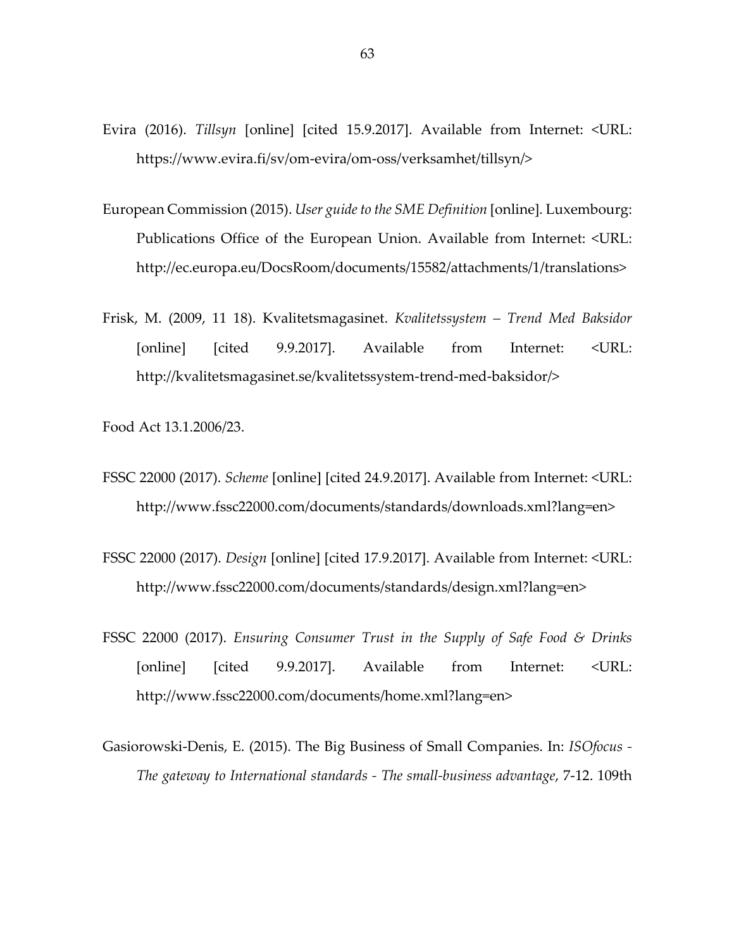- Evira (2016). *Tillsyn* [online] [cited 15.9.2017]. Available from Internet: <URL: https://www.evira.fi/sv/om-evira/om-oss/verksamhet/tillsyn/>
- European Commission (2015). *User guide to the SME Definition* [online]*.* Luxembourg: Publications Office of the European Union. Available from Internet: <URL: http://ec.europa.eu/DocsRoom/documents/15582/attachments/1/translations>
- Frisk, M. (2009, 11 18). Kvalitetsmagasinet. *Kvalitetssystem – Trend Med Baksidor*  [online] [cited 9.9.2017]. Available from Internet: <URL: http://kvalitetsmagasinet.se/kvalitetssystem-trend-med-baksidor/>

Food Act 13.1.2006/23.

- FSSC 22000 (2017). *Scheme* [online] [cited 24.9.2017]. Available from Internet: <URL: http://www.fssc22000.com/documents/standards/downloads.xml?lang=en>
- FSSC 22000 (2017). *Design* [online] [cited 17.9.2017]. Available from Internet: <URL: http://www.fssc22000.com/documents/standards/design.xml?lang=en>
- FSSC 22000 (2017). *Ensuring Consumer Trust in the Supply of Safe Food & Drinks* [online] [cited 9.9.2017]. Available from Internet: <URL: http://www.fssc22000.com/documents/home.xml?lang=en>
- Gasiorowski-Denis, E. (2015). The Big Business of Small Companies. In: *ISOfocus - The gateway to International standards - The small-business advantage*, 7-12. 109th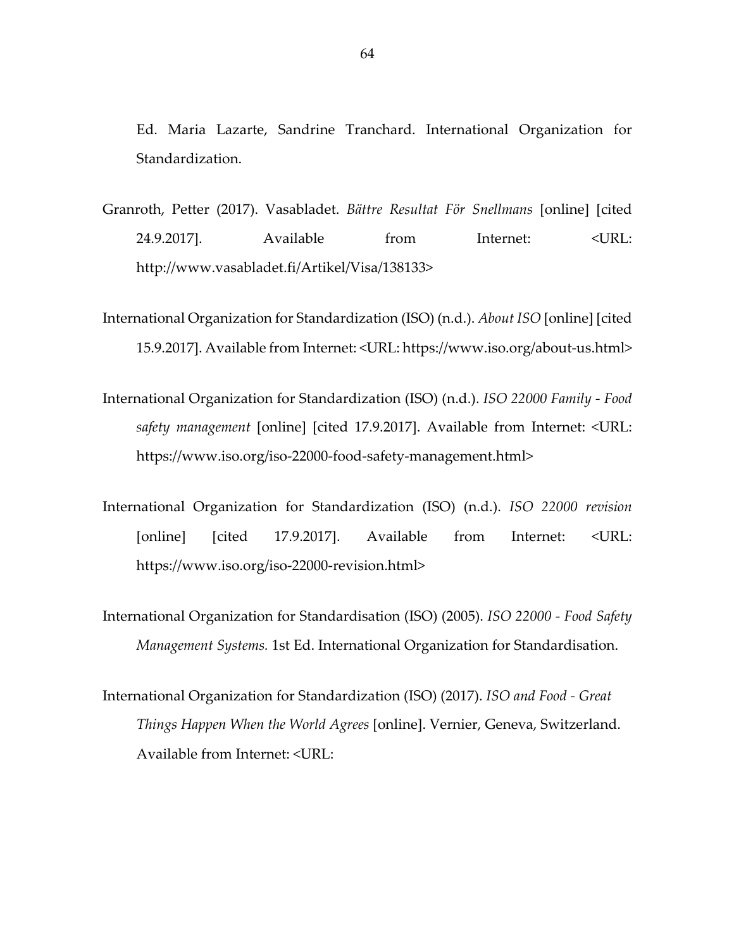Ed. Maria Lazarte, Sandrine Tranchard. International Organization for Standardization.

- Granroth, Petter (2017). Vasabladet. *Bättre Resultat För Snellmans* [online] [cited 24.9.2017]. Available from Internet: <URL: http://www.vasabladet.fi/Artikel/Visa/138133>
- International Organization for Standardization (ISO) (n.d.). *About ISO* [online] [cited 15.9.2017]. Available from Internet: <URL: https://www.iso.org/about-us.html>
- International Organization for Standardization (ISO) (n.d.). *ISO 22000 Family - Food safety management* [online] [cited 17.9.2017]. Available from Internet: <URL: https://www.iso.org/iso-22000-food-safety-management.html>
- International Organization for Standardization (ISO) (n.d.). *ISO 22000 revision*  [online] [cited 17.9.2017]. Available from Internet: <URL: https://www.iso.org/iso-22000-revision.html>
- International Organization for Standardisation (ISO) (2005). *ISO 22000 - Food Safety Management Systems.* 1st Ed. International Organization for Standardisation.
- International Organization for Standardization (ISO) (2017). *ISO and Food - Great Things Happen When the World Agrees* [online]. Vernier, Geneva, Switzerland. Available from Internet: <URL: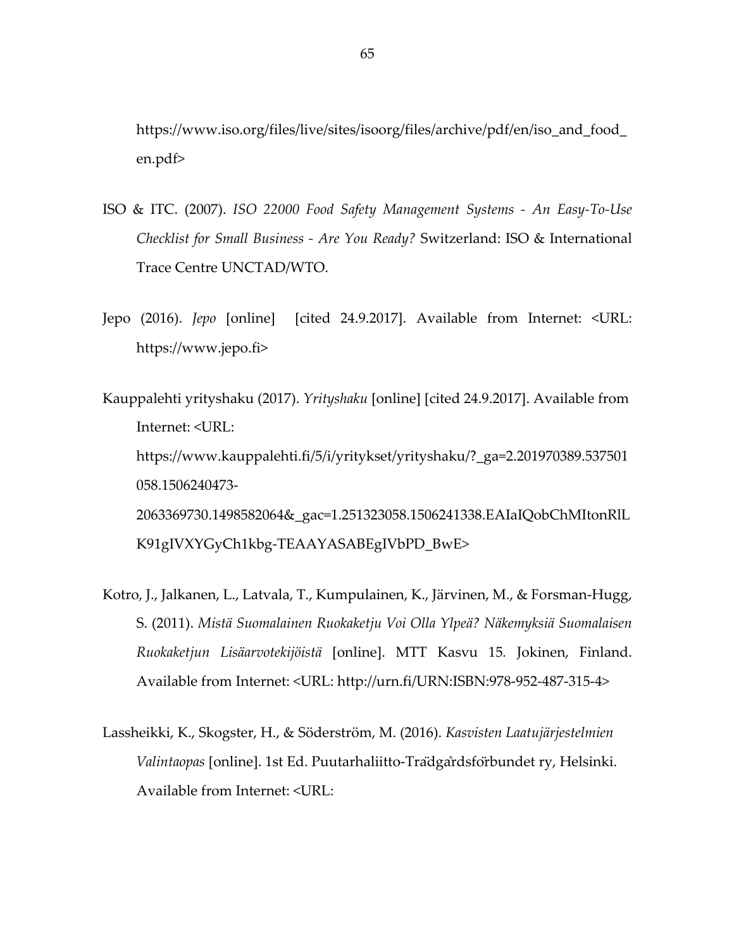https://www.iso.org/files/live/sites/isoorg/files/archive/pdf/en/iso\_and\_food\_ en.pdf>

- ISO & ITC. (2007). *ISO 22000 Food Safety Management Systems - An Easy-To-Use Checklist for Small Business - Are You Ready?* Switzerland: ISO & International Trace Centre UNCTAD/WTO.
- Jepo (2016). *Jepo* [online] [cited 24.9.2017]. Available from Internet: <URL: https://www.jepo.fi>
- Kauppalehti yrityshaku (2017). *Yrityshaku* [online] [cited 24.9.2017]. Available from Internet: <URL: https://www.kauppalehti.fi/5/i/yritykset/yrityshaku/?\_ga=2.201970389.537501 058.1506240473- 2063369730.1498582064&\_gac=1.251323058.1506241338.EAIaIQobChMItonRlL K91gIVXYGyCh1kbg-TEAAYASABEgIVbPD\_BwE>
- Kotro, J., Jalkanen, L., Latvala, T., Kumpulainen, K., Järvinen, M., & Forsman-Hugg, S. (2011). *Mistä Suomalainen Ruokaketju Voi Olla Ylpeä? Näkemyksiä Suomalaisen Ruokaketjun Lisäarvotekijöistä* [online]. MTT Kasvu 15*.* Jokinen, Finland. Available from Internet: <URL: http://urn.fi/URN:ISBN:978-952-487-315-4>
- Lassheikki, K., Skogster, H., & Söderström, M. (2016). *Kasvisten Laatujärjestelmien Valintaopas* [online]. 1st Ed. Puutarhaliitto-Trädgårdsförbundet ry, Helsinki. Available from Internet: <URL: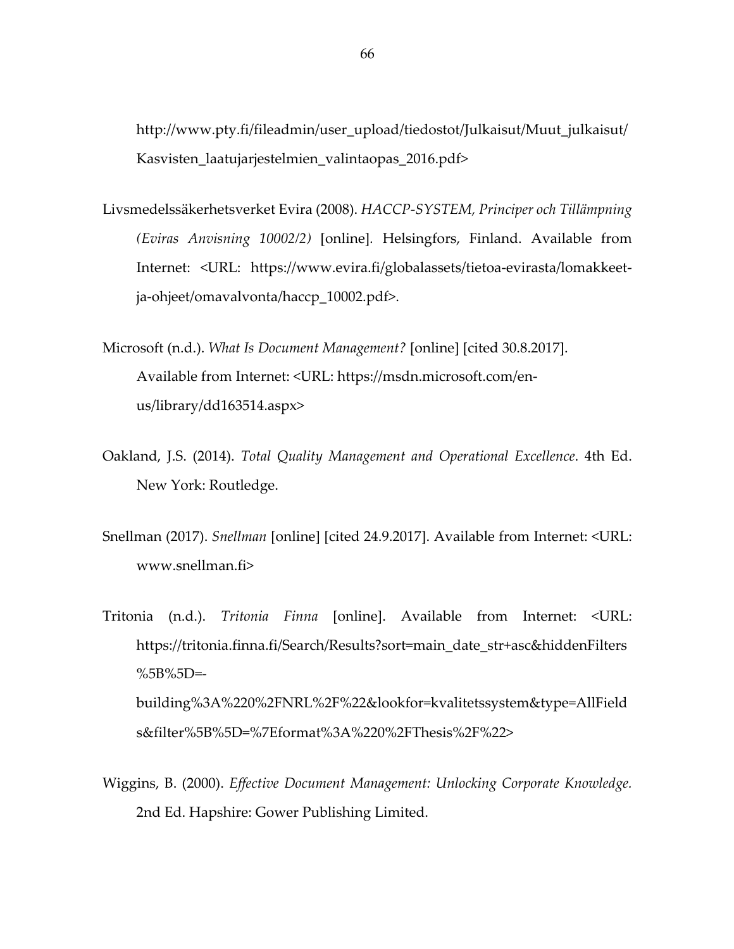http://www.pty.fi/fileadmin/user\_upload/tiedostot/Julkaisut/Muut\_julkaisut/ Kasvisten\_laatujarjestelmien\_valintaopas\_2016.pdf>

- Livsmedelssäkerhetsverket Evira (2008). *HACCP-SYSTEM, Principer och Tillämpning (Eviras Anvisning 10002/2)* [online]*.* Helsingfors, Finland. Available from Internet: <URL: https://www.evira.fi/globalassets/tietoa-evirasta/lomakkeetja-ohjeet/omavalvonta/haccp\_10002.pdf>.
- Microsoft (n.d.). *What Is Document Management?* [online] [cited 30.8.2017]. Available from Internet: <URL: https://msdn.microsoft.com/enus/library/dd163514.aspx>
- Oakland, J.S. (2014). *Total Quality Management and Operational Excellence*. 4th Ed. New York: Routledge.
- Snellman (2017). *Snellman* [online] [cited 24.9.2017]. Available from Internet: <URL: www.snellman.fi>

Tritonia (n.d.). *Tritonia Finna* [online]. Available from Internet: <URL: https://tritonia.finna.fi/Search/Results?sort=main\_date\_str+asc&hiddenFilters  $%5B\%5D =$ building%3A%220%2FNRL%2F%22&lookfor=kvalitetssystem&type=AllField s&filter%5B%5D=%7Eformat%3A%220%2FThesis%2F%22>

Wiggins, B. (2000). *Effective Document Management: Unlocking Corporate Knowledge.* 2nd Ed. Hapshire: Gower Publishing Limited.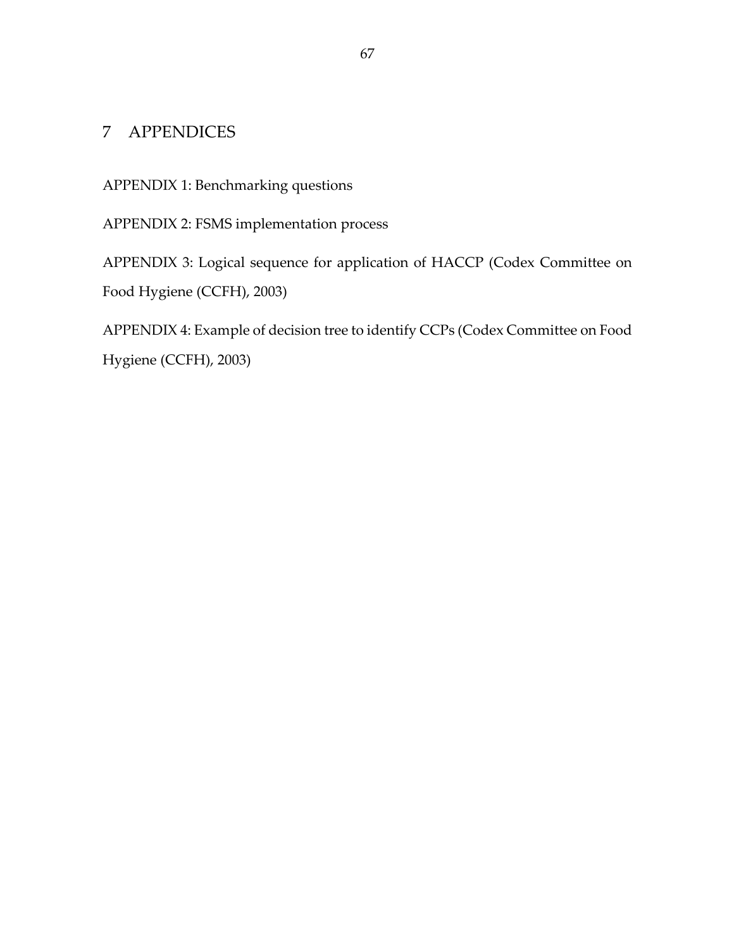# 7 APPENDICES

APPENDIX 1: Benchmarking questions

APPENDIX 2: FSMS implementation process

APPENDIX 3: Logical sequence for application of HACCP (Codex Committee on Food Hygiene (CCFH), 2003)

APPENDIX 4: Example of decision tree to identify CCPs (Codex Committee on Food Hygiene (CCFH), 2003)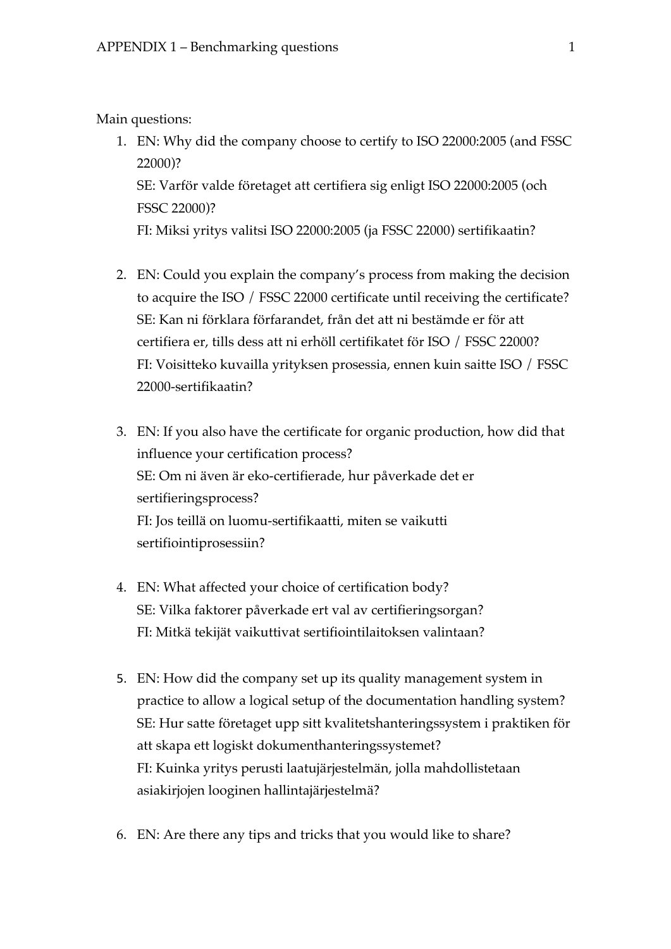# Main questions:

- 1. EN: Why did the company choose to certify to ISO 22000:2005 (and FSSC 22000)? SE: Varför valde företaget att certifiera sig enligt ISO 22000:2005 (och FSSC 22000)? FI: Miksi yritys valitsi ISO 22000:2005 (ja FSSC 22000) sertifikaatin?
- 2. EN: Could you explain the company's process from making the decision to acquire the ISO / FSSC 22000 certificate until receiving the certificate? SE: Kan ni förklara förfarandet, från det att ni bestämde er för att certifiera er, tills dess att ni erhöll certifikatet för ISO / FSSC 22000? FI: Voisitteko kuvailla yrityksen prosessia, ennen kuin saitte ISO / FSSC 22000-sertifikaatin?
- 3. EN: If you also have the certificate for organic production, how did that influence your certification process? SE: Om ni även är eko-certifierade, hur påverkade det er sertifieringsprocess? FI: Jos teillä on luomu-sertifikaatti, miten se vaikutti sertifiointiprosessiin?
- 4. EN: What affected your choice of certification body? SE: Vilka faktorer påverkade ert val av certifieringsorgan? FI: Mitkä tekijät vaikuttivat sertifiointilaitoksen valintaan?
- 5. EN: How did the company set up its quality management system in practice to allow a logical setup of the documentation handling system? SE: Hur satte företaget upp sitt kvalitetshanteringssystem i praktiken för att skapa ett logiskt dokumenthanteringssystemet? FI: Kuinka yritys perusti laatujärjestelmän, jolla mahdollistetaan asiakirjojen looginen hallintajärjestelmä?
- 6. EN: Are there any tips and tricks that you would like to share?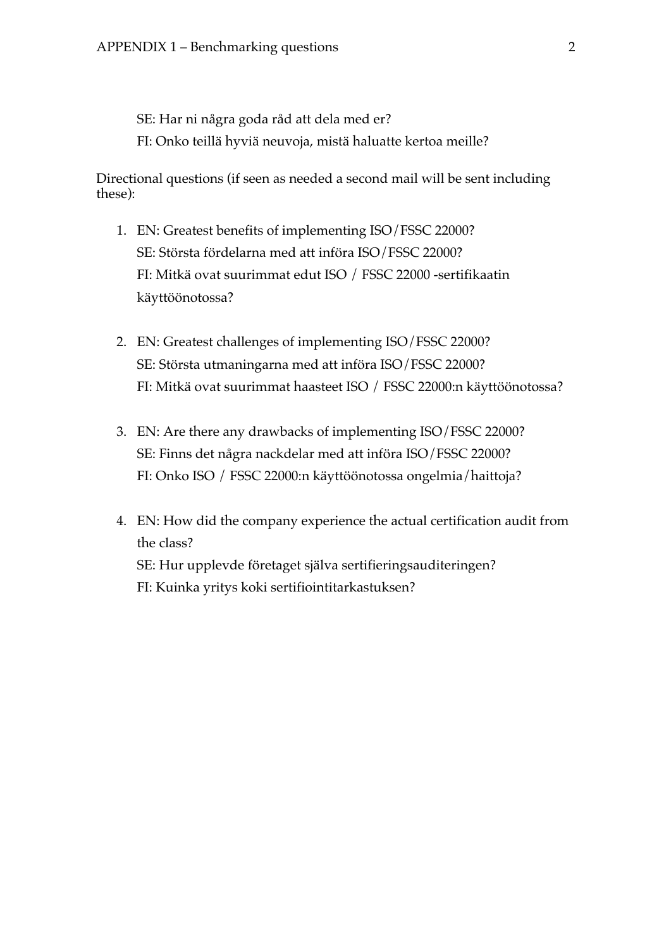SE: Har ni några goda råd att dela med er? FI: Onko teillä hyviä neuvoja, mistä haluatte kertoa meille?

Directional questions (if seen as needed a second mail will be sent including these):

- 1. EN: Greatest benefits of implementing ISO/FSSC 22000? SE: Största fördelarna med att införa ISO/FSSC 22000? FI: Mitkä ovat suurimmat edut ISO / FSSC 22000 -sertifikaatin käyttöönotossa?
- 2. EN: Greatest challenges of implementing ISO/FSSC 22000? SE: Största utmaningarna med att införa ISO/FSSC 22000? FI: Mitkä ovat suurimmat haasteet ISO / FSSC 22000:n käyttöönotossa?
- 3. EN: Are there any drawbacks of implementing ISO/FSSC 22000? SE: Finns det några nackdelar med att införa ISO/FSSC 22000? FI: Onko ISO / FSSC 22000:n käyttöönotossa ongelmia/haittoja?
- 4. EN: How did the company experience the actual certification audit from the class? SE: Hur upplevde företaget själva sertifieringsauditeringen? FI: Kuinka yritys koki sertifiointitarkastuksen?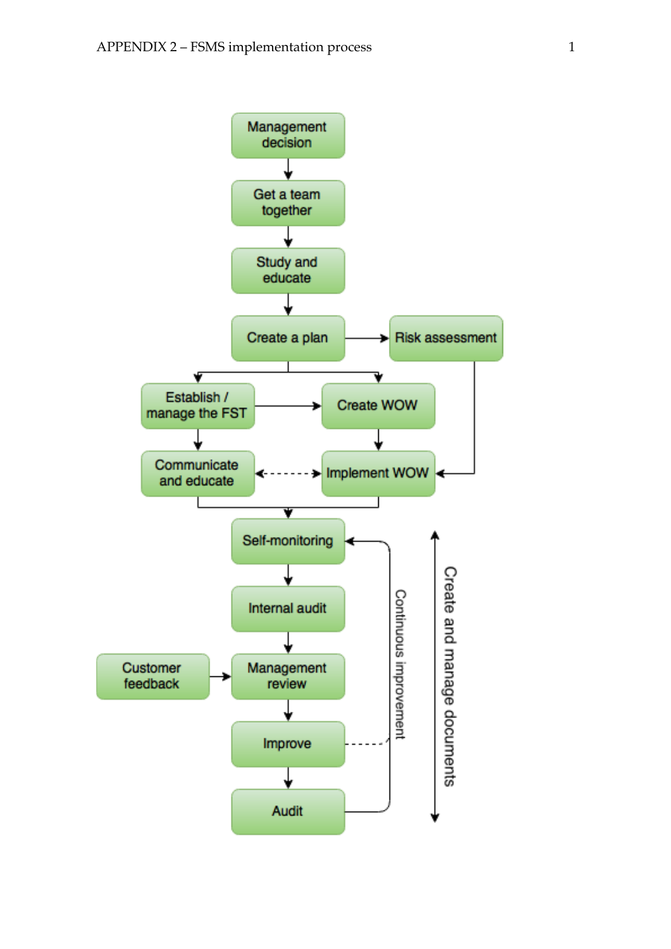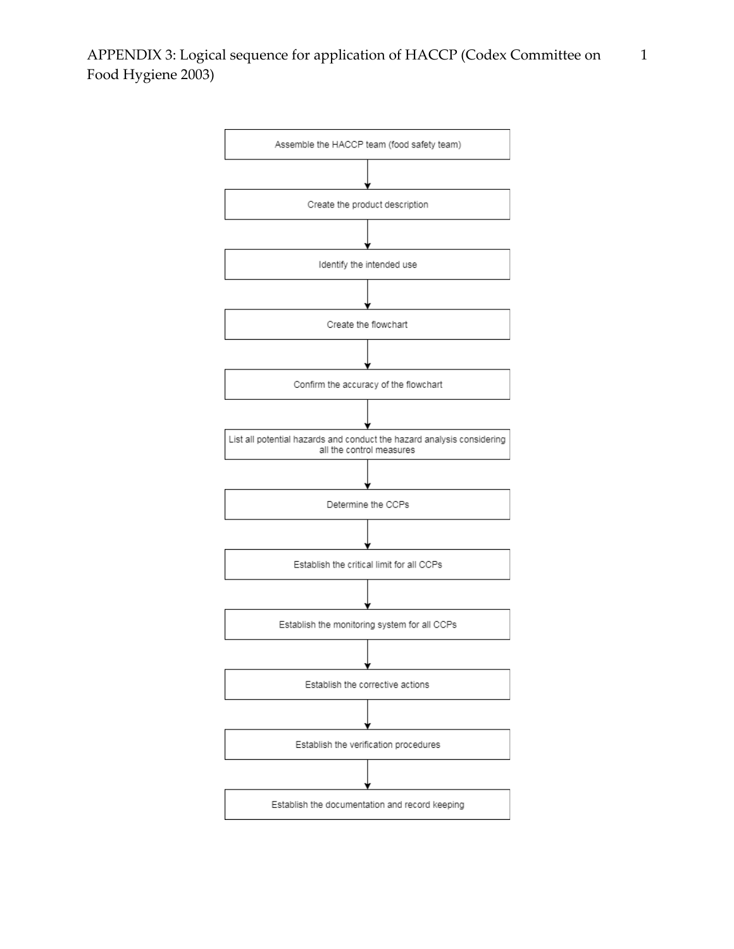